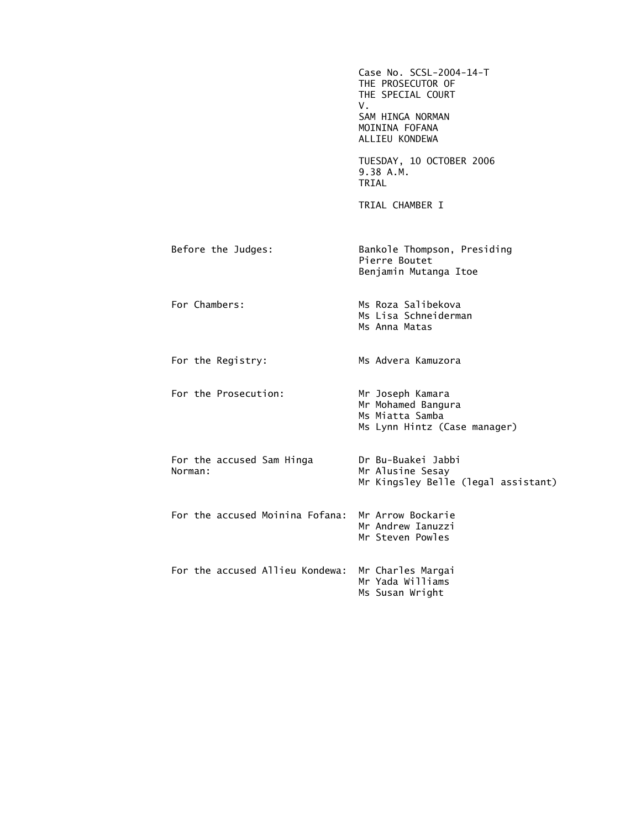|                                      | Case No. SCSL-2004-14-T<br>THE PROSECUTOR OF<br>THE SPECIAL COURT<br>V.<br>SAM HINGA NORMAN<br>MOININA FOFANA<br>ALLIEU KONDEWA |
|--------------------------------------|---------------------------------------------------------------------------------------------------------------------------------|
|                                      | TUESDAY, 10 OCTOBER 2006<br>9.38 A.M.<br>TRIAL                                                                                  |
|                                      | TRIAL CHAMBER I                                                                                                                 |
| Before the Judges:                   | Bankole Thompson, Presiding<br>Pierre Boutet<br>Benjamin Mutanga Itoe                                                           |
| For Chambers:                        | Ms Roza Salibekova<br>Ms Lisa Schneiderman<br>Ms Anna Matas                                                                     |
| For the Registry:                    | Ms Advera Kamuzora                                                                                                              |
| For the Prosecution:                 | Mr Joseph Kamara<br>Mr Mohamed Bangura<br>Ms Miatta Samba<br>Ms Lynn Hintz (Case manager)                                       |
| For the accused Sam Hinga<br>Norman: | Dr Bu-Buakei Jabbi<br>Mr Alusine Sesay<br>Mr Kingsley Belle (legal assistant)                                                   |
| For the accused Moinina Fofana:      | Mr Arrow Bockarie<br>Mr Andrew Ianuzzi<br>Mr Steven Powles                                                                      |
| For the accused Allieu Kondewa:      | Mr Charles Margai<br>Mr Yada Williams<br>Ms Susan Wright                                                                        |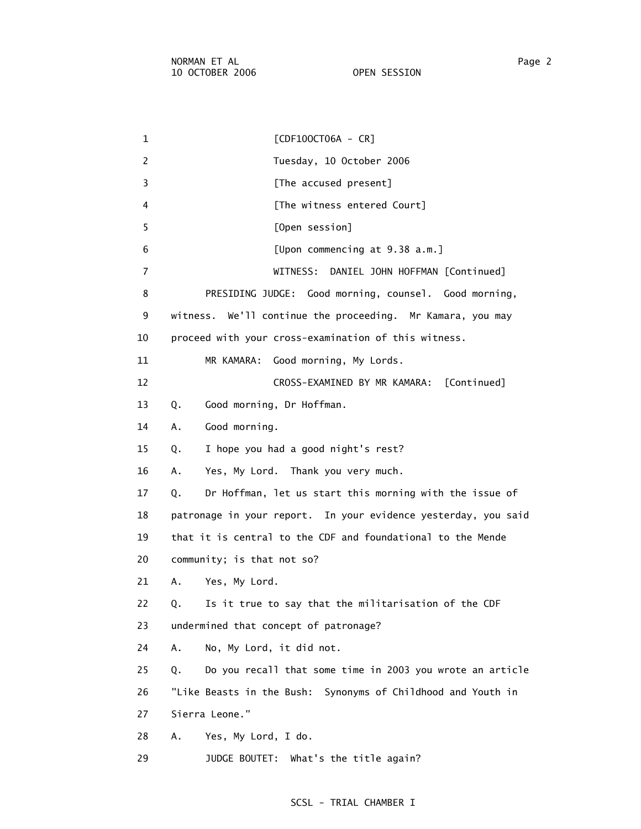1 [CDF10OCT06A - CR] 2 Tuesday, 10 October 2006 3 **Example 2 [The accused present]** 4 [The witness entered Court] 5 [Open session] 6 [Upon commencing at 9.38 a.m.] 7 WITNESS: DANIEL JOHN HOFFMAN [Continued] 8 PRESIDING JUDGE: Good morning, counsel. Good morning, 9 witness. We'll continue the proceeding. Mr Kamara, you may 10 proceed with your cross-examination of this witness. 11 MR KAMARA: Good morning, My Lords. 12 CROSS-EXAMINED BY MR KAMARA: [Continued] 13 Q. Good morning, Dr Hoffman. 14 A. Good morning. 15 Q. I hope you had a good night's rest? 16 A. Yes, My Lord. Thank you very much. 17 Q. Dr Hoffman, let us start this morning with the issue of 18 patronage in your report. In your evidence yesterday, you said 19 that it is central to the CDF and foundational to the Mende 20 community; is that not so?

21 A. Yes, My Lord.

22 Q. Is it true to say that the militarisation of the CDF

23 undermined that concept of patronage?

24 A. No, My Lord, it did not.

 25 Q. Do you recall that some time in 2003 you wrote an article 26 "Like Beasts in the Bush: Synonyms of Childhood and Youth in 27 Sierra Leone."

28 A. Yes, My Lord, I do.

29 JUDGE BOUTET: What's the title again?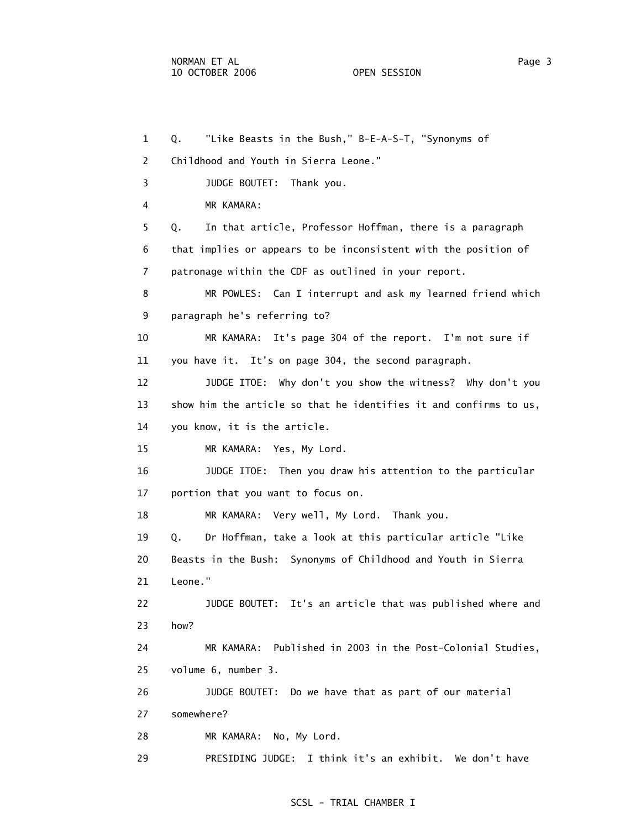1 Q. "Like Beasts in the Bush," B-E-A-S-T, "Synonyms of 2 Childhood and Youth in Sierra Leone." 3 JUDGE BOUTET: Thank you. 4 MR KAMARA: 5 Q. In that article, Professor Hoffman, there is a paragraph 6 that implies or appears to be inconsistent with the position of 7 patronage within the CDF as outlined in your report. 8 MR POWLES: Can I interrupt and ask my learned friend which 9 paragraph he's referring to? 10 MR KAMARA: It's page 304 of the report. I'm not sure if 11 you have it. It's on page 304, the second paragraph. 12 JUDGE ITOE: Why don't you show the witness? Why don't you 13 show him the article so that he identifies it and confirms to us, 14 you know, it is the article. 15 MR KAMARA: Yes, My Lord. 16 JUDGE ITOE: Then you draw his attention to the particular 17 portion that you want to focus on. 18 MR KAMARA: Very well, My Lord. Thank you. 19 Q. Dr Hoffman, take a look at this particular article "Like 20 Beasts in the Bush: Synonyms of Childhood and Youth in Sierra 21 Leone." 22 JUDGE BOUTET: It's an article that was published where and 23 how? 24 MR KAMARA: Published in 2003 in the Post-Colonial Studies, 25 volume 6, number 3. 26 JUDGE BOUTET: Do we have that as part of our material 27 somewhere? 28 MR KAMARA: No, My Lord. 29 PRESIDING JUDGE: I think it's an exhibit. We don't have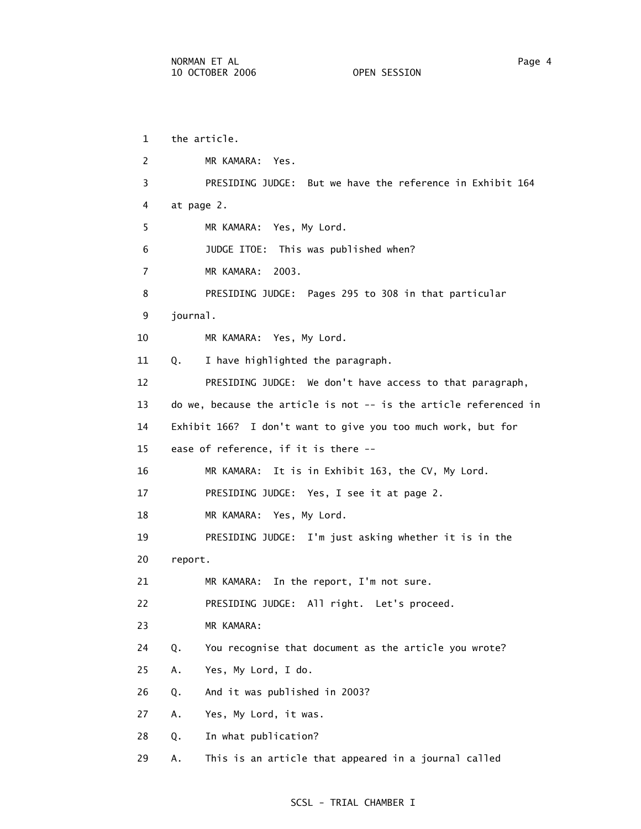1 the article. 2 MR KAMARA: Yes. 3 PRESIDING JUDGE: But we have the reference in Exhibit 164 4 at page 2. 5 MR KAMARA: Yes, My Lord. 6 JUDGE ITOE: This was published when? 7 MR KAMARA: 2003. 8 PRESIDING JUDGE: Pages 295 to 308 in that particular 9 journal. 10 MR KAMARA: Yes, My Lord. 11 Q. I have highlighted the paragraph. 12 PRESIDING JUDGE: We don't have access to that paragraph, 13 do we, because the article is not -- is the article referenced in 14 Exhibit 166? I don't want to give you too much work, but for 15 ease of reference, if it is there -- 16 MR KAMARA: It is in Exhibit 163, the CV, My Lord. 17 PRESIDING JUDGE: Yes, I see it at page 2. 18 MR KAMARA: Yes, My Lord. 19 PRESIDING JUDGE: I'm just asking whether it is in the 20 report. 21 MR KAMARA: In the report, I'm not sure. 22 PRESIDING JUDGE: All right. Let's proceed. 23 MR KAMARA: 24 Q. You recognise that document as the article you wrote? 25 A. Yes, My Lord, I do. 26 Q. And it was published in 2003? 27 A. Yes, My Lord, it was. 28 Q. In what publication? 29 A. This is an article that appeared in a journal called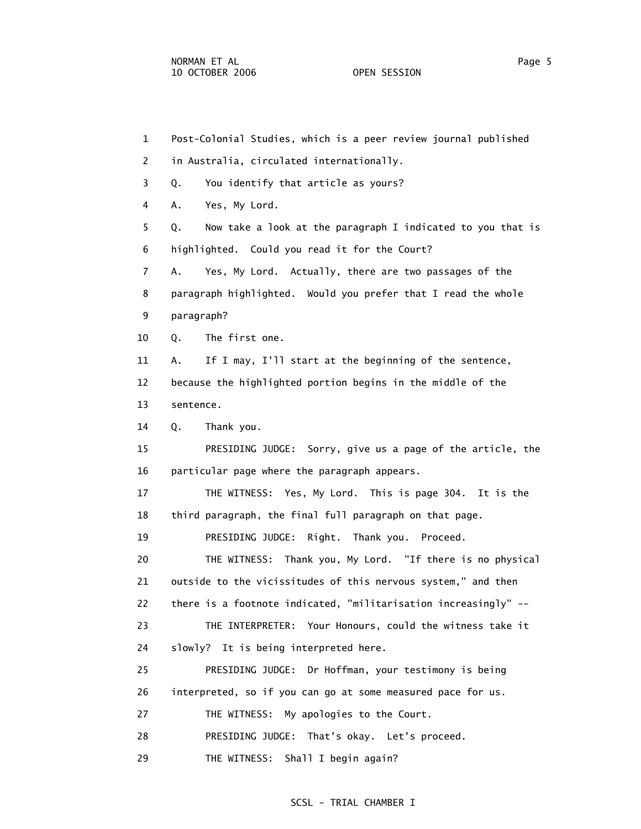| $\mathbf 1$ | Post-Colonial Studies, which is a peer review journal published   |
|-------------|-------------------------------------------------------------------|
| 2           | in Australia, circulated internationally.                         |
| 3           | You identify that article as yours?<br>Q.                         |
| 4           | Yes, My Lord.<br>Α.                                               |
| 5           | Now take a look at the paragraph I indicated to you that is<br>Q. |
| 6           | highlighted. Could you read it for the Court?                     |
| 7           | Yes, My Lord. Actually, there are two passages of the<br>Α.       |
| 8           | paragraph highlighted. Would you prefer that I read the whole     |
| 9           | paragraph?                                                        |
| 10          | The first one.<br>Q.                                              |
| 11          | If I may, I'll start at the beginning of the sentence,<br>Α.      |
| 12          | because the highlighted portion begins in the middle of the       |
| 13          | sentence.                                                         |
| 14          | Thank you.<br>Q.                                                  |
| 15          | PRESIDING JUDGE: Sorry, give us a page of the article, the        |
| 16          | particular page where the paragraph appears.                      |
| 17          | THE WITNESS: Yes, My Lord. This is page 304. It is the            |
| 18          | third paragraph, the final full paragraph on that page.           |
| 19          | PRESIDING JUDGE: Right. Thank you. Proceed.                       |
| 20          | Thank you, My Lord. "If there is no physical<br>THE WITNESS:      |
| 21          | outside to the vicissitudes of this nervous system," and then     |
| 22          | there is a footnote indicated, "militarisation increasingly" --   |
| 23          | THE INTERPRETER: Your Honours, could the witness take it          |
| 24          | slowly? It is being interpreted here.                             |
| 25          | PRESIDING JUDGE: Dr Hoffman, your testimony is being              |
| 26          | interpreted, so if you can go at some measured pace for us.       |
| 27          | THE WITNESS: My apologies to the Court.                           |
| 28          | PRESIDING JUDGE: That's okay. Let's proceed.                      |
| 29          | THE WITNESS: Shall I begin again?                                 |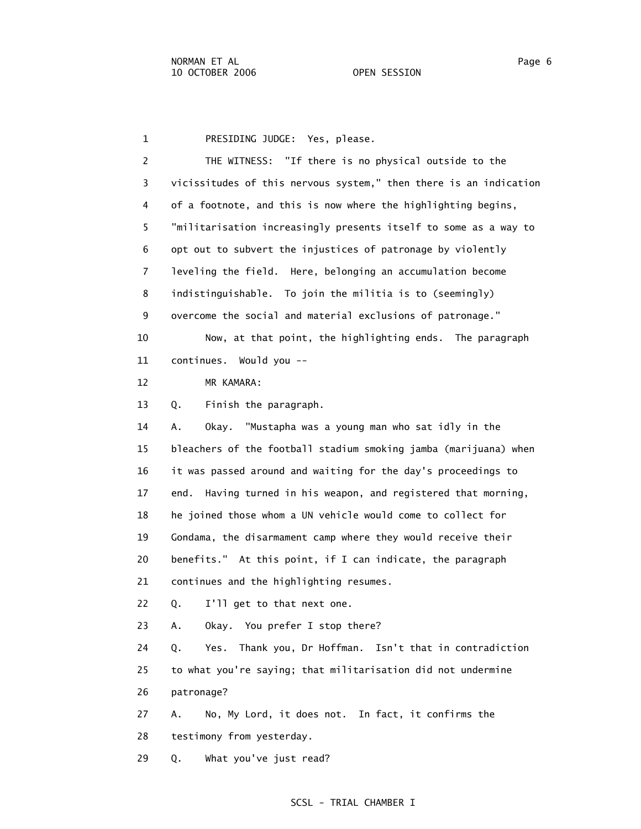1 PRESIDING JUDGE: Yes, please. 2 THE WITNESS: "If there is no physical outside to the 3 vicissitudes of this nervous system," then there is an indication 4 of a footnote, and this is now where the highlighting begins, 5 "militarisation increasingly presents itself to some as a way to 6 opt out to subvert the injustices of patronage by violently 7 leveling the field. Here, belonging an accumulation become 8 indistinguishable. To join the militia is to (seemingly) 9 overcome the social and material exclusions of patronage." 10 Now, at that point, the highlighting ends. The paragraph 11 continues. Would you -- 12 MR KAMARA: 13 Q. Finish the paragraph. 14 A. Okay. "Mustapha was a young man who sat idly in the 15 bleachers of the football stadium smoking jamba (marijuana) when 16 it was passed around and waiting for the day's proceedings to 17 end. Having turned in his weapon, and registered that morning, 18 he joined those whom a UN vehicle would come to collect for 19 Gondama, the disarmament camp where they would receive their 20 benefits." At this point, if I can indicate, the paragraph 21 continues and the highlighting resumes. 22 Q. I'll get to that next one. 23 A. Okay. You prefer I stop there? 24 Q. Yes. Thank you, Dr Hoffman. Isn't that in contradiction 25 to what you're saying; that militarisation did not undermine 26 patronage? 27 A. No, My Lord, it does not. In fact, it confirms the 28 testimony from yesterday.

## SCSL - TRIAL CHAMBER I

29 Q. What you've just read?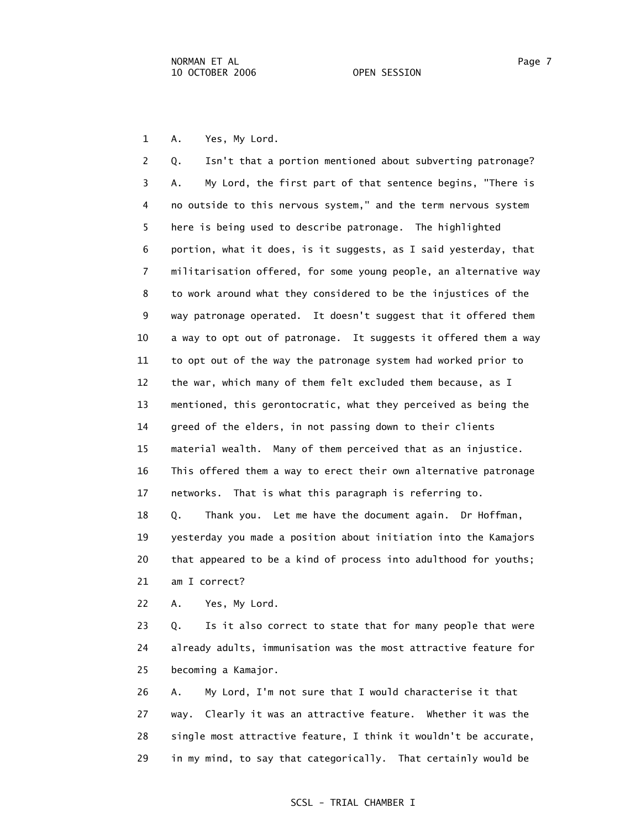1 A. Yes, My Lord.

 2 Q. Isn't that a portion mentioned about subverting patronage? 3 A. My Lord, the first part of that sentence begins, "There is 4 no outside to this nervous system," and the term nervous system 5 here is being used to describe patronage. The highlighted 6 portion, what it does, is it suggests, as I said yesterday, that 7 militarisation offered, for some young people, an alternative way 8 to work around what they considered to be the injustices of the 9 way patronage operated. It doesn't suggest that it offered them 10 a way to opt out of patronage. It suggests it offered them a way 11 to opt out of the way the patronage system had worked prior to 12 the war, which many of them felt excluded them because, as I 13 mentioned, this gerontocratic, what they perceived as being the 14 greed of the elders, in not passing down to their clients 15 material wealth. Many of them perceived that as an injustice. 16 This offered them a way to erect their own alternative patronage 17 networks. That is what this paragraph is referring to. 18 Q. Thank you. Let me have the document again. Dr Hoffman, 19 yesterday you made a position about initiation into the Kamajors 20 that appeared to be a kind of process into adulthood for youths; 21 am I correct?

22 A. Yes, My Lord.

 23 Q. Is it also correct to state that for many people that were 24 already adults, immunisation was the most attractive feature for 25 becoming a Kamajor.

 26 A. My Lord, I'm not sure that I would characterise it that 27 way. Clearly it was an attractive feature. Whether it was the 28 single most attractive feature, I think it wouldn't be accurate, 29 in my mind, to say that categorically. That certainly would be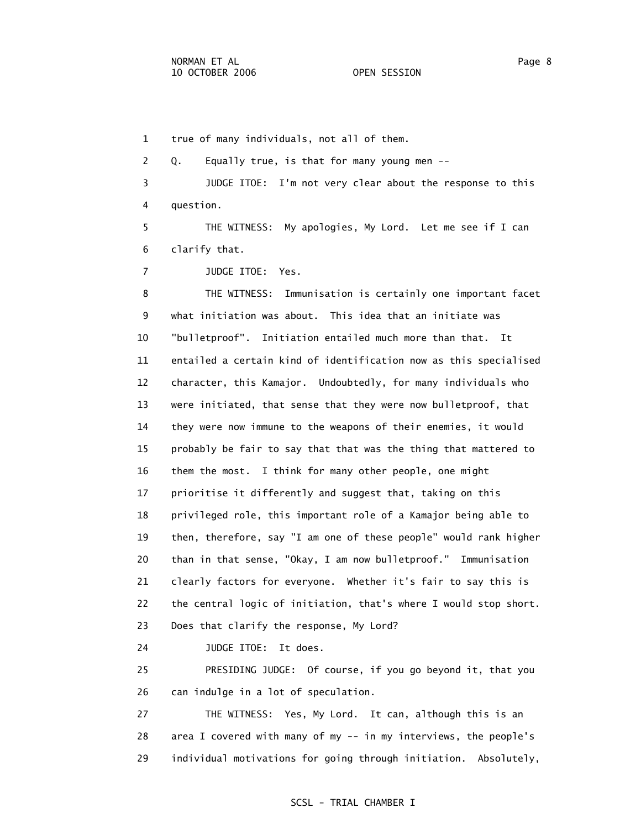1 true of many individuals, not all of them.

2 Q. Equally true, is that for many young men --

 3 JUDGE ITOE: I'm not very clear about the response to this 4 question.

 5 THE WITNESS: My apologies, My Lord. Let me see if I can 6 clarify that.

7 JUDGE ITOE: Yes.

 8 THE WITNESS: Immunisation is certainly one important facet 9 what initiation was about. This idea that an initiate was 10 "bulletproof". Initiation entailed much more than that. It 11 entailed a certain kind of identification now as this specialised 12 character, this Kamajor. Undoubtedly, for many individuals who 13 were initiated, that sense that they were now bulletproof, that 14 they were now immune to the weapons of their enemies, it would 15 probably be fair to say that that was the thing that mattered to 16 them the most. I think for many other people, one might 17 prioritise it differently and suggest that, taking on this 18 privileged role, this important role of a Kamajor being able to 19 then, therefore, say "I am one of these people" would rank higher 20 than in that sense, "Okay, I am now bulletproof." Immunisation 21 clearly factors for everyone. Whether it's fair to say this is 22 the central logic of initiation, that's where I would stop short. 23 Does that clarify the response, My Lord?

24 JUDGE ITOE: It does.

 25 PRESIDING JUDGE: Of course, if you go beyond it, that you 26 can indulge in a lot of speculation.

 27 THE WITNESS: Yes, My Lord. It can, although this is an 28 area I covered with many of my -- in my interviews, the people's 29 individual motivations for going through initiation. Absolutely,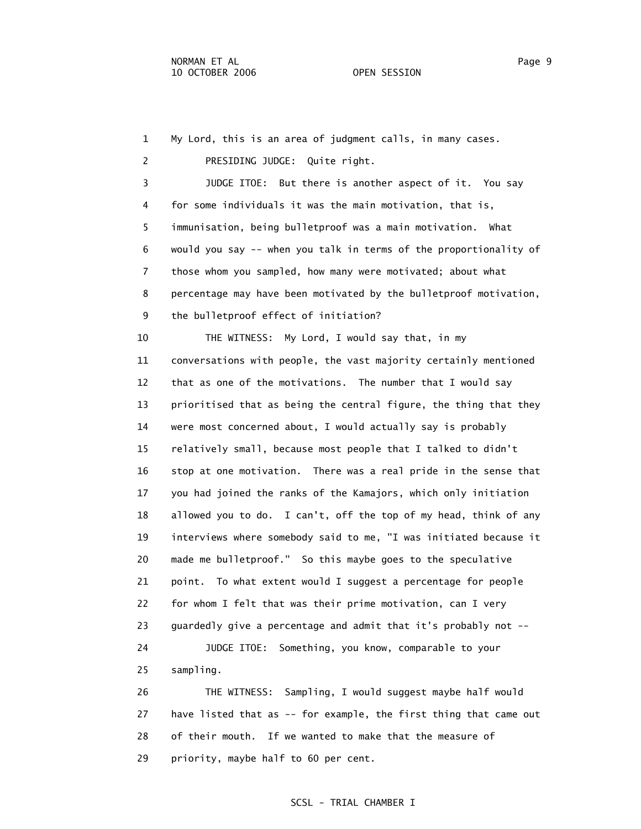25 sampling.

 1 My Lord, this is an area of judgment calls, in many cases. 2 PRESIDING JUDGE: Quite right. 3 JUDGE ITOE: But there is another aspect of it. You say 4 for some individuals it was the main motivation, that is, 5 immunisation, being bulletproof was a main motivation. What 6 would you say -- when you talk in terms of the proportionality of 7 those whom you sampled, how many were motivated; about what 8 percentage may have been motivated by the bulletproof motivation, 9 the bulletproof effect of initiation? 10 THE WITNESS: My Lord, I would say that, in my 11 conversations with people, the vast majority certainly mentioned 12 that as one of the motivations. The number that I would say 13 prioritised that as being the central figure, the thing that they 14 were most concerned about, I would actually say is probably

 15 relatively small, because most people that I talked to didn't 16 stop at one motivation. There was a real pride in the sense that 17 you had joined the ranks of the Kamajors, which only initiation 18 allowed you to do. I can't, off the top of my head, think of any 19 interviews where somebody said to me, "I was initiated because it 20 made me bulletproof." So this maybe goes to the speculative 21 point. To what extent would I suggest a percentage for people 22 for whom I felt that was their prime motivation, can I very 23 guardedly give a percentage and admit that it's probably not -- 24 JUDGE ITOE: Something, you know, comparable to your

 26 THE WITNESS: Sampling, I would suggest maybe half would 27 have listed that as -- for example, the first thing that came out 28 of their mouth. If we wanted to make that the measure of 29 priority, maybe half to 60 per cent.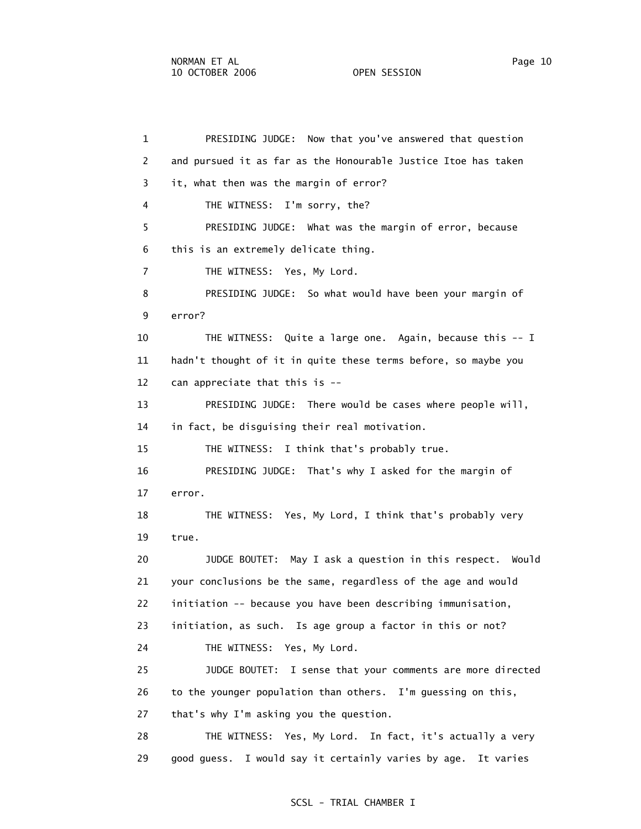1 PRESIDING JUDGE: Now that you've answered that question 2 and pursued it as far as the Honourable Justice Itoe has taken 3 it, what then was the margin of error? 4 THE WITNESS: I'm sorry, the? 5 PRESIDING JUDGE: What was the margin of error, because 6 this is an extremely delicate thing. 7 THE WITNESS: Yes, My Lord. 8 PRESIDING JUDGE: So what would have been your margin of 9 error? 10 THE WITNESS: Quite a large one. Again, because this -- I 11 hadn't thought of it in quite these terms before, so maybe you 12 can appreciate that this is -- 13 PRESIDING JUDGE: There would be cases where people will, 14 in fact, be disguising their real motivation. 15 THE WITNESS: I think that's probably true. 16 PRESIDING JUDGE: That's why I asked for the margin of 17 error. 18 THE WITNESS: Yes, My Lord, I think that's probably very 19 true. 20 JUDGE BOUTET: May I ask a question in this respect. Would 21 your conclusions be the same, regardless of the age and would 22 initiation -- because you have been describing immunisation, 23 initiation, as such. Is age group a factor in this or not? 24 THE WITNESS: Yes, My Lord. 25 JUDGE BOUTET: I sense that your comments are more directed 26 to the younger population than others. I'm guessing on this, 27 that's why I'm asking you the question. 28 THE WITNESS: Yes, My Lord. In fact, it's actually a very 29 good guess. I would say it certainly varies by age. It varies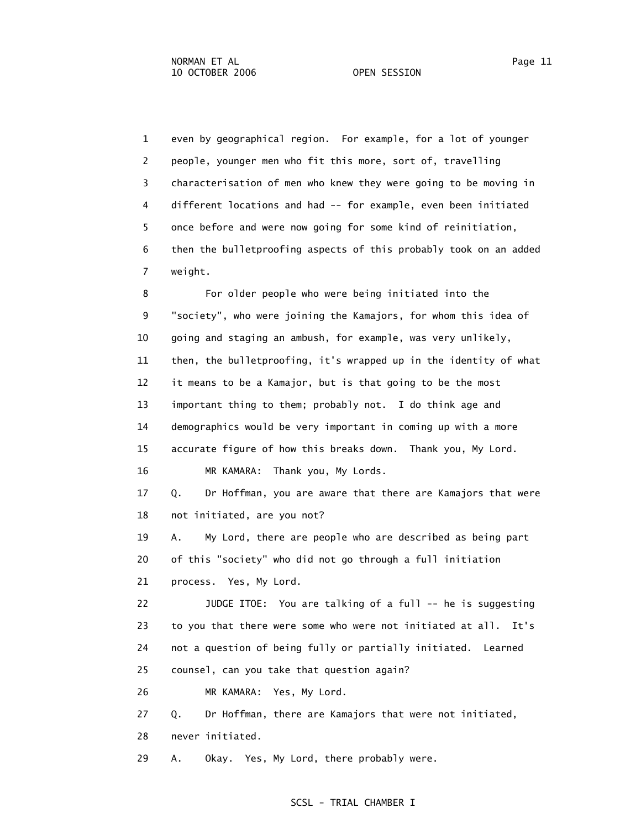1 even by geographical region. For example, for a lot of younger 2 people, younger men who fit this more, sort of, travelling 3 characterisation of men who knew they were going to be moving in 4 different locations and had -- for example, even been initiated 5 once before and were now going for some kind of reinitiation, 6 then the bulletproofing aspects of this probably took on an added 7 weight.

 8 For older people who were being initiated into the 9 "society", who were joining the Kamajors, for whom this idea of 10 going and staging an ambush, for example, was very unlikely, 11 then, the bulletproofing, it's wrapped up in the identity of what 12 it means to be a Kamajor, but is that going to be the most 13 important thing to them; probably not. I do think age and 14 demographics would be very important in coming up with a more 15 accurate figure of how this breaks down. Thank you, My Lord. 16 MR KAMARA: Thank you, My Lords.

 17 Q. Dr Hoffman, you are aware that there are Kamajors that were 18 not initiated, are you not?

 19 A. My Lord, there are people who are described as being part 20 of this "society" who did not go through a full initiation 21 process. Yes, My Lord.

22 JUDGE ITOE: You are talking of a full -- he is suggesting 23 to you that there were some who were not initiated at all. It's 24 not a question of being fully or partially initiated. Learned 25 counsel, can you take that question again?

26 MR KAMARA: Yes, My Lord.

 27 Q. Dr Hoffman, there are Kamajors that were not initiated, 28 never initiated.

29 A. Okay. Yes, My Lord, there probably were.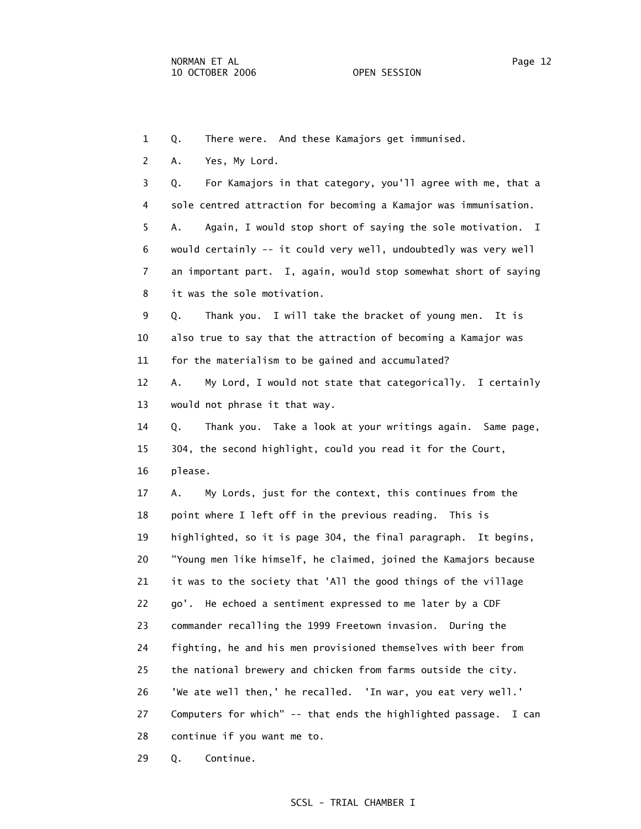1 Q. There were. And these Kamajors get immunised.

2 A. Yes, My Lord.

 3 Q. For Kamajors in that category, you'll agree with me, that a 4 sole centred attraction for becoming a Kamajor was immunisation. 5 A. Again, I would stop short of saying the sole motivation. I 6 would certainly -- it could very well, undoubtedly was very well 7 an important part. I, again, would stop somewhat short of saying 8 it was the sole motivation.

 9 Q. Thank you. I will take the bracket of young men. It is 10 also true to say that the attraction of becoming a Kamajor was 11 for the materialism to be gained and accumulated?

 12 A. My Lord, I would not state that categorically. I certainly 13 would not phrase it that way.

 14 Q. Thank you. Take a look at your writings again. Same page, 15 304, the second highlight, could you read it for the Court, 16 please.

 17 A. My Lords, just for the context, this continues from the 18 point where I left off in the previous reading. This is 19 highlighted, so it is page 304, the final paragraph. It begins, 20 "Young men like himself, he claimed, joined the Kamajors because 21 it was to the society that 'All the good things of the village 22 go'. He echoed a sentiment expressed to me later by a CDF 23 commander recalling the 1999 Freetown invasion. During the 24 fighting, he and his men provisioned themselves with beer from 25 the national brewery and chicken from farms outside the city. 26 'We ate well then,' he recalled. 'In war, you eat very well.' 27 Computers for which" -- that ends the highlighted passage. I can 28 continue if you want me to.

29 Q. Continue.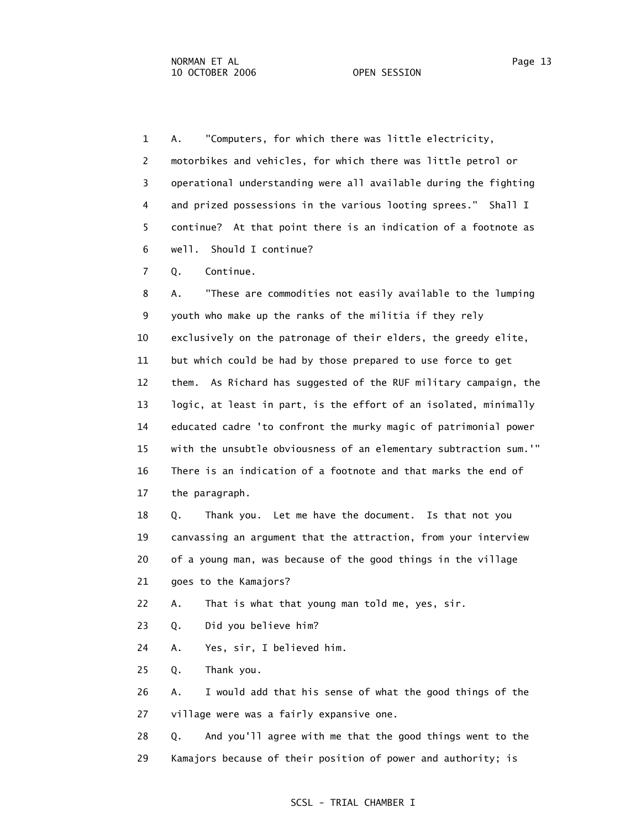1 A. "Computers, for which there was little electricity, 2 motorbikes and vehicles, for which there was little petrol or 3 operational understanding were all available during the fighting 4 and prized possessions in the various looting sprees." Shall I 5 continue? At that point there is an indication of a footnote as 6 well. Should I continue?

7 Q. Continue.

 8 A. "These are commodities not easily available to the lumping 9 youth who make up the ranks of the militia if they rely 10 exclusively on the patronage of their elders, the greedy elite, 11 but which could be had by those prepared to use force to get 12 them. As Richard has suggested of the RUF military campaign, the 13 logic, at least in part, is the effort of an isolated, minimally 14 educated cadre 'to confront the murky magic of patrimonial power 15 with the unsubtle obviousness of an elementary subtraction sum.'" 16 There is an indication of a footnote and that marks the end of 17 the paragraph.

 18 Q. Thank you. Let me have the document. Is that not you 19 canvassing an argument that the attraction, from your interview 20 of a young man, was because of the good things in the village 21 goes to the Kamajors?

22 A. That is what that young man told me, yes, sir.

23 Q. Did you believe him?

24 A. Yes, sir, I believed him.

25 Q. Thank you.

 26 A. I would add that his sense of what the good things of the 27 village were was a fairly expansive one.

 28 Q. And you'll agree with me that the good things went to the 29 Kamajors because of their position of power and authority; is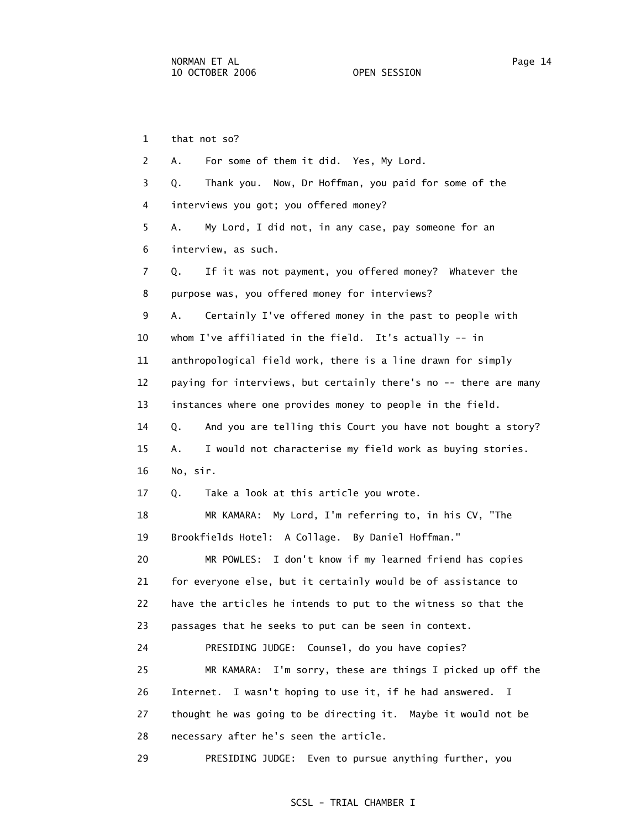1 that not so? 2 A. For some of them it did. Yes, My Lord. 3 Q. Thank you. Now, Dr Hoffman, you paid for some of the 4 interviews you got; you offered money? 5 A. My Lord, I did not, in any case, pay someone for an 6 interview, as such. 7 Q. If it was not payment, you offered money? Whatever the 8 purpose was, you offered money for interviews? 9 A. Certainly I've offered money in the past to people with 10 whom I've affiliated in the field. It's actually -- in 11 anthropological field work, there is a line drawn for simply 12 paying for interviews, but certainly there's no -- there are many 13 instances where one provides money to people in the field. 14 Q. And you are telling this Court you have not bought a story? 15 A. I would not characterise my field work as buying stories. 16 No, sir. 17 Q. Take a look at this article you wrote. 18 MR KAMARA: My Lord, I'm referring to, in his CV, "The 19 Brookfields Hotel: A Collage. By Daniel Hoffman." 20 MR POWLES: I don't know if my learned friend has copies 21 for everyone else, but it certainly would be of assistance to 22 have the articles he intends to put to the witness so that the 23 passages that he seeks to put can be seen in context. 24 PRESIDING JUDGE: Counsel, do you have copies? 25 MR KAMARA: I'm sorry, these are things I picked up off the 26 Internet. I wasn't hoping to use it, if he had answered. I 27 thought he was going to be directing it. Maybe it would not be 28 necessary after he's seen the article. 29 PRESIDING JUDGE: Even to pursue anything further, you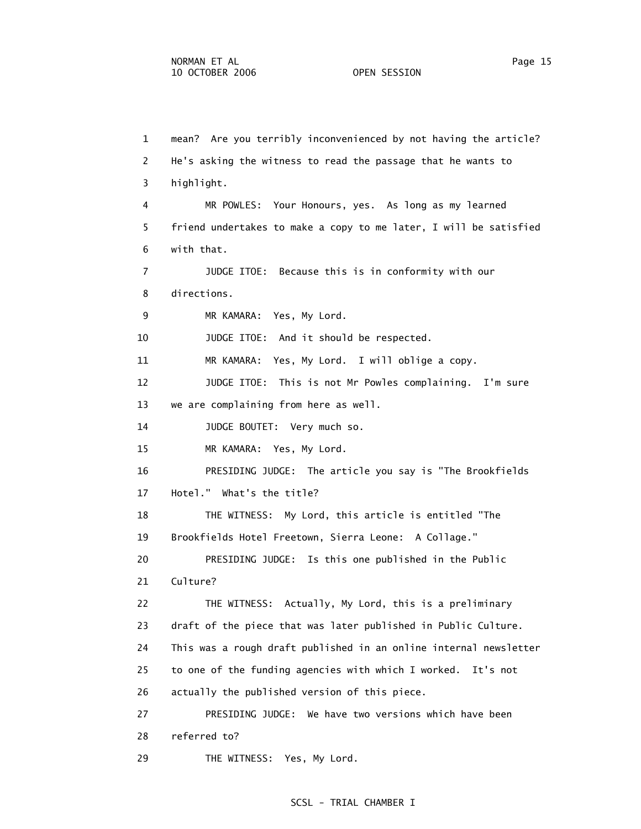1 mean? Are you terribly inconvenienced by not having the article? 2 He's asking the witness to read the passage that he wants to 3 highlight. 4 MR POWLES: Your Honours, yes. As long as my learned 5 friend undertakes to make a copy to me later, I will be satisfied 6 with that. 7 JUDGE ITOE: Because this is in conformity with our 8 directions. 9 MR KAMARA: Yes, My Lord. 10 JUDGE ITOE: And it should be respected. 11 MR KAMARA: Yes, My Lord. I will oblige a copy. 12 JUDGE ITOE: This is not Mr Powles complaining. I'm sure 13 we are complaining from here as well. 14 JUDGE BOUTET: Very much so. 15 MR KAMARA: Yes, My Lord. 16 PRESIDING JUDGE: The article you say is "The Brookfields 17 Hotel." What's the title? 18 THE WITNESS: My Lord, this article is entitled "The 19 Brookfields Hotel Freetown, Sierra Leone: A Collage." 20 PRESIDING JUDGE: Is this one published in the Public 21 Culture? 22 THE WITNESS: Actually, My Lord, this is a preliminary 23 draft of the piece that was later published in Public Culture. 24 This was a rough draft published in an online internal newsletter 25 to one of the funding agencies with which I worked. It's not 26 actually the published version of this piece. 27 PRESIDING JUDGE: We have two versions which have been 28 referred to? 29 THE WITNESS: Yes, My Lord.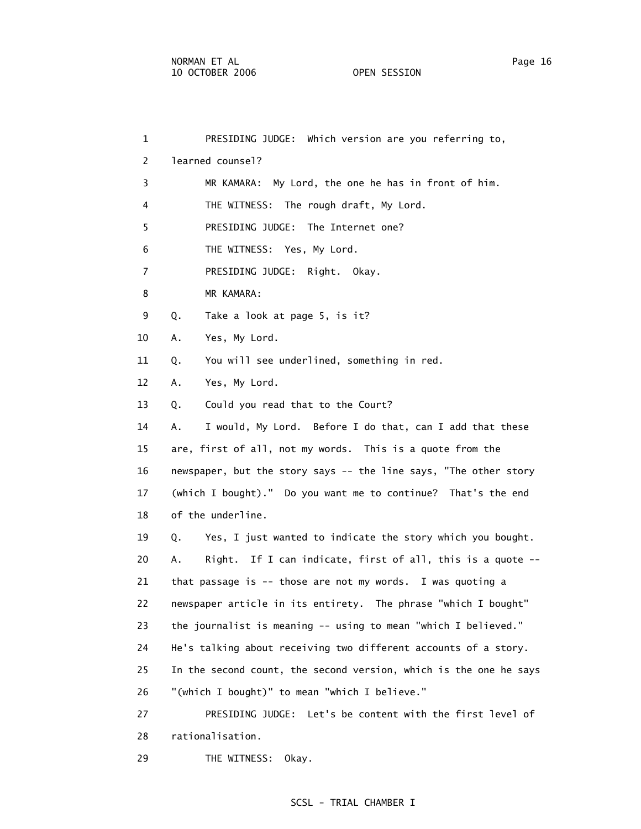| $\mathbf 1$    | PRESIDING JUDGE: Which version are you referring to,              |
|----------------|-------------------------------------------------------------------|
| 2              | learned counsel?                                                  |
| 3              | MR KAMARA: My Lord, the one he has in front of him.               |
| 4              | THE WITNESS: The rough draft, My Lord.                            |
| 5              | PRESIDING JUDGE: The Internet one?                                |
| 6              | THE WITNESS: Yes, My Lord.                                        |
| $\overline{7}$ | PRESIDING JUDGE: Right. Okay.                                     |
| 8              | MR KAMARA:                                                        |
| 9              | Take a look at page 5, is it?<br>Q.                               |
| 10             | Yes, My Lord.<br>Α.                                               |
| 11             | You will see underlined, something in red.<br>Q.                  |
| 12             | Yes, My Lord.<br>Α.                                               |
| 13             | Could you read that to the Court?<br>Q.                           |
| 14             | I would, My Lord. Before I do that, can I add that these<br>Α.    |
| 15             | are, first of all, not my words. This is a quote from the         |
| 16             | newspaper, but the story says -- the line says, "The other story  |
| 17             | (which I bought)." Do you want me to continue? That's the end     |
| 18             | of the underline.                                                 |
| 19             | Yes, I just wanted to indicate the story which you bought.<br>Q.  |
| 20             | Right. If I can indicate, first of all, this is a quote --<br>Α.  |
| 21             | that passage is $-$ those are not my words. I was quoting a       |
| 22             | newspaper article in its entirety. The phrase "which I bought"    |
| 23             | the journalist is meaning -- using to mean "which I believed."    |
| 24             | He's talking about receiving two different accounts of a story.   |
| 25             | In the second count, the second version, which is the one he says |
| 26             | "(which I bought)" to mean "which I believe."                     |
| 27             | PRESIDING JUDGE: Let's be content with the first level of         |
| 28             | rationalisation.                                                  |
| 29             | THE WITNESS:<br>Okay.                                             |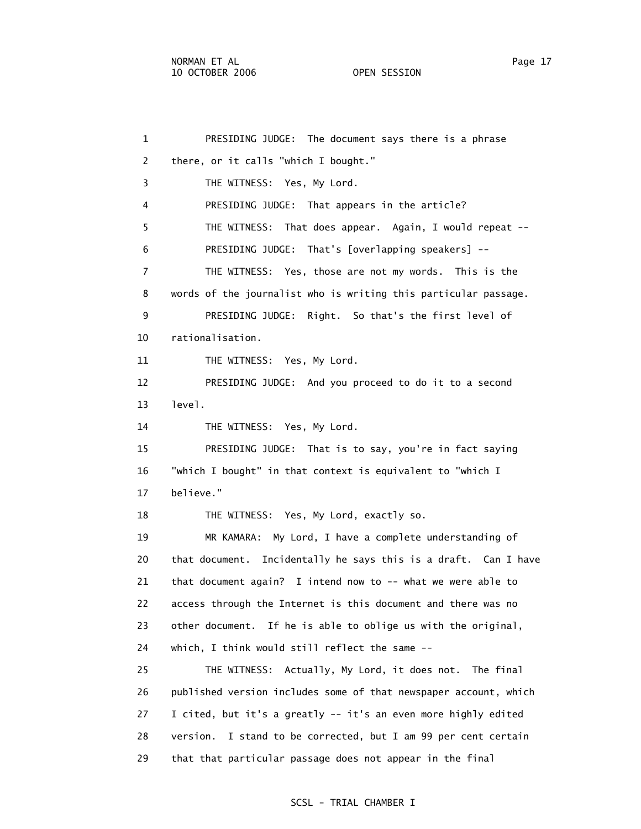1 PRESIDING JUDGE: The document says there is a phrase 2 there, or it calls "which I bought." 3 THE WITNESS: Yes, My Lord. 4 PRESIDING JUDGE: That appears in the article? 5 THE WITNESS: That does appear. Again, I would repeat -- 6 PRESIDING JUDGE: That's [overlapping speakers] -- 7 THE WITNESS: Yes, those are not my words. This is the 8 words of the journalist who is writing this particular passage. 9 PRESIDING JUDGE: Right. So that's the first level of 10 rationalisation. 11 THE WITNESS: Yes, My Lord. 12 PRESIDING JUDGE: And you proceed to do it to a second 13 level. 14 THE WITNESS: Yes, My Lord. 15 PRESIDING JUDGE: That is to say, you're in fact saying 16 "which I bought" in that context is equivalent to "which I 17 believe." 18 THE WITNESS: Yes, My Lord, exactly so. 19 MR KAMARA: My Lord, I have a complete understanding of 20 that document. Incidentally he says this is a draft. Can I have 21 that document again? I intend now to -- what we were able to 22 access through the Internet is this document and there was no 23 other document. If he is able to oblige us with the original, 24 which, I think would still reflect the same -- 25 THE WITNESS: Actually, My Lord, it does not. The final 26 published version includes some of that newspaper account, which 27 I cited, but it's a greatly -- it's an even more highly edited 28 version. I stand to be corrected, but I am 99 per cent certain 29 that that particular passage does not appear in the final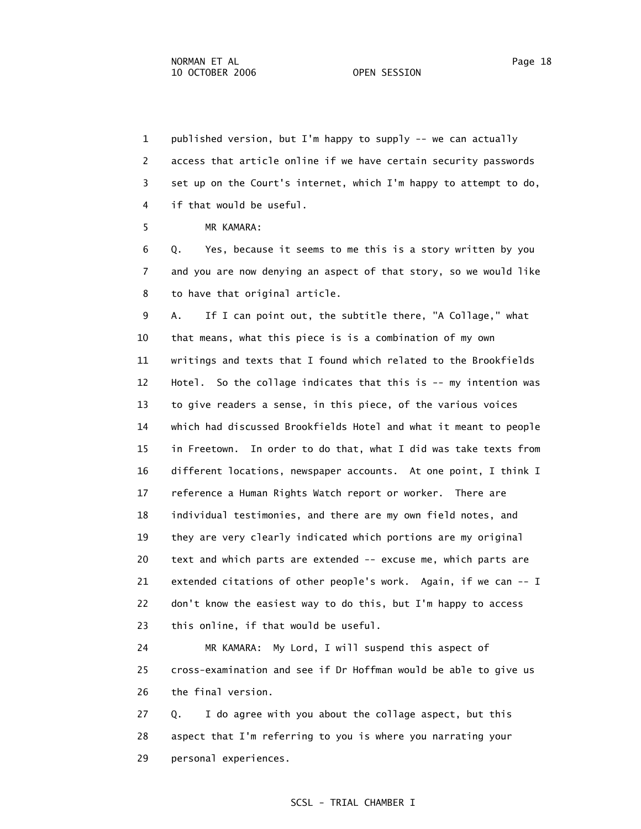1 published version, but I'm happy to supply -- we can actually 2 access that article online if we have certain security passwords 3 set up on the Court's internet, which I'm happy to attempt to do, 4 if that would be useful.

5 MR KAMARA:

 6 Q. Yes, because it seems to me this is a story written by you 7 and you are now denying an aspect of that story, so we would like 8 to have that original article.

 9 A. If I can point out, the subtitle there, "A Collage," what 10 that means, what this piece is is a combination of my own 11 writings and texts that I found which related to the Brookfields 12 Hotel. So the collage indicates that this is -- my intention was 13 to give readers a sense, in this piece, of the various voices 14 which had discussed Brookfields Hotel and what it meant to people 15 in Freetown. In order to do that, what I did was take texts from 16 different locations, newspaper accounts. At one point, I think I 17 reference a Human Rights Watch report or worker. There are 18 individual testimonies, and there are my own field notes, and 19 they are very clearly indicated which portions are my original 20 text and which parts are extended -- excuse me, which parts are 21 extended citations of other people's work. Again, if we can -- I 22 don't know the easiest way to do this, but I'm happy to access 23 this online, if that would be useful.

 24 MR KAMARA: My Lord, I will suspend this aspect of 25 cross-examination and see if Dr Hoffman would be able to give us 26 the final version.

 27 Q. I do agree with you about the collage aspect, but this 28 aspect that I'm referring to you is where you narrating your 29 personal experiences.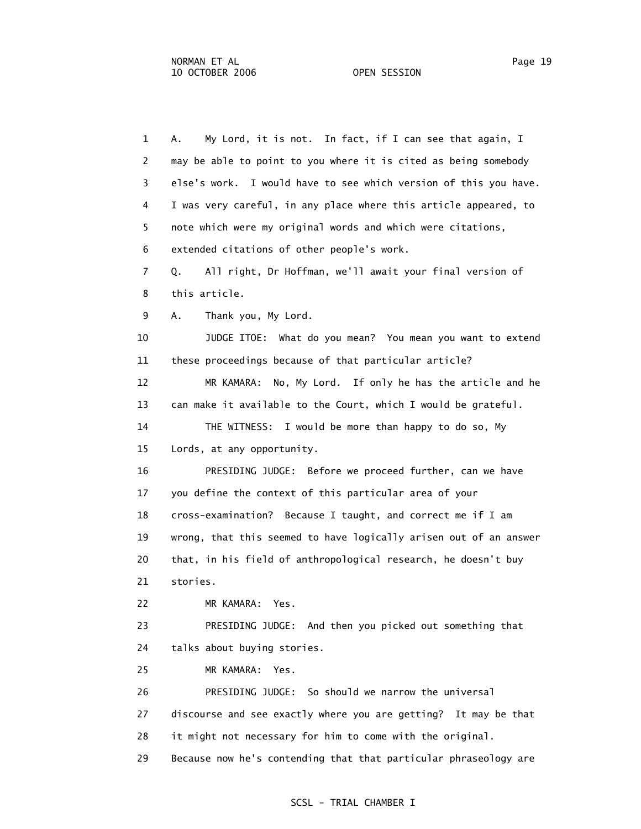1 A. My Lord, it is not. In fact, if I can see that again, I 2 may be able to point to you where it is cited as being somebody 3 else's work. I would have to see which version of this you have. 4 I was very careful, in any place where this article appeared, to 5 note which were my original words and which were citations, 6 extended citations of other people's work. 7 Q. All right, Dr Hoffman, we'll await your final version of 8 this article. 9 A. Thank you, My Lord. 10 JUDGE ITOE: What do you mean? You mean you want to extend 11 these proceedings because of that particular article? 12 MR KAMARA: No, My Lord. If only he has the article and he 13 can make it available to the Court, which I would be grateful. 14 THE WITNESS: I would be more than happy to do so, My 15 Lords, at any opportunity. 16 PRESIDING JUDGE: Before we proceed further, can we have 17 you define the context of this particular area of your 18 cross-examination? Because I taught, and correct me if I am 19 wrong, that this seemed to have logically arisen out of an answer 20 that, in his field of anthropological research, he doesn't buy 21 stories. 22 MR KAMARA: Yes. 23 PRESIDING JUDGE: And then you picked out something that 24 talks about buying stories. 25 MR KAMARA: Yes. 26 PRESIDING JUDGE: So should we narrow the universal 27 discourse and see exactly where you are getting? It may be that 28 it might not necessary for him to come with the original. 29 Because now he's contending that that particular phraseology are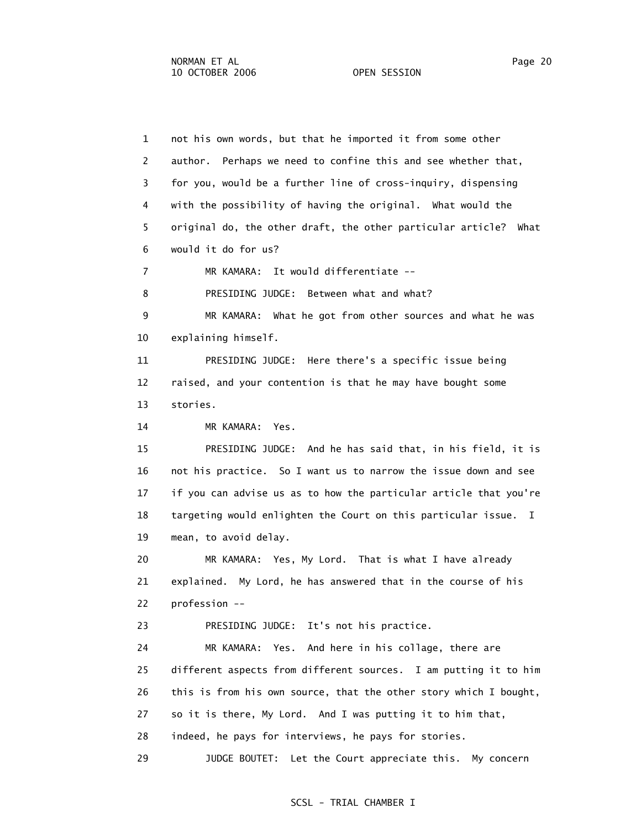1 not his own words, but that he imported it from some other 2 author. Perhaps we need to confine this and see whether that, 3 for you, would be a further line of cross-inquiry, dispensing 4 with the possibility of having the original. What would the 5 original do, the other draft, the other particular article? What 6 would it do for us? 7 MR KAMARA: It would differentiate -- 8 PRESIDING JUDGE: Between what and what? 9 MR KAMARA: What he got from other sources and what he was 10 explaining himself. 11 PRESIDING JUDGE: Here there's a specific issue being 13 stories. 14 MR KAMARA: Yes. 15 PRESIDING JUDGE: And he has said that, in his field, it is 20 MR KAMARA: Yes, My Lord. That is what I have already 24 MR KAMARA: Yes. And here in his collage, there are 25 different aspects from different sources. I am putting it to him 26 this is from his own source, that the other story which I bought, 27 so it is there, My Lord. And I was putting it to him that, 28 indeed, he pays for interviews, he pays for stories. 29 JUDGE BOUTET: Let the Court appreciate this. My concern

12 raised, and your contention is that he may have bought some

 16 not his practice. So I want us to narrow the issue down and see 17 if you can advise us as to how the particular article that you're 18 targeting would enlighten the Court on this particular issue. I 19 mean, to avoid delay.

 21 explained. My Lord, he has answered that in the course of his 22 profession --

23 PRESIDING JUDGE: It's not his practice.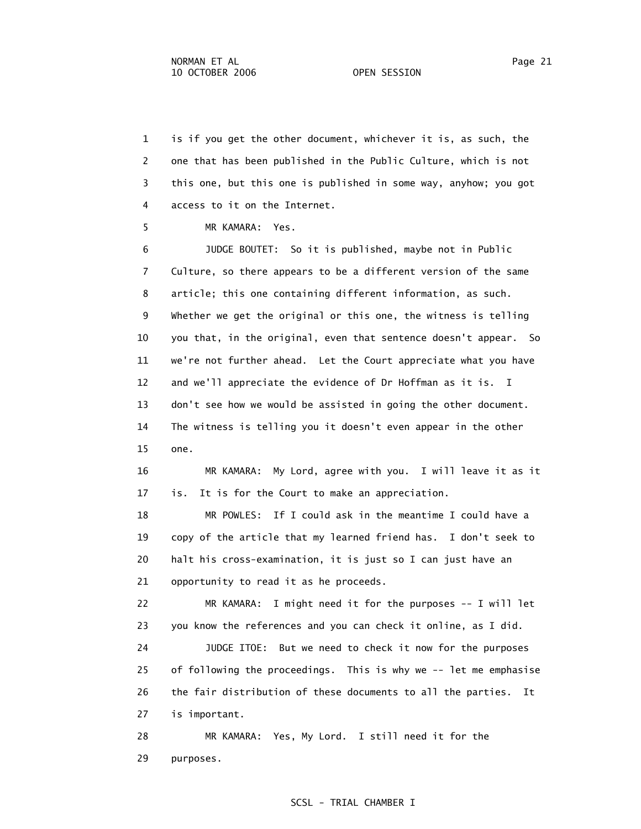1 is if you get the other document, whichever it is, as such, the 2 one that has been published in the Public Culture, which is not 3 this one, but this one is published in some way, anyhow; you got 4 access to it on the Internet.

5 MR KAMARA: Yes.

 6 JUDGE BOUTET: So it is published, maybe not in Public 7 Culture, so there appears to be a different version of the same 8 article; this one containing different information, as such. 9 Whether we get the original or this one, the witness is telling 10 you that, in the original, even that sentence doesn't appear. So 11 we're not further ahead. Let the Court appreciate what you have 12 and we'll appreciate the evidence of Dr Hoffman as it is. I 13 don't see how we would be assisted in going the other document. 14 The witness is telling you it doesn't even appear in the other 15 one.

 16 MR KAMARA: My Lord, agree with you. I will leave it as it 17 is. It is for the Court to make an appreciation.

 18 MR POWLES: If I could ask in the meantime I could have a 19 copy of the article that my learned friend has. I don't seek to 20 halt his cross-examination, it is just so I can just have an 21 opportunity to read it as he proceeds.

 22 MR KAMARA: I might need it for the purposes -- I will let 23 you know the references and you can check it online, as I did.

 24 JUDGE ITOE: But we need to check it now for the purposes 25 of following the proceedings. This is why we -- let me emphasise 26 the fair distribution of these documents to all the parties. It 27 is important.

 28 MR KAMARA: Yes, My Lord. I still need it for the 29 purposes.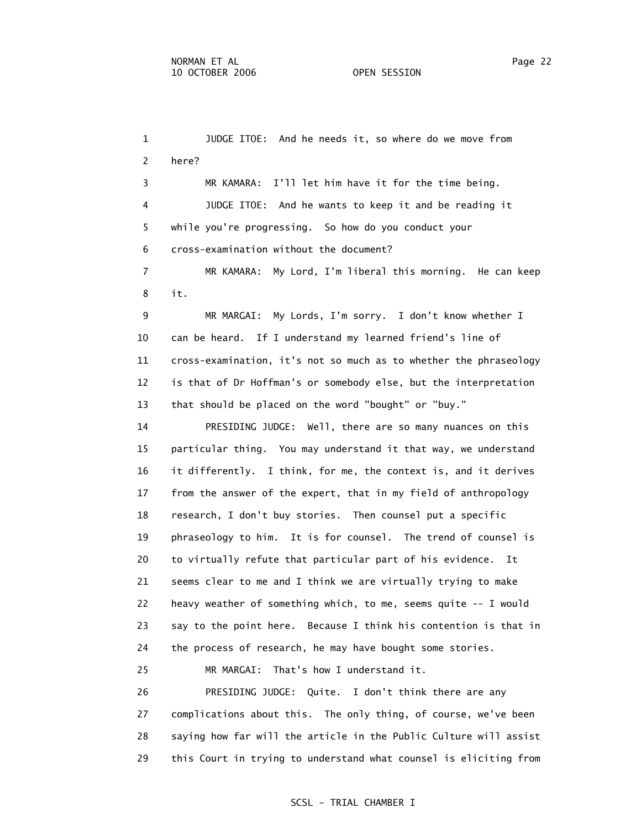1 JUDGE ITOE: And he needs it, so where do we move from 2 here? 3 MR KAMARA: I'll let him have it for the time being. 4 JUDGE ITOE: And he wants to keep it and be reading it 5 while you're progressing. So how do you conduct your 6 cross-examination without the document? 7 MR KAMARA: My Lord, I'm liberal this morning. He can keep 8 it. 9 MR MARGAI: My Lords, I'm sorry. I don't know whether I 10 can be heard. If I understand my learned friend's line of 11 cross-examination, it's not so much as to whether the phraseology 12 is that of Dr Hoffman's or somebody else, but the interpretation 13 that should be placed on the word "bought" or "buy." 14 PRESIDING JUDGE: Well, there are so many nuances on this 15 particular thing. You may understand it that way, we understand 16 it differently. I think, for me, the context is, and it derives 17 from the answer of the expert, that in my field of anthropology 18 research, I don't buy stories. Then counsel put a specific 19 phraseology to him. It is for counsel. The trend of counsel is 20 to virtually refute that particular part of his evidence. It 21 seems clear to me and I think we are virtually trying to make 22 heavy weather of something which, to me, seems quite -- I would 23 say to the point here. Because I think his contention is that in 24 the process of research, he may have bought some stories. 25 MR MARGAI: That's how I understand it. 26 PRESIDING JUDGE: Quite. I don't think there are any 27 complications about this. The only thing, of course, we've been 28 saying how far will the article in the Public Culture will assist 29 this Court in trying to understand what counsel is eliciting from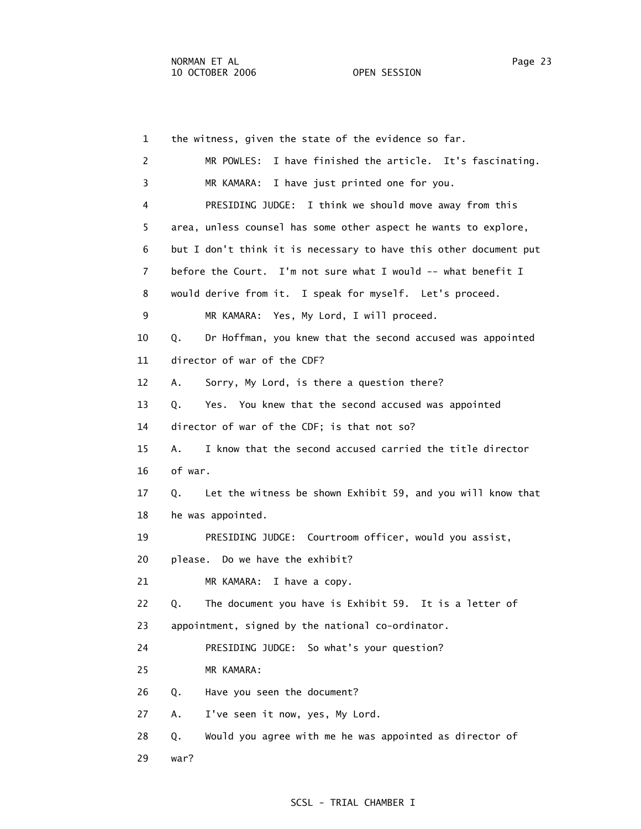| $\mathbf{1}$   | the witness, given the state of the evidence so far.              |
|----------------|-------------------------------------------------------------------|
| $\overline{c}$ | I have finished the article. It's fascinating.<br>MR POWLES:      |
| 3              | MR KAMARA: I have just printed one for you.                       |
| 4              | PRESIDING JUDGE: I think we should move away from this            |
| 5              | area, unless counsel has some other aspect he wants to explore,   |
| 6              | but I don't think it is necessary to have this other document put |
| 7              | before the Court. I'm not sure what I would -- what benefit I     |
| 8              | would derive from it. I speak for myself. Let's proceed.          |
| 9              | MR KAMARA: Yes, My Lord, I will proceed.                          |
| 10             | Dr Hoffman, you knew that the second accused was appointed<br>Q.  |
| 11             | director of war of the CDF?                                       |
| 12             | Sorry, My Lord, is there a question there?<br>А.                  |
| 13             | Yes. You knew that the second accused was appointed<br>Q.         |
| 14             | director of war of the CDF; is that not so?                       |
| 15             | I know that the second accused carried the title director<br>Α.   |
| 16             | of war.                                                           |
| 17             | Let the witness be shown Exhibit 59, and you will know that<br>Q. |
| 18             | he was appointed.                                                 |
| 19             | PRESIDING JUDGE: Courtroom officer, would you assist,             |
| 20             | please. Do we have the exhibit?                                   |
| 21             | MR KAMARA:<br>I have a copy.                                      |
| 22             | The document you have is Exhibit 59. It is a letter of            |
| 23             | appointment, signed by the national co-ordinator.                 |
| 24             | PRESIDING JUDGE: So what's your question?                         |
| 25             | MR KAMARA:                                                        |
| 26             | Have you seen the document?<br>Q.                                 |
| 27             | I've seen it now, yes, My Lord.<br>Α.                             |
| 28             | Would you agree with me he was appointed as director of<br>Q.     |
| 29             | war?                                                              |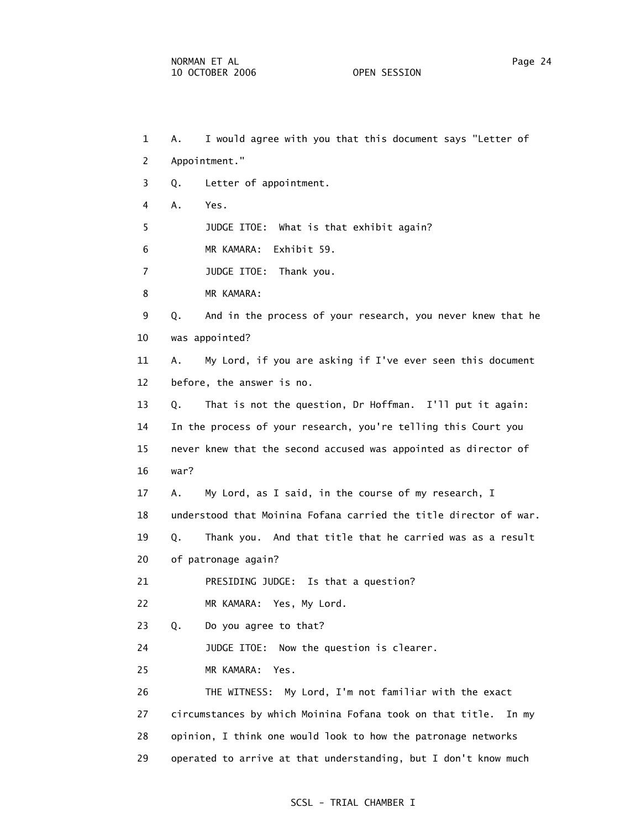1 A. I would agree with you that this document says "Letter of 2 Appointment." 3 Q. Letter of appointment. 4 A. Yes. 5 JUDGE ITOE: What is that exhibit again? 6 MR KAMARA: Exhibit 59. 7 JUDGE ITOE: Thank you. 8 MR KAMARA: 9 Q. And in the process of your research, you never knew that he 10 was appointed? 11 A. My Lord, if you are asking if I've ever seen this document 12 before, the answer is no. 13 Q. That is not the question, Dr Hoffman. I'll put it again: 14 In the process of your research, you're telling this Court you 15 never knew that the second accused was appointed as director of 16 war? 17 A. My Lord, as I said, in the course of my research, I 18 understood that Moinina Fofana carried the title director of war. 19 Q. Thank you. And that title that he carried was as a result 20 of patronage again? 21 PRESIDING JUDGE: Is that a question? 22 MR KAMARA: Yes, My Lord. 23 Q. Do you agree to that? 24 JUDGE ITOE: Now the question is clearer. 25 MR KAMARA: Yes. 26 THE WITNESS: My Lord, I'm not familiar with the exact 27 circumstances by which Moinina Fofana took on that title. In my 28 opinion, I think one would look to how the patronage networks 29 operated to arrive at that understanding, but I don't know much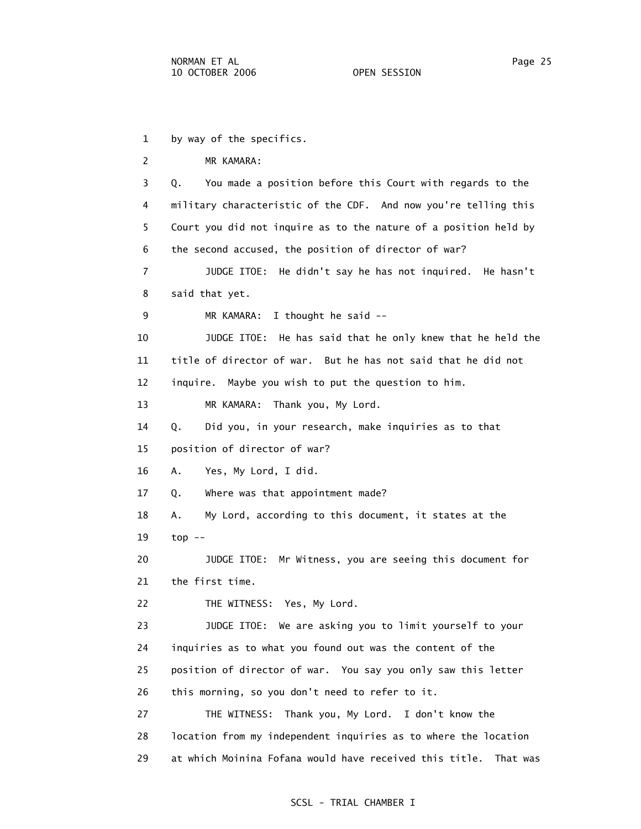1 by way of the specifics. 2 MR KAMARA: 3 Q. You made a position before this Court with regards to the 4 military characteristic of the CDF. And now you're telling this 5 Court you did not inquire as to the nature of a position held by 6 the second accused, the position of director of war? 7 JUDGE ITOE: He didn't say he has not inquired. He hasn't 8 said that yet. 9 MR KAMARA: I thought he said -- 10 JUDGE ITOE: He has said that he only knew that he held the 11 title of director of war. But he has not said that he did not 12 inquire. Maybe you wish to put the question to him. 13 MR KAMARA: Thank you, My Lord. 14 Q. Did you, in your research, make inquiries as to that 15 position of director of war? 16 A. Yes, My Lord, I did. 17 Q. Where was that appointment made? 18 A. My Lord, according to this document, it states at the 19 top -- 20 JUDGE ITOE: Mr Witness, you are seeing this document for 21 the first time. 22 THE WITNESS: Yes, My Lord. 23 JUDGE ITOE: We are asking you to limit yourself to your 24 inquiries as to what you found out was the content of the 25 position of director of war. You say you only saw this letter 26 this morning, so you don't need to refer to it. 27 THE WITNESS: Thank you, My Lord. I don't know the 28 location from my independent inquiries as to where the location 29 at which Moinina Fofana would have received this title. That was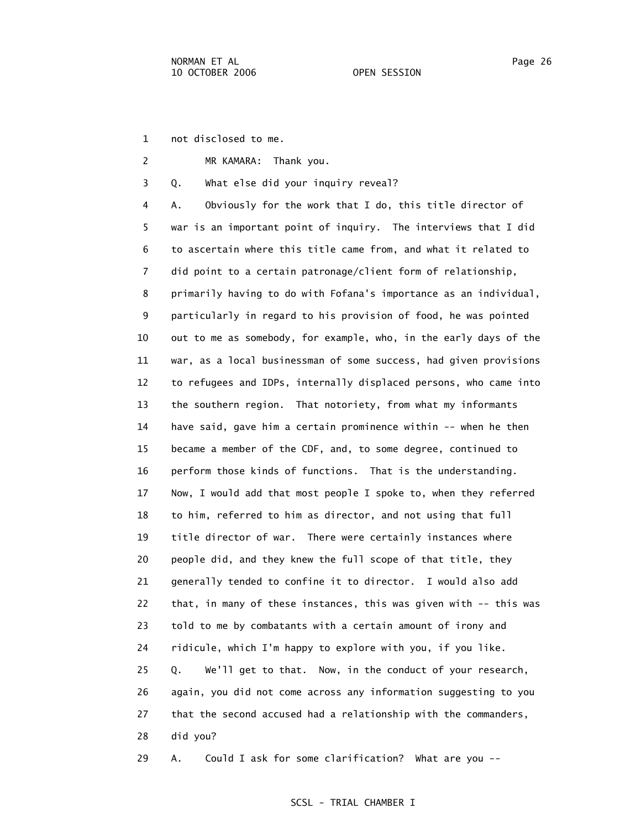1 not disclosed to me.

2 MR KAMARA: Thank you.

3 Q. What else did your inquiry reveal?

 4 A. Obviously for the work that I do, this title director of 5 war is an important point of inquiry. The interviews that I did 6 to ascertain where this title came from, and what it related to 7 did point to a certain patronage/client form of relationship, 8 primarily having to do with Fofana's importance as an individual, 9 particularly in regard to his provision of food, he was pointed 10 out to me as somebody, for example, who, in the early days of the 11 war, as a local businessman of some success, had given provisions 12 to refugees and IDPs, internally displaced persons, who came into 13 the southern region. That notoriety, from what my informants 14 have said, gave him a certain prominence within -- when he then 15 became a member of the CDF, and, to some degree, continued to 16 perform those kinds of functions. That is the understanding. 17 Now, I would add that most people I spoke to, when they referred 18 to him, referred to him as director, and not using that full 19 title director of war. There were certainly instances where 20 people did, and they knew the full scope of that title, they 21 generally tended to confine it to director. I would also add 22 that, in many of these instances, this was given with -- this was 23 told to me by combatants with a certain amount of irony and 24 ridicule, which I'm happy to explore with you, if you like. 25 Q. We'll get to that. Now, in the conduct of your research, 26 again, you did not come across any information suggesting to you 27 that the second accused had a relationship with the commanders, 28 did you?

29 A. Could I ask for some clarification? What are you --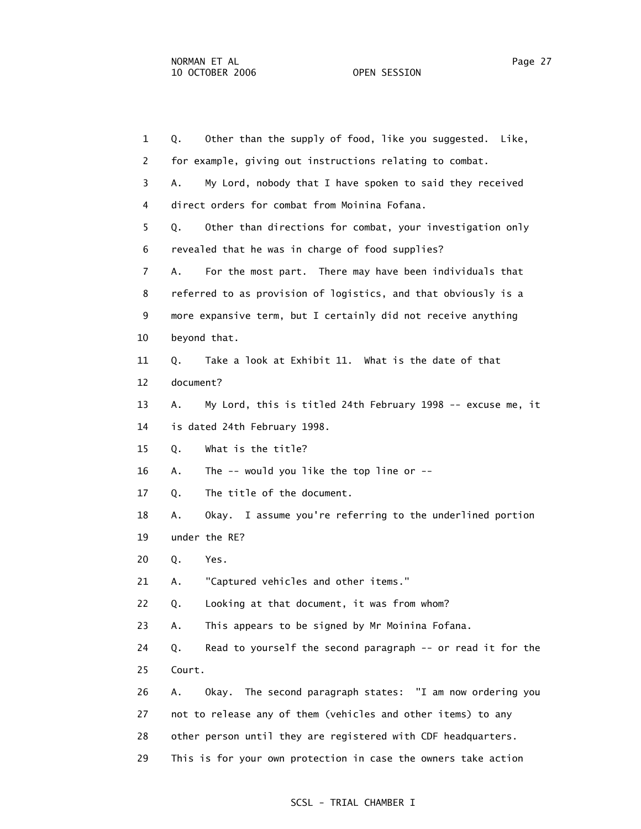1 Q. Other than the supply of food, like you suggested. Like, 2 for example, giving out instructions relating to combat. 3 A. My Lord, nobody that I have spoken to said they received 4 direct orders for combat from Moinina Fofana. 5 Q. Other than directions for combat, your investigation only 6 revealed that he was in charge of food supplies? 7 A. For the most part. There may have been individuals that 8 referred to as provision of logistics, and that obviously is a 9 more expansive term, but I certainly did not receive anything 10 beyond that. 11 Q. Take a look at Exhibit 11. What is the date of that 12 document? 13 A. My Lord, this is titled 24th February 1998 -- excuse me, it 14 is dated 24th February 1998. 15 Q. What is the title? 16 A. The -- would you like the top line or -- 17 Q. The title of the document. 18 A. Okay. I assume you're referring to the underlined portion 19 under the RE? 20 Q. Yes. 21 A. "Captured vehicles and other items." 22 Q. Looking at that document, it was from whom? 23 A. This appears to be signed by Mr Moinina Fofana. 24 Q. Read to yourself the second paragraph -- or read it for the 25 Court. 26 A. Okay. The second paragraph states: "I am now ordering you 27 not to release any of them (vehicles and other items) to any 28 other person until they are registered with CDF headquarters. 29 This is for your own protection in case the owners take action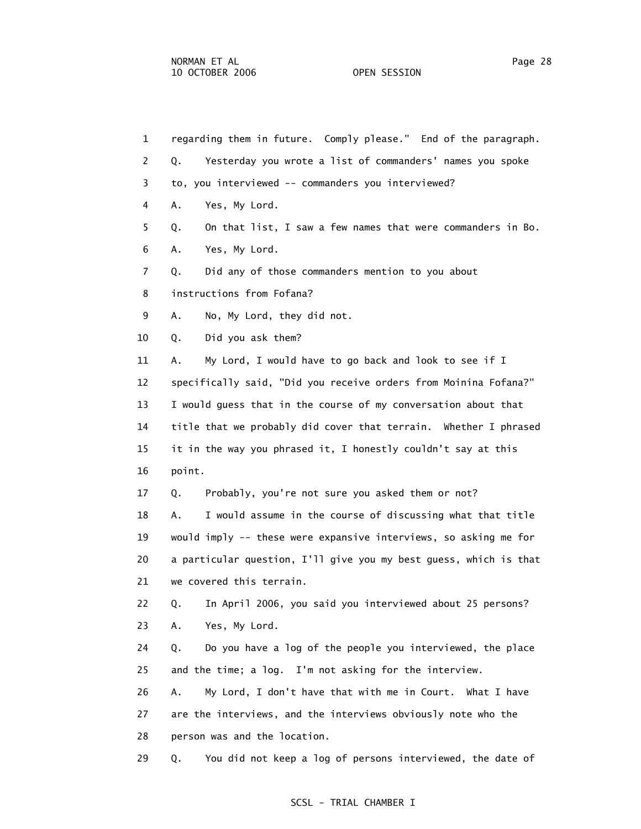| $\mathbf{1}$   | regarding them in future. Comply please." End of the paragraph.   |
|----------------|-------------------------------------------------------------------|
| $\overline{2}$ | Yesterday you wrote a list of commanders' names you spoke<br>Q.   |
| 3              | to, you interviewed -- commanders you interviewed?                |
| 4              | Yes, My Lord.<br>Α.                                               |
| 5              | On that list, I saw a few names that were commanders in Bo.<br>Q. |
| 6              | Yes, My Lord.<br>Α.                                               |
| $\overline{7}$ | Did any of those commanders mention to you about<br>Q.            |
| 8              | instructions from Fofana?                                         |
| 9              | No, My Lord, they did not.<br>Α.                                  |
| 10             | Did you ask them?<br>Q.                                           |
| 11             | My Lord, I would have to go back and look to see if I<br>Α.       |
| 12             | specifically said, "Did you receive orders from Moinina Fofana?"  |
| 13             | I would guess that in the course of my conversation about that    |
| 14             | title that we probably did cover that terrain. Whether I phrased  |
| 15             | it in the way you phrased it, I honestly couldn't say at this     |
| 16             | point.                                                            |
| 17             | Probably, you're not sure you asked them or not?<br>Q.            |
| 18             | I would assume in the course of discussing what that title<br>Α.  |
| 19             | would imply -- these were expansive interviews, so asking me for  |
| 20             | a particular question, I'll give you my best guess, which is that |
| 21             | we covered this terrain.                                          |
| 22             | In April 2006, you said you interviewed about 25 persons?<br>Q.   |
| 23             | Yes, My Lord.<br>Α.                                               |
| 24             | Do you have a log of the people you interviewed, the place<br>Q.  |
| 25             | and the time; a log. I'm not asking for the interview.            |
| 26             | My Lord, I don't have that with me in Court. What I have<br>Α.    |
| 27             | are the interviews, and the interviews obviously note who the     |
| 28             | person was and the location.                                      |
| 29             | You did not keep a log of persons interviewed, the date of<br>Q.  |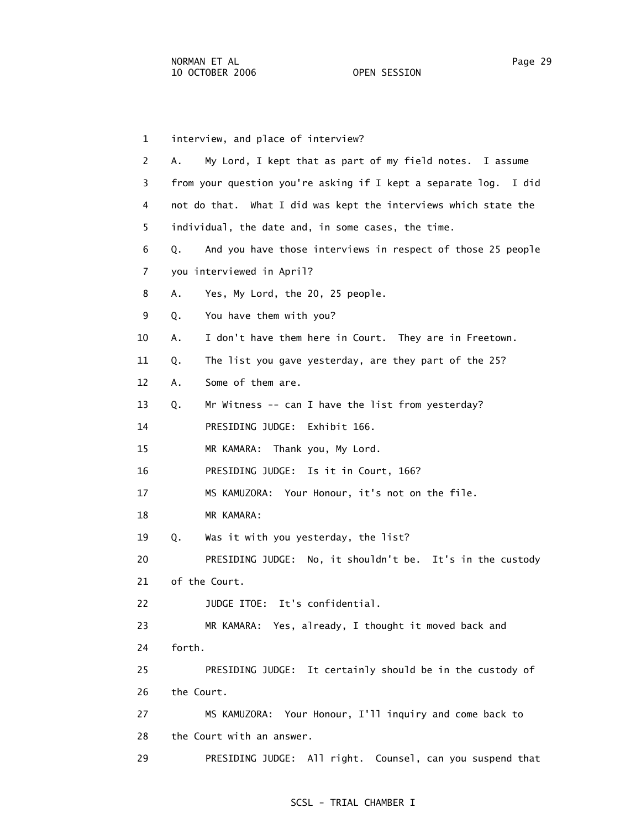| $\mathbf{1}$ | interview, and place of interview?                                  |
|--------------|---------------------------------------------------------------------|
| 2            | My Lord, I kept that as part of my field notes. I assume<br>А.      |
| 3            | from your question you're asking if I kept a separate log.<br>I did |
| 4            | not do that. What I did was kept the interviews which state the     |
| 5.           | individual, the date and, in some cases, the time.                  |
| 6            | And you have those interviews in respect of those 25 people<br>Q.   |
| 7            | you interviewed in April?                                           |
| 8            | Yes, My Lord, the 20, 25 people.<br>Α.                              |
| 9            | You have them with you?<br>Q.                                       |
| 10           | I don't have them here in Court. They are in Freetown.<br>Α.        |
| 11           | The list you gave yesterday, are they part of the 25?<br>Q.         |
| 12           | Some of them are.<br>Α.                                             |
| 13           | Mr Witness -- can I have the list from yesterday?<br>Q.             |
| 14           | PRESIDING JUDGE: Exhibit 166.                                       |
| 15           | MR KAMARA: Thank you, My Lord.                                      |
| 16           | PRESIDING JUDGE: Is it in Court, 166?                               |
| 17           | MS KAMUZORA: Your Honour, it's not on the file.                     |
| 18           | MR KAMARA:                                                          |
| 19           | Was it with you yesterday, the list?<br>Q.                          |
| 20           | PRESIDING JUDGE: No, it shouldn't be. It's in the custody           |
| 21           | of the Court.                                                       |
| 22           | JUDGE ITOE:<br>It's confidential.                                   |
| 23           | MR KAMARA: Yes, already, I thought it moved back and                |
| 24           | forth.                                                              |
| 25           | PRESIDING JUDGE: It certainly should be in the custody of           |
| 26           | the Court.                                                          |
| 27           | MS KAMUZORA: Your Honour, I'll inquiry and come back to             |
| 28           | the Court with an answer.                                           |
| 29           | PRESIDING JUDGE: All right. Counsel, can you suspend that           |
|              |                                                                     |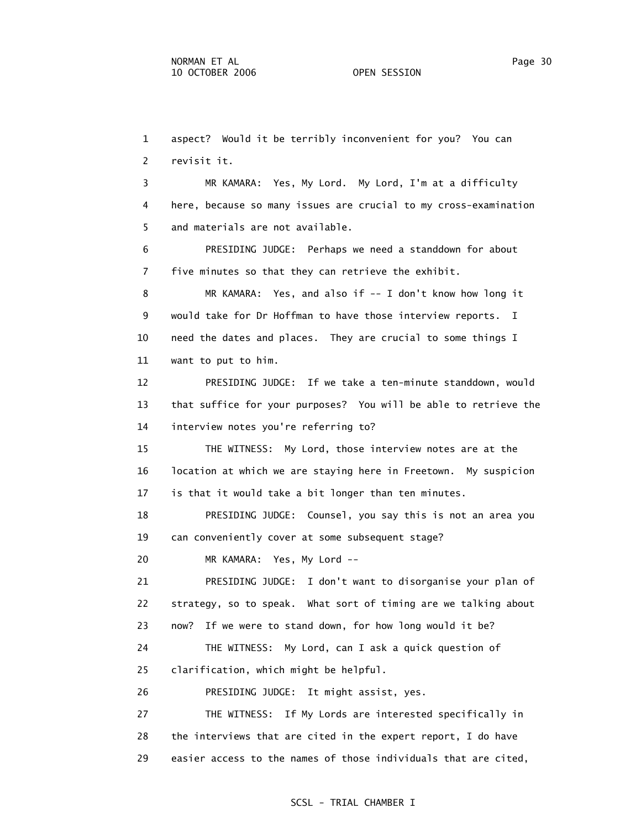1 aspect? Would it be terribly inconvenient for you? You can 2 revisit it. 3 MR KAMARA: Yes, My Lord. My Lord, I'm at a difficulty 4 here, because so many issues are crucial to my cross-examination 5 and materials are not available. 6 PRESIDING JUDGE: Perhaps we need a standdown for about 7 five minutes so that they can retrieve the exhibit. 8 MR KAMARA: Yes, and also if -- I don't know how long it 9 would take for Dr Hoffman to have those interview reports. I 10 need the dates and places. They are crucial to some things I 11 want to put to him. 12 PRESIDING JUDGE: If we take a ten-minute standdown, would 13 that suffice for your purposes? You will be able to retrieve the 14 interview notes you're referring to? 15 THE WITNESS: My Lord, those interview notes are at the 16 location at which we are staying here in Freetown. My suspicion 17 is that it would take a bit longer than ten minutes. 18 PRESIDING JUDGE: Counsel, you say this is not an area you 19 can conveniently cover at some subsequent stage? 20 MR KAMARA: Yes, My Lord -- 21 PRESIDING JUDGE: I don't want to disorganise your plan of 22 strategy, so to speak. What sort of timing are we talking about 23 now? If we were to stand down, for how long would it be? 24 THE WITNESS: My Lord, can I ask a quick question of 25 clarification, which might be helpful. 26 PRESIDING JUDGE: It might assist, yes. 27 THE WITNESS: If My Lords are interested specifically in 28 the interviews that are cited in the expert report, I do have 29 easier access to the names of those individuals that are cited,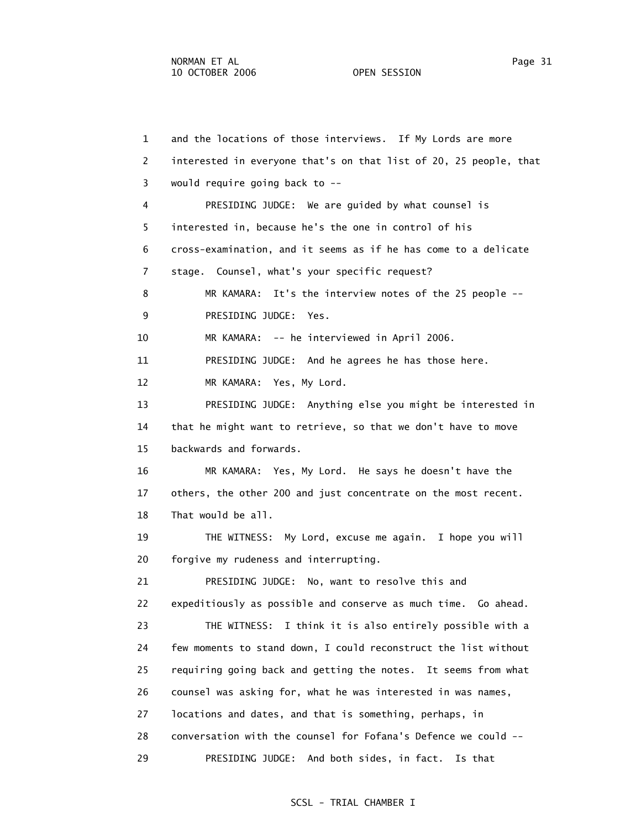1 and the locations of those interviews. If My Lords are more 2 interested in everyone that's on that list of 20, 25 people, that 3 would require going back to -- 4 PRESIDING JUDGE: We are guided by what counsel is 5 interested in, because he's the one in control of his 6 cross-examination, and it seems as if he has come to a delicate 7 stage. Counsel, what's your specific request? 8 MR KAMARA: It's the interview notes of the 25 people -- 9 PRESIDING JUDGE: Yes. 10 MR KAMARA: -- he interviewed in April 2006. 11 PRESIDING JUDGE: And he agrees he has those here. 12 MR KAMARA: Yes, My Lord. 13 PRESIDING JUDGE: Anything else you might be interested in 14 that he might want to retrieve, so that we don't have to move 15 backwards and forwards. 16 MR KAMARA: Yes, My Lord. He says he doesn't have the 17 others, the other 200 and just concentrate on the most recent. 18 That would be all. 19 THE WITNESS: My Lord, excuse me again. I hope you will 20 forgive my rudeness and interrupting. 21 PRESIDING JUDGE: No, want to resolve this and 22 expeditiously as possible and conserve as much time. Go ahead. 23 THE WITNESS: I think it is also entirely possible with a 24 few moments to stand down, I could reconstruct the list without 25 requiring going back and getting the notes. It seems from what 26 counsel was asking for, what he was interested in was names, 27 locations and dates, and that is something, perhaps, in 28 conversation with the counsel for Fofana's Defence we could -- 29 PRESIDING JUDGE: And both sides, in fact. Is that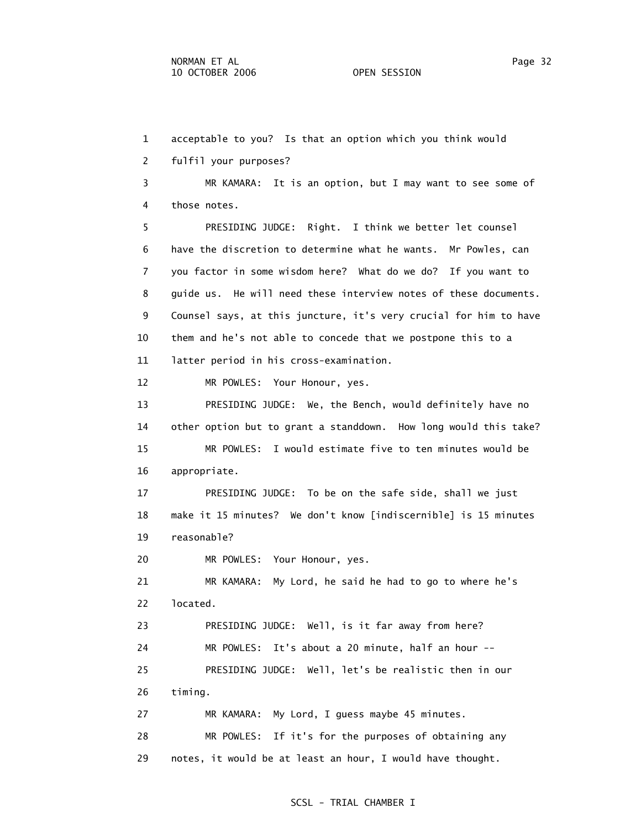1 acceptable to you? Is that an option which you think would 2 fulfil your purposes? 3 MR KAMARA: It is an option, but I may want to see some of 4 those notes. 5 PRESIDING JUDGE: Right. I think we better let counsel 6 have the discretion to determine what he wants. Mr Powles, can 7 you factor in some wisdom here? What do we do? If you want to 8 guide us. He will need these interview notes of these documents. 9 Counsel says, at this juncture, it's very crucial for him to have 10 them and he's not able to concede that we postpone this to a 11 latter period in his cross-examination. 12 MR POWLES: Your Honour, yes. 13 PRESIDING JUDGE: We, the Bench, would definitely have no 14 other option but to grant a standdown. How long would this take? 15 MR POWLES: I would estimate five to ten minutes would be 16 appropriate. 17 PRESIDING JUDGE: To be on the safe side, shall we just 18 make it 15 minutes? We don't know [indiscernible] is 15 minutes 19 reasonable? 20 MR POWLES: Your Honour, yes. 21 MR KAMARA: My Lord, he said he had to go to where he's 22 located. 23 PRESIDING JUDGE: Well, is it far away from here? 24 MR POWLES: It's about a 20 minute, half an hour -- 25 PRESIDING JUDGE: Well, let's be realistic then in our 26 timing. 27 MR KAMARA: My Lord, I guess maybe 45 minutes. 28 MR POWLES: If it's for the purposes of obtaining any 29 notes, it would be at least an hour, I would have thought.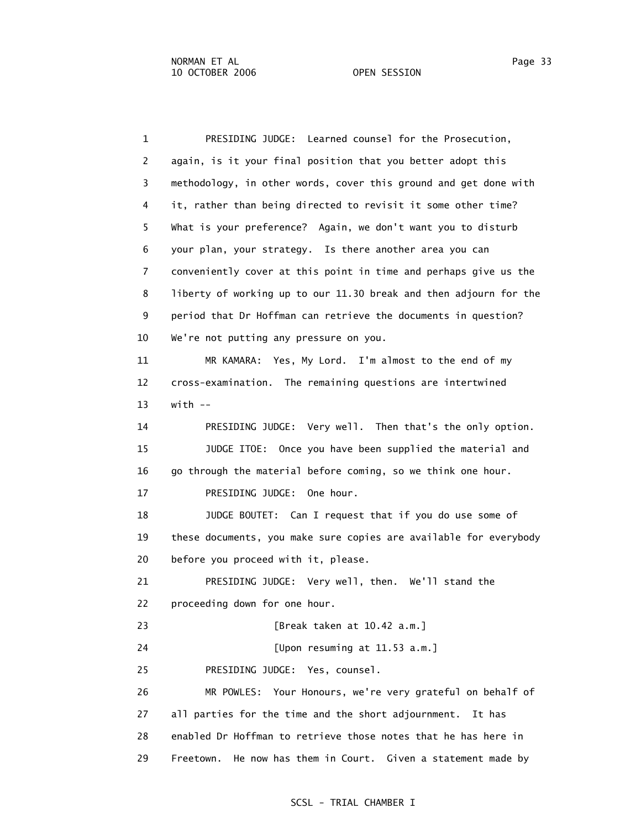1 PRESIDING JUDGE: Learned counsel for the Prosecution, 2 again, is it your final position that you better adopt this 3 methodology, in other words, cover this ground and get done with 4 it, rather than being directed to revisit it some other time? 5 What is your preference? Again, we don't want you to disturb 6 your plan, your strategy. Is there another area you can 7 conveniently cover at this point in time and perhaps give us the 8 liberty of working up to our 11.30 break and then adjourn for the 9 period that Dr Hoffman can retrieve the documents in question? 10 We're not putting any pressure on you. 11 MR KAMARA: Yes, My Lord. I'm almost to the end of my 12 cross-examination. The remaining questions are intertwined 13 with -- 14 PRESIDING JUDGE: Very well. Then that's the only option. 15 JUDGE ITOE: Once you have been supplied the material and 16 go through the material before coming, so we think one hour. 17 PRESIDING JUDGE: One hour. 18 JUDGE BOUTET: Can I request that if you do use some of 19 these documents, you make sure copies are available for everybody 20 before you proceed with it, please. 21 PRESIDING JUDGE: Very well, then. We'll stand the 22 proceeding down for one hour. 23 [Break taken at 10.42 a.m.] 24 [Upon resuming at 11.53 a.m.] 25 PRESIDING JUDGE: Yes, counsel. 26 MR POWLES: Your Honours, we're very grateful on behalf of 27 all parties for the time and the short adjournment. It has 28 enabled Dr Hoffman to retrieve those notes that he has here in 29 Freetown. He now has them in Court. Given a statement made by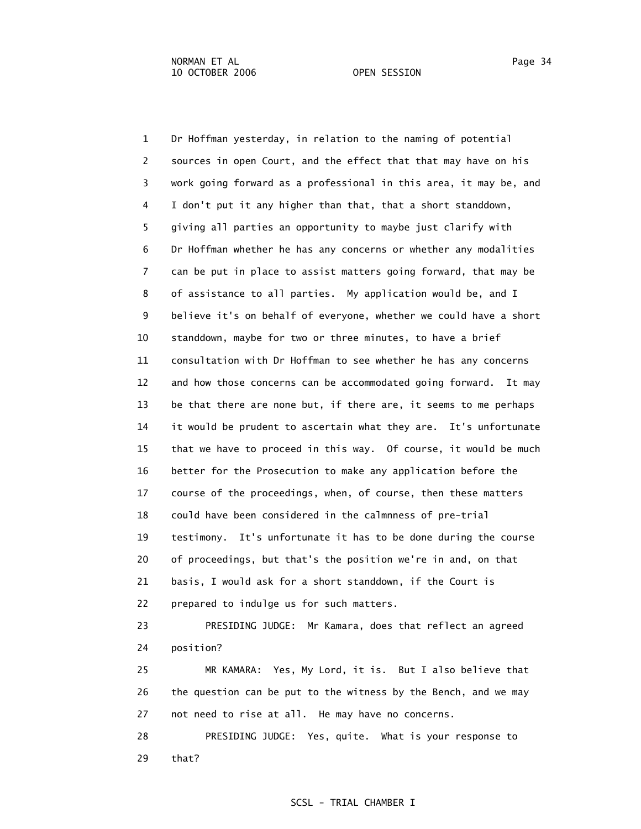24 position?

 1 Dr Hoffman yesterday, in relation to the naming of potential 2 sources in open Court, and the effect that that may have on his 3 work going forward as a professional in this area, it may be, and 4 I don't put it any higher than that, that a short standdown, 5 giving all parties an opportunity to maybe just clarify with 6 Dr Hoffman whether he has any concerns or whether any modalities 7 can be put in place to assist matters going forward, that may be 8 of assistance to all parties. My application would be, and I 9 believe it's on behalf of everyone, whether we could have a short 10 standdown, maybe for two or three minutes, to have a brief 11 consultation with Dr Hoffman to see whether he has any concerns 12 and how those concerns can be accommodated going forward. It may 13 be that there are none but, if there are, it seems to me perhaps 14 it would be prudent to ascertain what they are. It's unfortunate 15 that we have to proceed in this way. Of course, it would be much 16 better for the Prosecution to make any application before the 17 course of the proceedings, when, of course, then these matters 18 could have been considered in the calmnness of pre-trial 19 testimony. It's unfortunate it has to be done during the course 20 of proceedings, but that's the position we're in and, on that 21 basis, I would ask for a short standdown, if the Court is 22 prepared to indulge us for such matters. 23 PRESIDING JUDGE: Mr Kamara, does that reflect an agreed

 25 MR KAMARA: Yes, My Lord, it is. But I also believe that 26 the question can be put to the witness by the Bench, and we may 27 not need to rise at all. He may have no concerns.

 28 PRESIDING JUDGE: Yes, quite. What is your response to 29 that?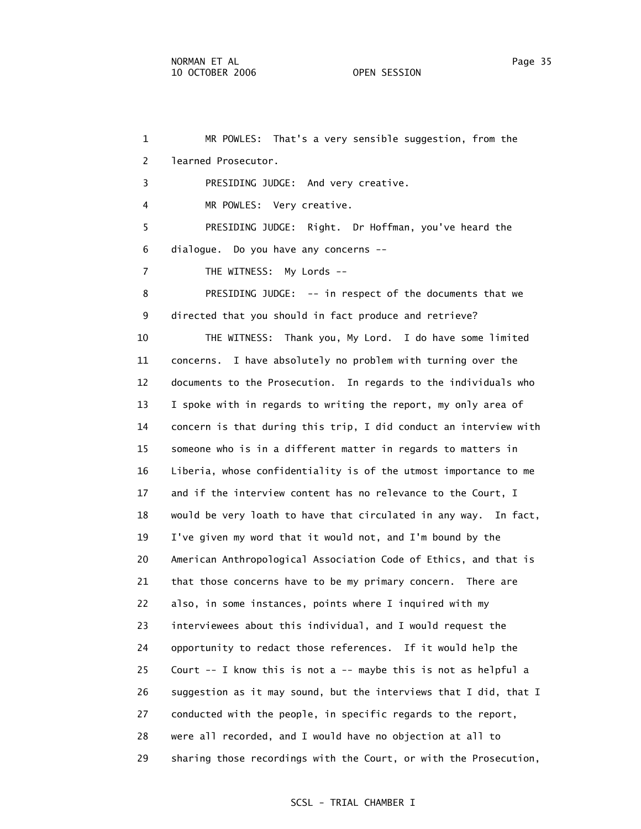1 MR POWLES: That's a very sensible suggestion, from the 2 learned Prosecutor. 3 PRESIDING JUDGE: And very creative. 4 MR POWLES: Very creative. 5 PRESIDING JUDGE: Right. Dr Hoffman, you've heard the 6 dialogue. Do you have any concerns -- 7 THE WITNESS: My Lords -- 8 PRESIDING JUDGE: -- in respect of the documents that we 9 directed that you should in fact produce and retrieve? 10 THE WITNESS: Thank you, My Lord. I do have some limited 11 concerns. I have absolutely no problem with turning over the 12 documents to the Prosecution. In regards to the individuals who 13 I spoke with in regards to writing the report, my only area of 14 concern is that during this trip, I did conduct an interview with 15 someone who is in a different matter in regards to matters in 16 Liberia, whose confidentiality is of the utmost importance to me 17 and if the interview content has no relevance to the Court, I 18 would be very loath to have that circulated in any way. In fact, 19 I've given my word that it would not, and I'm bound by the 20 American Anthropological Association Code of Ethics, and that is 21 that those concerns have to be my primary concern. There are 22 also, in some instances, points where I inquired with my 23 interviewees about this individual, and I would request the 24 opportunity to redact those references. If it would help the 25 Court -- I know this is not a -- maybe this is not as helpful a 26 suggestion as it may sound, but the interviews that I did, that I 27 conducted with the people, in specific regards to the report, 28 were all recorded, and I would have no objection at all to 29 sharing those recordings with the Court, or with the Prosecution,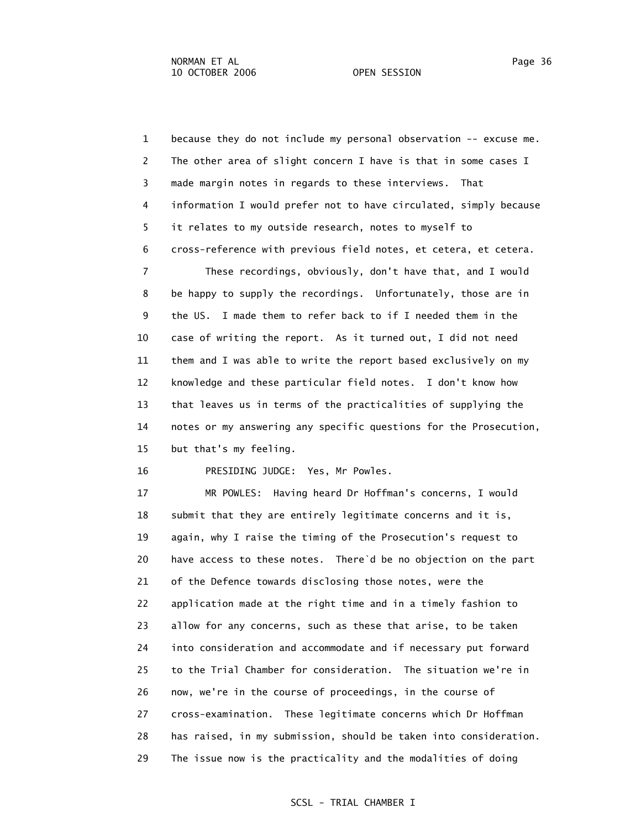1 because they do not include my personal observation -- excuse me. 2 The other area of slight concern I have is that in some cases I 3 made margin notes in regards to these interviews. That 4 information I would prefer not to have circulated, simply because 5 it relates to my outside research, notes to myself to 6 cross-reference with previous field notes, et cetera, et cetera. 7 These recordings, obviously, don't have that, and I would 8 be happy to supply the recordings. Unfortunately, those are in 9 the US. I made them to refer back to if I needed them in the 10 case of writing the report. As it turned out, I did not need 11 them and I was able to write the report based exclusively on my 12 knowledge and these particular field notes. I don't know how 13 that leaves us in terms of the practicalities of supplying the 14 notes or my answering any specific questions for the Prosecution, 15 but that's my feeling.

16 PRESIDING JUDGE: Yes, Mr Powles.

 17 MR POWLES: Having heard Dr Hoffman's concerns, I would 18 submit that they are entirely legitimate concerns and it is, 19 again, why I raise the timing of the Prosecution's request to 20 have access to these notes. There`d be no objection on the part 21 of the Defence towards disclosing those notes, were the 22 application made at the right time and in a timely fashion to 23 allow for any concerns, such as these that arise, to be taken 24 into consideration and accommodate and if necessary put forward 25 to the Trial Chamber for consideration. The situation we're in 26 now, we're in the course of proceedings, in the course of 27 cross-examination. These legitimate concerns which Dr Hoffman 28 has raised, in my submission, should be taken into consideration. 29 The issue now is the practicality and the modalities of doing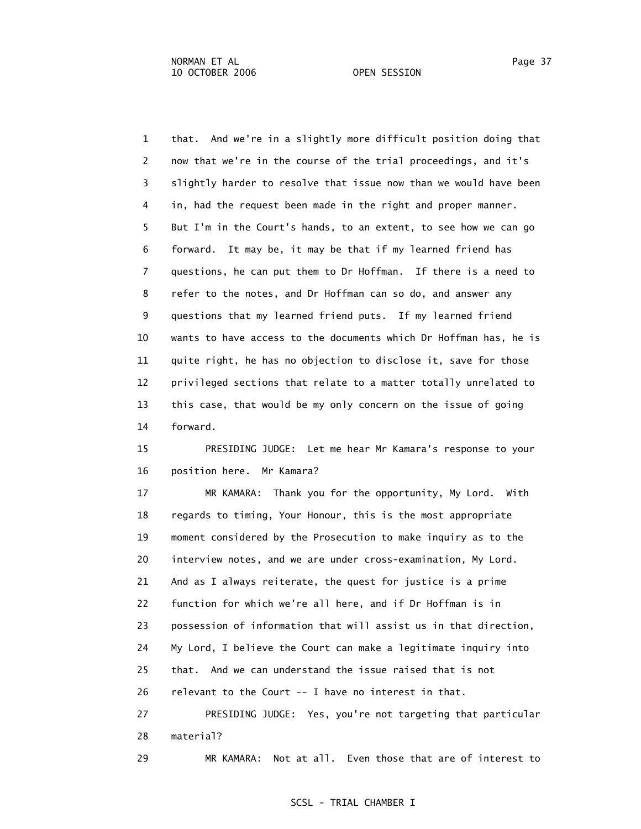1 that. And we're in a slightly more difficult position doing that 2 now that we're in the course of the trial proceedings, and it's 3 slightly harder to resolve that issue now than we would have been 4 in, had the request been made in the right and proper manner. 5 But I'm in the Court's hands, to an extent, to see how we can go 6 forward. It may be, it may be that if my learned friend has 7 questions, he can put them to Dr Hoffman. If there is a need to 8 refer to the notes, and Dr Hoffman can so do, and answer any 9 questions that my learned friend puts. If my learned friend 10 wants to have access to the documents which Dr Hoffman has, he is 11 quite right, he has no objection to disclose it, save for those 12 privileged sections that relate to a matter totally unrelated to 13 this case, that would be my only concern on the issue of going 14 forward.

 15 PRESIDING JUDGE: Let me hear Mr Kamara's response to your 16 position here. Mr Kamara?

 17 MR KAMARA: Thank you for the opportunity, My Lord. With 18 regards to timing, Your Honour, this is the most appropriate 19 moment considered by the Prosecution to make inquiry as to the 20 interview notes, and we are under cross-examination, My Lord. 21 And as I always reiterate, the quest for justice is a prime 22 function for which we're all here, and if Dr Hoffman is in 23 possession of information that will assist us in that direction, 24 My Lord, I believe the Court can make a legitimate inquiry into 25 that. And we can understand the issue raised that is not 26 relevant to the Court -- I have no interest in that. 27 PRESIDING JUDGE: Yes, you're not targeting that particular

28 material?

29 MR KAMARA: Not at all. Even those that are of interest to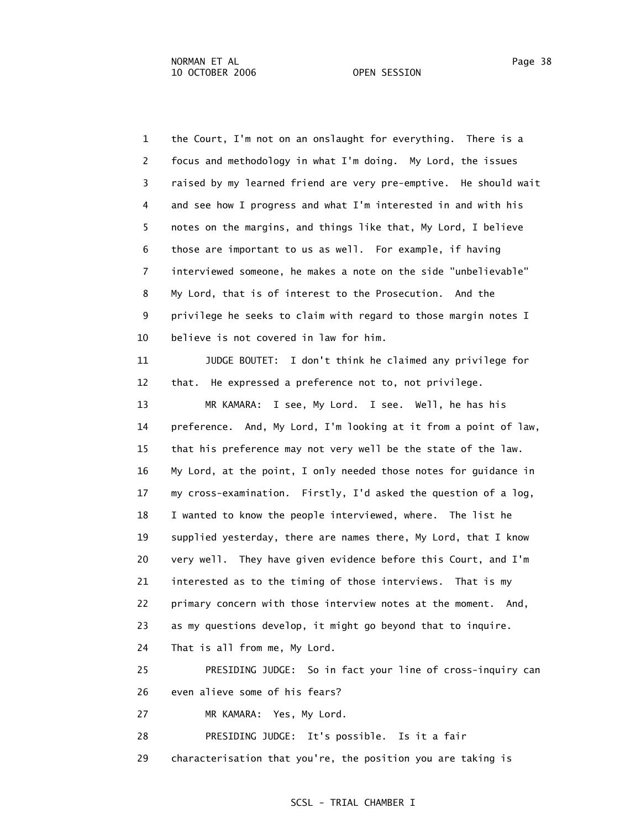1 the Court, I'm not on an onslaught for everything. There is a 2 focus and methodology in what I'm doing. My Lord, the issues 3 raised by my learned friend are very pre-emptive. He should wait 4 and see how I progress and what I'm interested in and with his 5 notes on the margins, and things like that, My Lord, I believe 6 those are important to us as well. For example, if having 7 interviewed someone, he makes a note on the side "unbelievable" 8 My Lord, that is of interest to the Prosecution. And the 9 privilege he seeks to claim with regard to those margin notes I 10 believe is not covered in law for him. 11 JUDGE BOUTET: I don't think he claimed any privilege for 12 that. He expressed a preference not to, not privilege. 13 MR KAMARA: I see, My Lord. I see. Well, he has his 14 preference. And, My Lord, I'm looking at it from a point of law, 15 that his preference may not very well be the state of the law. 16 My Lord, at the point, I only needed those notes for guidance in 17 my cross-examination. Firstly, I'd asked the question of a log, 18 I wanted to know the people interviewed, where. The list he 19 supplied yesterday, there are names there, My Lord, that I know 20 very well. They have given evidence before this Court, and I'm 21 interested as to the timing of those interviews. That is my 22 primary concern with those interview notes at the moment. And,

23 as my questions develop, it might go beyond that to inquire.

24 That is all from me, My Lord.

 25 PRESIDING JUDGE: So in fact your line of cross-inquiry can 26 even alieve some of his fears?

27 MR KAMARA: Yes, My Lord.

28 PRESIDING JUDGE: It's possible. Is it a fair

29 characterisation that you're, the position you are taking is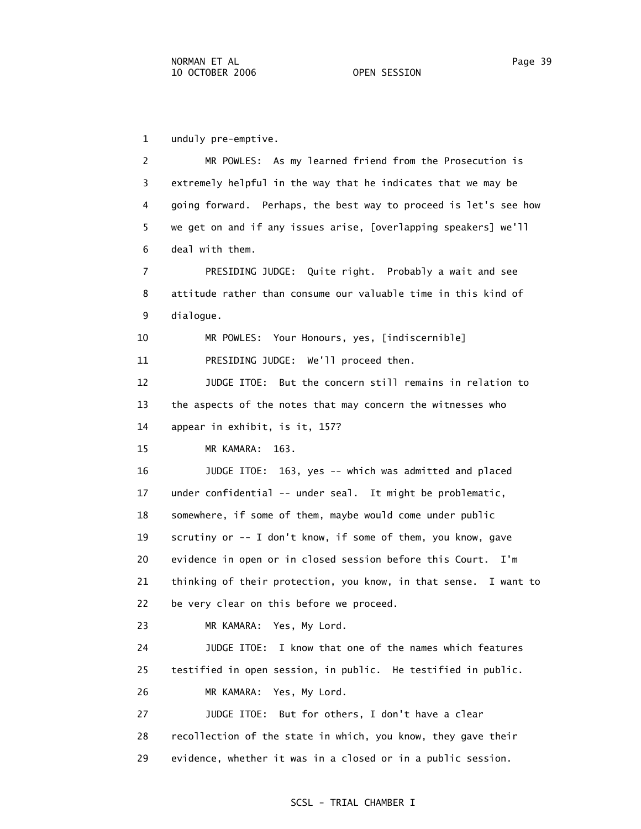1 unduly pre-emptive.

 2 MR POWLES: As my learned friend from the Prosecution is 3 extremely helpful in the way that he indicates that we may be 4 going forward. Perhaps, the best way to proceed is let's see how 5 we get on and if any issues arise, [overlapping speakers] we'll 6 deal with them. 7 PRESIDING JUDGE: Quite right. Probably a wait and see 8 attitude rather than consume our valuable time in this kind of 9 dialogue. 10 MR POWLES: Your Honours, yes, [indiscernible] 11 PRESIDING JUDGE: We'll proceed then. 12 JUDGE ITOE: But the concern still remains in relation to 13 the aspects of the notes that may concern the witnesses who 14 appear in exhibit, is it, 157? 15 MR KAMARA: 163. 16 JUDGE ITOE: 163, yes -- which was admitted and placed 17 under confidential -- under seal. It might be problematic, 18 somewhere, if some of them, maybe would come under public 19 scrutiny or -- I don't know, if some of them, you know, gave 20 evidence in open or in closed session before this Court. I'm 21 thinking of their protection, you know, in that sense. I want to 22 be very clear on this before we proceed. 23 MR KAMARA: Yes, My Lord. 24 JUDGE ITOE: I know that one of the names which features 25 testified in open session, in public. He testified in public. 26 MR KAMARA: Yes, My Lord. 27 JUDGE ITOE: But for others, I don't have a clear 28 recollection of the state in which, you know, they gave their

29 evidence, whether it was in a closed or in a public session.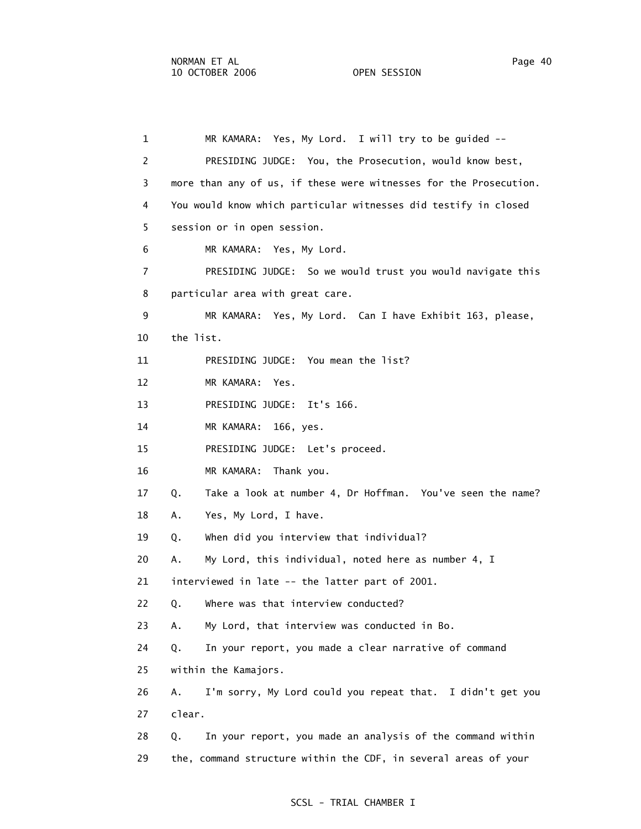1 MR KAMARA: Yes, My Lord. I will try to be guided -- 2 PRESIDING JUDGE: You, the Prosecution, would know best, 3 more than any of us, if these were witnesses for the Prosecution. 4 You would know which particular witnesses did testify in closed 5 session or in open session. 6 MR KAMARA: Yes, My Lord. 7 PRESIDING JUDGE: So we would trust you would navigate this 8 particular area with great care. 9 MR KAMARA: Yes, My Lord. Can I have Exhibit 163, please, 10 the list. 11 PRESIDING JUDGE: You mean the list? 12 MR KAMARA: Yes. 13 PRESIDING JUDGE: It's 166. 14 MR KAMARA: 166, yes. 15 PRESIDING JUDGE: Let's proceed. 16 MR KAMARA: Thank you. 17 Q. Take a look at number 4, Dr Hoffman. You've seen the name? 18 A. Yes, My Lord, I have. 19 Q. When did you interview that individual? 20 A. My Lord, this individual, noted here as number 4, I 21 interviewed in late -- the latter part of 2001. 22 Q. Where was that interview conducted? 23 A. My Lord, that interview was conducted in Bo. 24 Q. In your report, you made a clear narrative of command 25 within the Kamajors. 26 A. I'm sorry, My Lord could you repeat that. I didn't get you 27 clear. 28 Q. In your report, you made an analysis of the command within 29 the, command structure within the CDF, in several areas of your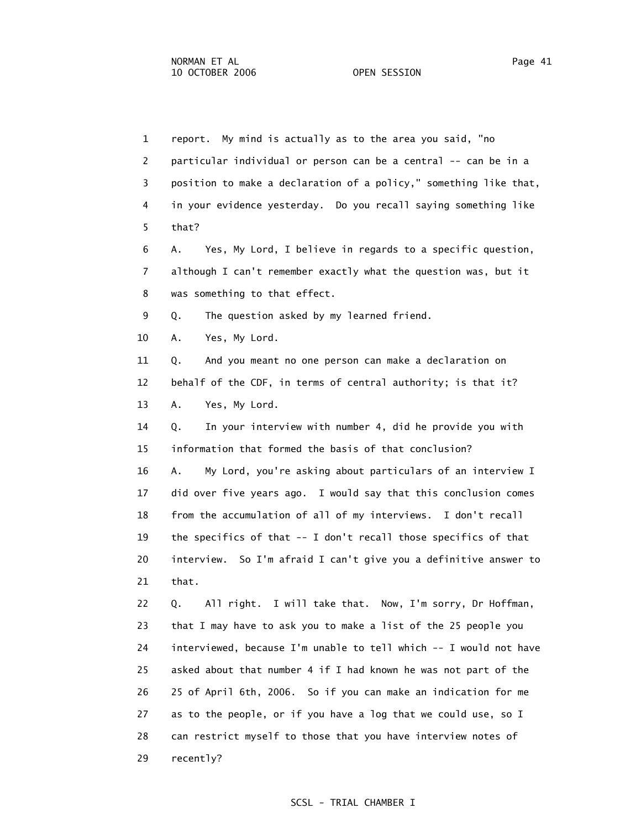1 report. My mind is actually as to the area you said, "no 2 particular individual or person can be a central -- can be in a 3 position to make a declaration of a policy," something like that, 4 in your evidence yesterday. Do you recall saying something like 5 that? 6 A. Yes, My Lord, I believe in regards to a specific question, 7 although I can't remember exactly what the question was, but it 8 was something to that effect. 9 Q. The question asked by my learned friend. 10 A. Yes, My Lord. 11 Q. And you meant no one person can make a declaration on 12 behalf of the CDF, in terms of central authority; is that it? 13 A. Yes, My Lord. 14 Q. In your interview with number 4, did he provide you with 15 information that formed the basis of that conclusion? 16 A. My Lord, you're asking about particulars of an interview I 17 did over five years ago. I would say that this conclusion comes 18 from the accumulation of all of my interviews. I don't recall 19 the specifics of that -- I don't recall those specifics of that 20 interview. So I'm afraid I can't give you a definitive answer to 21 that. 22 Q. All right. I will take that. Now, I'm sorry, Dr Hoffman, 23 that I may have to ask you to make a list of the 25 people you 24 interviewed, because I'm unable to tell which -- I would not have 25 asked about that number 4 if I had known he was not part of the 26 25 of April 6th, 2006. So if you can make an indication for me 27 as to the people, or if you have a log that we could use, so I 28 can restrict myself to those that you have interview notes of 29 recently?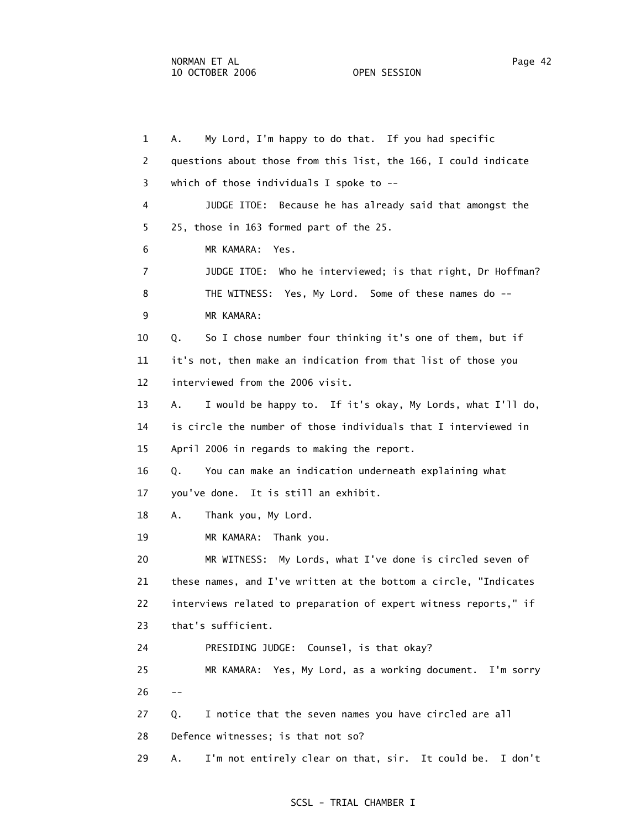1 A. My Lord, I'm happy to do that. If you had specific 2 questions about those from this list, the 166, I could indicate 3 which of those individuals I spoke to -- 4 JUDGE ITOE: Because he has already said that amongst the 5 25, those in 163 formed part of the 25. 6 MR KAMARA: Yes. 7 JUDGE ITOE: Who he interviewed; is that right, Dr Hoffman? 8 THE WITNESS: Yes, My Lord. Some of these names do -- 9 MR KAMARA: 10 Q. So I chose number four thinking it's one of them, but if 11 it's not, then make an indication from that list of those you 12 interviewed from the 2006 visit. 13 A. I would be happy to. If it's okay, My Lords, what I'll do, 14 is circle the number of those individuals that I interviewed in 15 April 2006 in regards to making the report. 16 Q. You can make an indication underneath explaining what 17 you've done. It is still an exhibit. 18 A. Thank you, My Lord. 19 MR KAMARA: Thank you. 20 MR WITNESS: My Lords, what I've done is circled seven of 21 these names, and I've written at the bottom a circle, "Indicates 22 interviews related to preparation of expert witness reports," if 23 that's sufficient. 24 PRESIDING JUDGE: Counsel, is that okay? 25 MR KAMARA: Yes, My Lord, as a working document. I'm sorry  $26 - -$  27 Q. I notice that the seven names you have circled are all 28 Defence witnesses; is that not so? 29 A. I'm not entirely clear on that, sir. It could be. I don't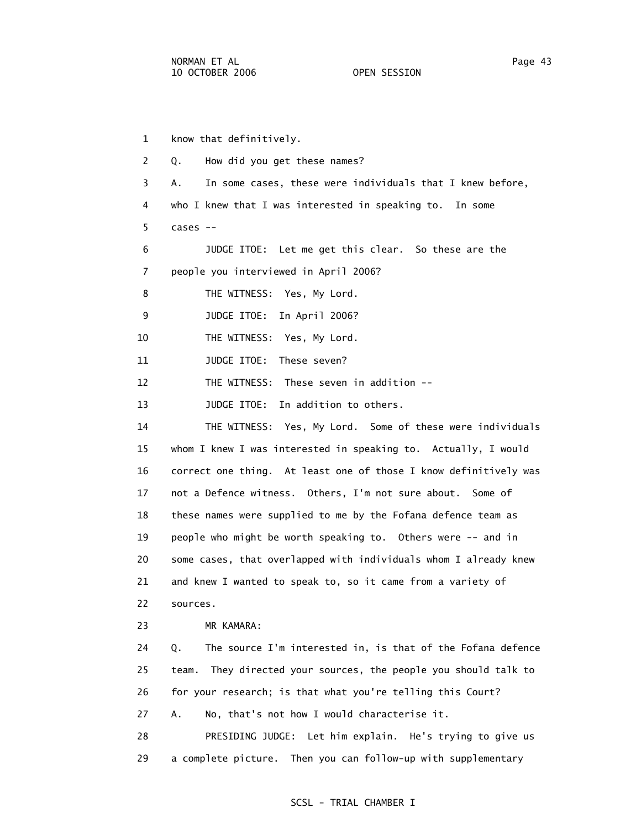1 know that definitively. 2 Q. How did you get these names? 3 A. In some cases, these were individuals that I knew before, 4 who I knew that I was interested in speaking to. In some 5 cases -- 6 JUDGE ITOE: Let me get this clear. So these are the 7 people you interviewed in April 2006? 8 THE WITNESS: Yes, My Lord. 9 JUDGE ITOE: In April 2006? 10 THE WITNESS: Yes, My Lord. 11 JUDGE ITOE: These seven? 12 THE WITNESS: These seven in addition -- 13 **JUDGE ITOE:** In addition to others. 14 THE WITNESS: Yes, My Lord. Some of these were individuals 15 whom I knew I was interested in speaking to. Actually, I would 16 correct one thing. At least one of those I know definitively was 17 not a Defence witness. Others, I'm not sure about. Some of 18 these names were supplied to me by the Fofana defence team as 19 people who might be worth speaking to. Others were -- and in 20 some cases, that overlapped with individuals whom I already knew 21 and knew I wanted to speak to, so it came from a variety of 22 sources. 23 MR KAMARA: 24 Q. The source I'm interested in, is that of the Fofana defence 25 team. They directed your sources, the people you should talk to 26 for your research; is that what you're telling this Court? 27 A. No, that's not how I would characterise it. 28 PRESIDING JUDGE: Let him explain. He's trying to give us 29 a complete picture. Then you can follow-up with supplementary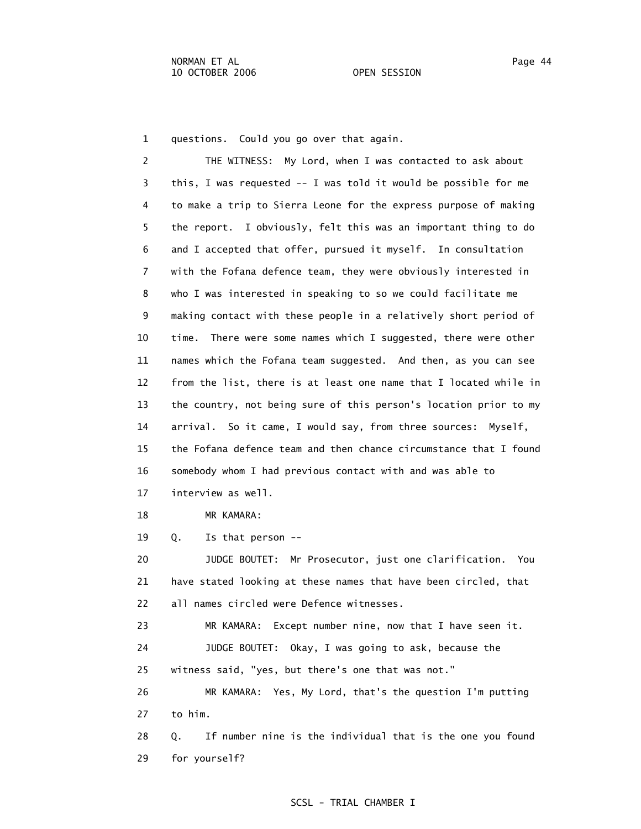1 questions. Could you go over that again.

 2 THE WITNESS: My Lord, when I was contacted to ask about 3 this, I was requested -- I was told it would be possible for me 4 to make a trip to Sierra Leone for the express purpose of making 5 the report. I obviously, felt this was an important thing to do 6 and I accepted that offer, pursued it myself. In consultation 7 with the Fofana defence team, they were obviously interested in 8 who I was interested in speaking to so we could facilitate me 9 making contact with these people in a relatively short period of 10 time. There were some names which I suggested, there were other 11 names which the Fofana team suggested. And then, as you can see 12 from the list, there is at least one name that I located while in 13 the country, not being sure of this person's location prior to my 14 arrival. So it came, I would say, from three sources: Myself, 15 the Fofana defence team and then chance circumstance that I found 16 somebody whom I had previous contact with and was able to 17 interview as well.

18 MR KAMARA:

19 Q. Is that person --

 20 JUDGE BOUTET: Mr Prosecutor, just one clarification. You 21 have stated looking at these names that have been circled, that 22 all names circled were Defence witnesses.

 23 MR KAMARA: Except number nine, now that I have seen it. 24 JUDGE BOUTET: Okay, I was going to ask, because the 25 witness said, "yes, but there's one that was not."

 26 MR KAMARA: Yes, My Lord, that's the question I'm putting 27 to him.

 28 Q. If number nine is the individual that is the one you found 29 for yourself?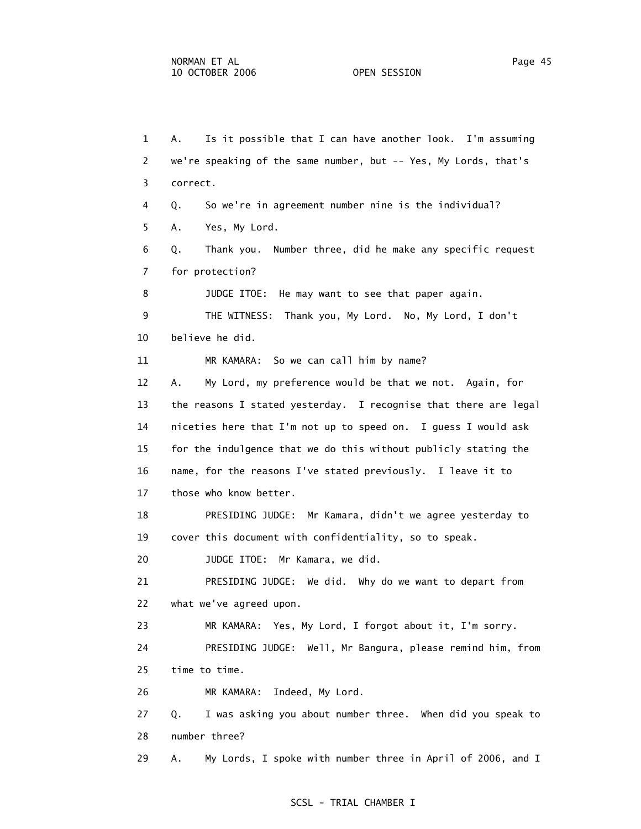1 A. Is it possible that I can have another look. I'm assuming 2 we're speaking of the same number, but -- Yes, My Lords, that's 3 correct. 4 Q. So we're in agreement number nine is the individual? 5 A. Yes, My Lord. 6 Q. Thank you. Number three, did he make any specific request 7 for protection? 8 JUDGE ITOE: He may want to see that paper again. 9 THE WITNESS: Thank you, My Lord. No, My Lord, I don't 10 believe he did. 11 MR KAMARA: So we can call him by name? 12 A. My Lord, my preference would be that we not. Again, for 13 the reasons I stated yesterday. I recognise that there are legal 14 niceties here that I'm not up to speed on. I guess I would ask 15 for the indulgence that we do this without publicly stating the 16 name, for the reasons I've stated previously. I leave it to 17 those who know better. 18 PRESIDING JUDGE: Mr Kamara, didn't we agree yesterday to 19 cover this document with confidentiality, so to speak. 20 JUDGE ITOE: Mr Kamara, we did. 21 PRESIDING JUDGE: We did. Why do we want to depart from 22 what we've agreed upon. 23 MR KAMARA: Yes, My Lord, I forgot about it, I'm sorry. 24 PRESIDING JUDGE: Well, Mr Bangura, please remind him, from 25 time to time. 26 MR KAMARA: Indeed, My Lord. 27 Q. I was asking you about number three. When did you speak to 28 number three? 29 A. My Lords, I spoke with number three in April of 2006, and I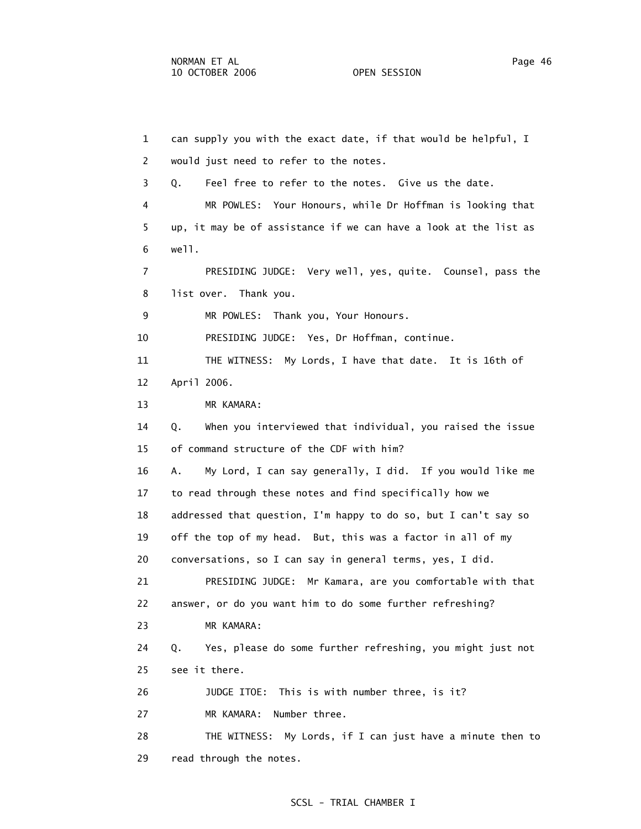1 can supply you with the exact date, if that would be helpful, I 2 would just need to refer to the notes. 3 Q. Feel free to refer to the notes. Give us the date. 4 MR POWLES: Your Honours, while Dr Hoffman is looking that 5 up, it may be of assistance if we can have a look at the list as 6 well. 7 PRESIDING JUDGE: Very well, yes, quite. Counsel, pass the 8 list over. Thank you. 9 MR POWLES: Thank you, Your Honours. 10 PRESIDING JUDGE: Yes, Dr Hoffman, continue. 11 THE WITNESS: My Lords, I have that date. It is 16th of 12 April 2006. 13 MR KAMARA: 14 Q. When you interviewed that individual, you raised the issue 15 of command structure of the CDF with him? 16 A. My Lord, I can say generally, I did. If you would like me 17 to read through these notes and find specifically how we 18 addressed that question, I'm happy to do so, but I can't say so 19 off the top of my head. But, this was a factor in all of my 20 conversations, so I can say in general terms, yes, I did. 21 PRESIDING JUDGE: Mr Kamara, are you comfortable with that 22 answer, or do you want him to do some further refreshing? 23 MR KAMARA: 24 Q. Yes, please do some further refreshing, you might just not 25 see it there. 26 JUDGE ITOE: This is with number three, is it? 27 MR KAMARA: Number three. 28 THE WITNESS: My Lords, if I can just have a minute then to

29 read through the notes.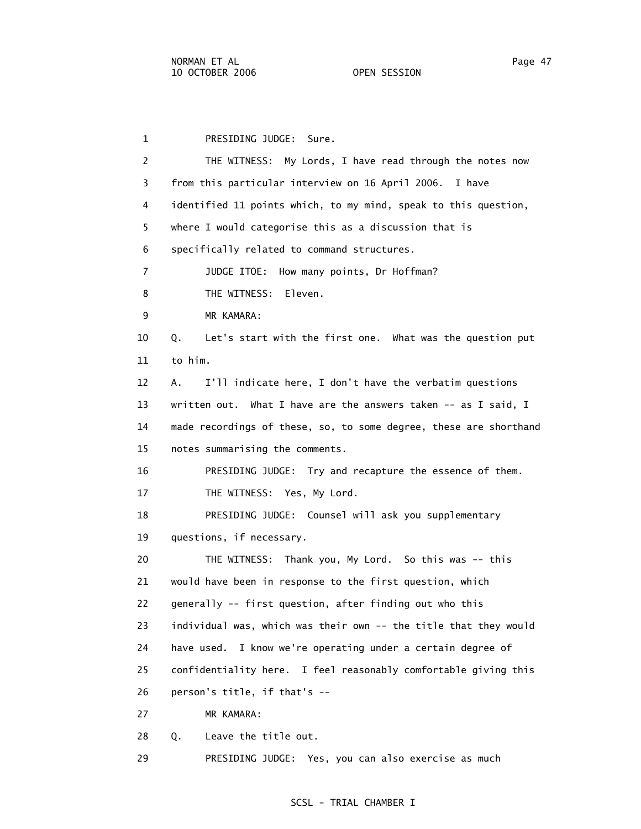1 PRESIDING JUDGE: Sure. 2 THE WITNESS: My Lords, I have read through the notes now 3 from this particular interview on 16 April 2006. I have 4 identified 11 points which, to my mind, speak to this question, 5 where I would categorise this as a discussion that is 6 specifically related to command structures. 7 JUDGE ITOE: How many points, Dr Hoffman? 8 THE WITNESS: Eleven. 9 MR KAMARA: 10 Q. Let's start with the first one. What was the question put 11 to him. 12 A. I'll indicate here, I don't have the verbatim questions 13 written out. What I have are the answers taken -- as I said, I 14 made recordings of these, so, to some degree, these are shorthand 15 notes summarising the comments. 16 PRESIDING JUDGE: Try and recapture the essence of them. 17 THE WITNESS: Yes, My Lord. 18 PRESIDING JUDGE: Counsel will ask you supplementary 19 questions, if necessary. 20 THE WITNESS: Thank you, My Lord. So this was -- this 21 would have been in response to the first question, which 22 generally -- first question, after finding out who this 23 individual was, which was their own -- the title that they would 24 have used. I know we're operating under a certain degree of 25 confidentiality here. I feel reasonably comfortable giving this 26 person's title, if that's -- 27 MR KAMARA: 28 Q. Leave the title out.

29 PRESIDING JUDGE: Yes, you can also exercise as much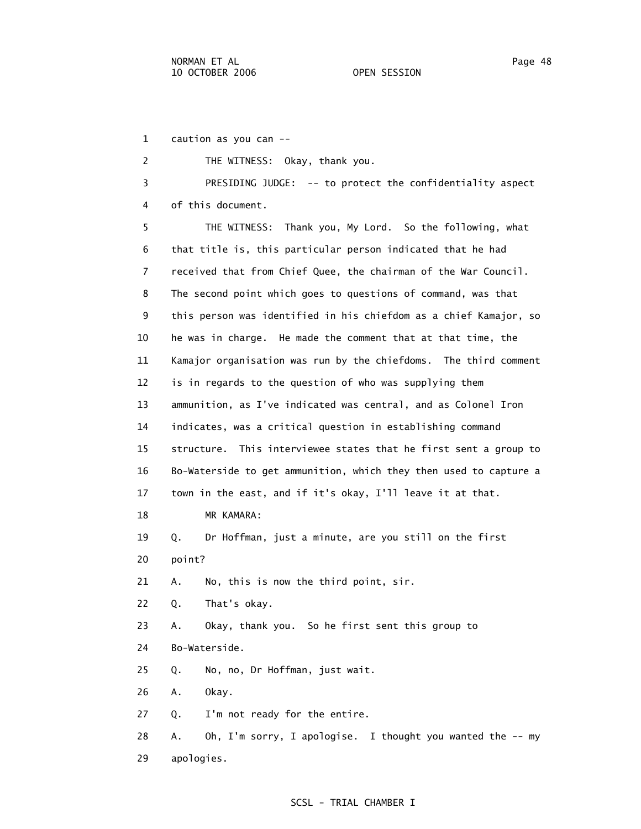1 caution as you can --

2 THE WITNESS: Okay, thank you.

 3 PRESIDING JUDGE: -- to protect the confidentiality aspect 4 of this document.

 5 THE WITNESS: Thank you, My Lord. So the following, what 6 that title is, this particular person indicated that he had 7 received that from Chief Quee, the chairman of the War Council. 8 The second point which goes to questions of command, was that 9 this person was identified in his chiefdom as a chief Kamajor, so 10 he was in charge. He made the comment that at that time, the 11 Kamajor organisation was run by the chiefdoms. The third comment 12 is in regards to the question of who was supplying them 13 ammunition, as I've indicated was central, and as Colonel Iron 14 indicates, was a critical question in establishing command 15 structure. This interviewee states that he first sent a group to 16 Bo-Waterside to get ammunition, which they then used to capture a 17 town in the east, and if it's okay, I'll leave it at that. 18 MR KAMARA: 19 Q. Dr Hoffman, just a minute, are you still on the first 20 point? 21 A. No, this is now the third point, sir. 22 Q. That's okay. 23 A. Okay, thank you. So he first sent this group to 24 Bo-Waterside. 25 Q. No, no, Dr Hoffman, just wait. 26 A. Okay. 27 Q. I'm not ready for the entire. 28 A. Oh, I'm sorry, I apologise. I thought you wanted the -- my

29 apologies.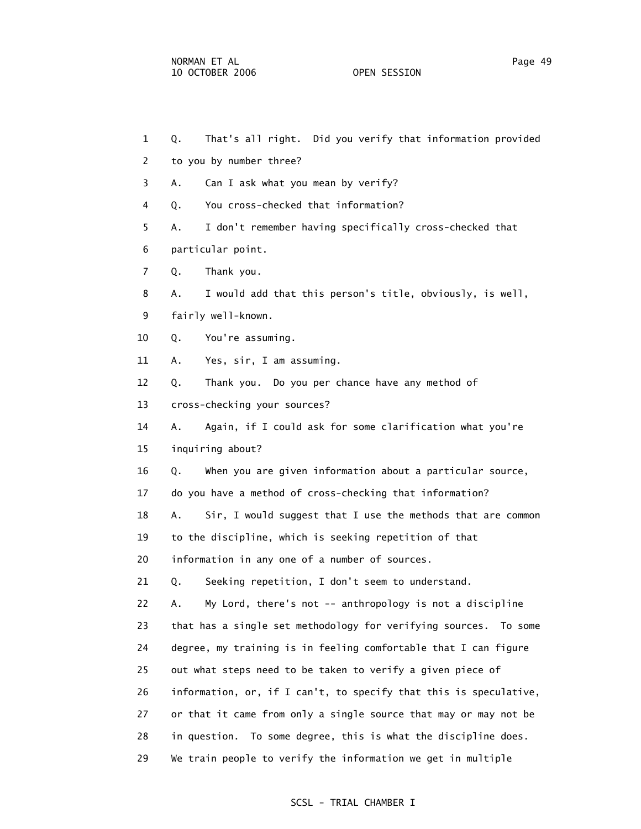1 Q. That's all right. Did you verify that information provided 2 to you by number three? 3 A. Can I ask what you mean by verify? 4 Q. You cross-checked that information? 5 A. I don't remember having specifically cross-checked that 6 particular point. 7 Q. Thank you. 8 A. I would add that this person's title, obviously, is well, 9 fairly well-known. 10 Q. You're assuming. 11 A. Yes, sir, I am assuming. 12 Q. Thank you. Do you per chance have any method of 13 cross-checking your sources? 14 A. Again, if I could ask for some clarification what you're 15 inquiring about? 16 Q. When you are given information about a particular source, 17 do you have a method of cross-checking that information? 18 A. Sir, I would suggest that I use the methods that are common 19 to the discipline, which is seeking repetition of that 20 information in any one of a number of sources. 21 Q. Seeking repetition, I don't seem to understand. 22 A. My Lord, there's not -- anthropology is not a discipline 23 that has a single set methodology for verifying sources. To some 24 degree, my training is in feeling comfortable that I can figure 25 out what steps need to be taken to verify a given piece of 26 information, or, if I can't, to specify that this is speculative, 27 or that it came from only a single source that may or may not be 28 in question. To some degree, this is what the discipline does. 29 We train people to verify the information we get in multiple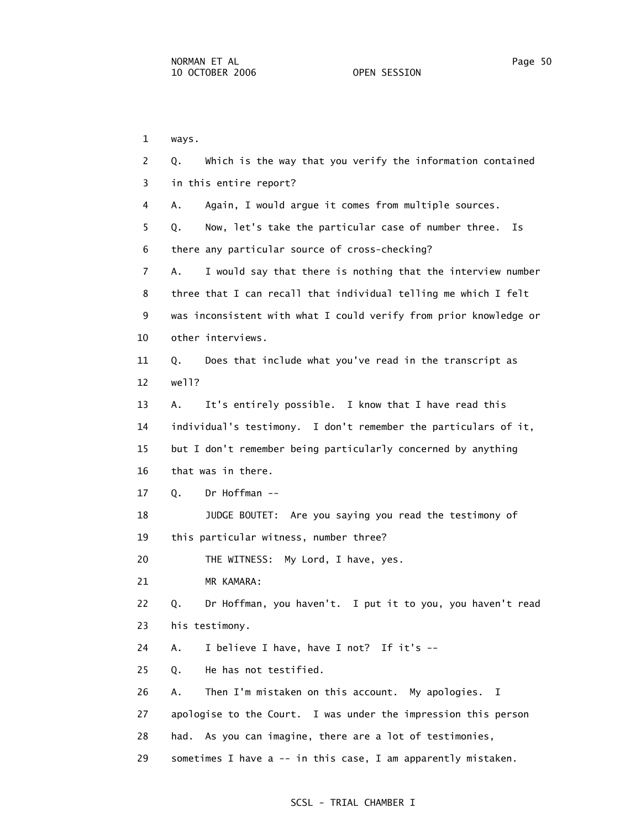1 ways. 2 Q. Which is the way that you verify the information contained 3 in this entire report? 4 A. Again, I would argue it comes from multiple sources. 5 Q. Now, let's take the particular case of number three. Is 6 there any particular source of cross-checking? 7 A. I would say that there is nothing that the interview number 8 three that I can recall that individual telling me which I felt 9 was inconsistent with what I could verify from prior knowledge or 10 other interviews. 11 Q. Does that include what you've read in the transcript as 12 well? 13 A. It's entirely possible. I know that I have read this 14 individual's testimony. I don't remember the particulars of it, 15 but I don't remember being particularly concerned by anything 16 that was in there. 17 Q. Dr Hoffman -- 18 JUDGE BOUTET: Are you saying you read the testimony of 19 this particular witness, number three? 20 THE WITNESS: My Lord, I have, yes. 21 MR KAMARA: 22 Q. Dr Hoffman, you haven't. I put it to you, you haven't read 23 his testimony. 24 A. I believe I have, have I not? If it's -- 25 Q. He has not testified. 26 A. Then I'm mistaken on this account. My apologies. I 27 apologise to the Court. I was under the impression this person 28 had. As you can imagine, there are a lot of testimonies, 29 sometimes I have a -- in this case, I am apparently mistaken.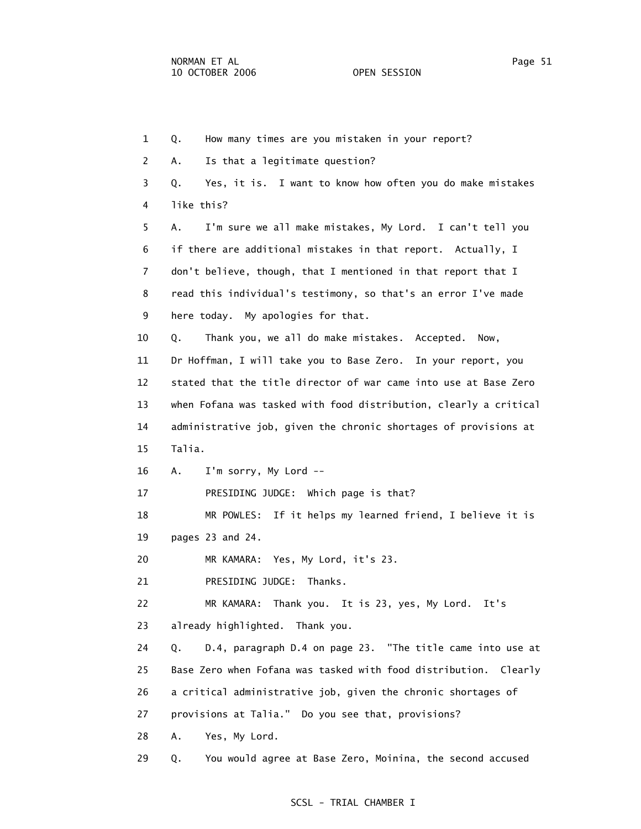1 Q. How many times are you mistaken in your report? 2 A. Is that a legitimate question? 3 Q. Yes, it is. I want to know how often you do make mistakes 4 like this? 5 A. I'm sure we all make mistakes, My Lord. I can't tell you 6 if there are additional mistakes in that report. Actually, I 7 don't believe, though, that I mentioned in that report that I 8 read this individual's testimony, so that's an error I've made 9 here today. My apologies for that. 10 Q. Thank you, we all do make mistakes. Accepted. Now, 11 Dr Hoffman, I will take you to Base Zero. In your report, you 12 stated that the title director of war came into use at Base Zero 13 when Fofana was tasked with food distribution, clearly a critical 14 administrative job, given the chronic shortages of provisions at 15 Talia. 16 A. I'm sorry, My Lord -- 17 PRESIDING JUDGE: Which page is that? 18 MR POWLES: If it helps my learned friend, I believe it is 19 pages 23 and 24. 20 MR KAMARA: Yes, My Lord, it's 23. 21 PRESIDING JUDGE: Thanks. 22 MR KAMARA: Thank you. It is 23, yes, My Lord. It's 23 already highlighted. Thank you. 24 Q. D.4, paragraph D.4 on page 23. "The title came into use at 25 Base Zero when Fofana was tasked with food distribution. Clearly 26 a critical administrative job, given the chronic shortages of 27 provisions at Talia." Do you see that, provisions? 28 A. Yes, My Lord. 29 Q. You would agree at Base Zero, Moinina, the second accused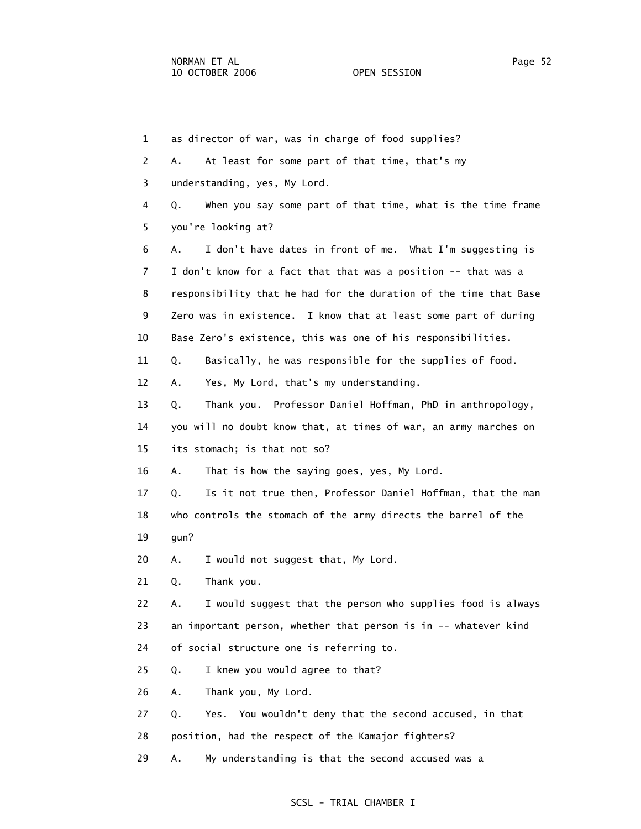1 as director of war, was in charge of food supplies? 2 A. At least for some part of that time, that's my 3 understanding, yes, My Lord. 4 Q. When you say some part of that time, what is the time frame 5 you're looking at? 6 A. I don't have dates in front of me. What I'm suggesting is 7 I don't know for a fact that that was a position -- that was a 8 responsibility that he had for the duration of the time that Base 9 Zero was in existence. I know that at least some part of during 10 Base Zero's existence, this was one of his responsibilities. 11 Q. Basically, he was responsible for the supplies of food. 12 A. Yes, My Lord, that's my understanding. 13 Q. Thank you. Professor Daniel Hoffman, PhD in anthropology, 14 you will no doubt know that, at times of war, an army marches on 15 its stomach; is that not so? 16 A. That is how the saying goes, yes, My Lord. 17 Q. Is it not true then, Professor Daniel Hoffman, that the man 18 who controls the stomach of the army directs the barrel of the 19 gun? 20 A. I would not suggest that, My Lord. 21 Q. Thank you. 22 A. I would suggest that the person who supplies food is always 23 an important person, whether that person is in -- whatever kind 24 of social structure one is referring to. 25 Q. I knew you would agree to that? 26 A. Thank you, My Lord. 27 Q. Yes. You wouldn't deny that the second accused, in that 28 position, had the respect of the Kamajor fighters? 29 A. My understanding is that the second accused was a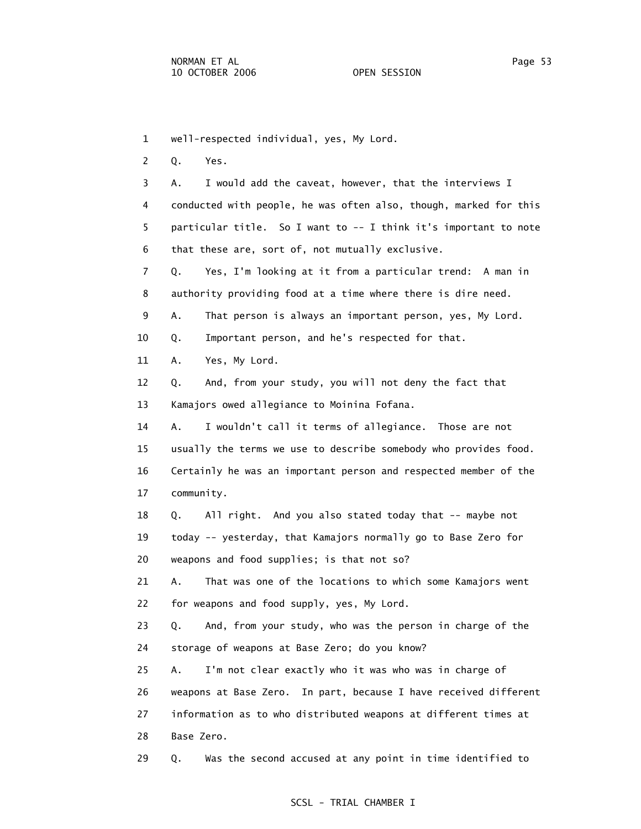1 well-respected individual, yes, My Lord.

2 Q. Yes.

 3 A. I would add the caveat, however, that the interviews I 4 conducted with people, he was often also, though, marked for this 5 particular title. So I want to -- I think it's important to note 6 that these are, sort of, not mutually exclusive.

 7 Q. Yes, I'm looking at it from a particular trend: A man in 8 authority providing food at a time where there is dire need.

9 A. That person is always an important person, yes, My Lord.

10 Q. Important person, and he's respected for that.

11 A. Yes, My Lord.

 12 Q. And, from your study, you will not deny the fact that 13 Kamajors owed allegiance to Moinina Fofana.

 14 A. I wouldn't call it terms of allegiance. Those are not 15 usually the terms we use to describe somebody who provides food. 16 Certainly he was an important person and respected member of the 17 community.

18 Q. All right. And you also stated today that -- maybe not

 19 today -- yesterday, that Kamajors normally go to Base Zero for 20 weapons and food supplies; is that not so?

 21 A. That was one of the locations to which some Kamajors went 22 for weapons and food supply, yes, My Lord.

 23 Q. And, from your study, who was the person in charge of the 24 storage of weapons at Base Zero; do you know?

 25 A. I'm not clear exactly who it was who was in charge of 26 weapons at Base Zero. In part, because I have received different 27 information as to who distributed weapons at different times at 28 Base Zero.

29 Q. Was the second accused at any point in time identified to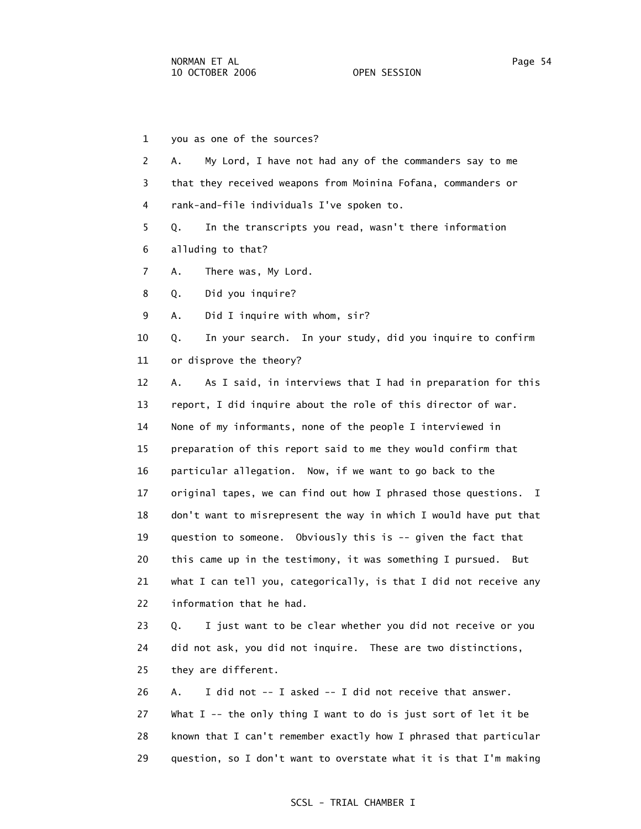1 you as one of the sources? 2 A. My Lord, I have not had any of the commanders say to me 3 that they received weapons from Moinina Fofana, commanders or 4 rank-and-file individuals I've spoken to. 5 Q. In the transcripts you read, wasn't there information 6 alluding to that? 7 A. There was, My Lord. 8 Q. Did you inquire? 9 A. Did I inquire with whom, sir? 10 Q. In your search. In your study, did you inquire to confirm 11 or disprove the theory? 12 A. As I said, in interviews that I had in preparation for this 13 report, I did inquire about the role of this director of war. 14 None of my informants, none of the people I interviewed in 15 preparation of this report said to me they would confirm that 16 particular allegation. Now, if we want to go back to the 17 original tapes, we can find out how I phrased those questions. I 18 don't want to misrepresent the way in which I would have put that 19 question to someone. Obviously this is -- given the fact that 20 this came up in the testimony, it was something I pursued. But 21 what I can tell you, categorically, is that I did not receive any 22 information that he had. 23 Q. I just want to be clear whether you did not receive or you 24 did not ask, you did not inquire. These are two distinctions, 25 they are different. 26 A. I did not -- I asked -- I did not receive that answer. 27 What  $I -$  the only thing I want to do is just sort of let it be 28 known that I can't remember exactly how I phrased that particular

29 question, so I don't want to overstate what it is that I'm making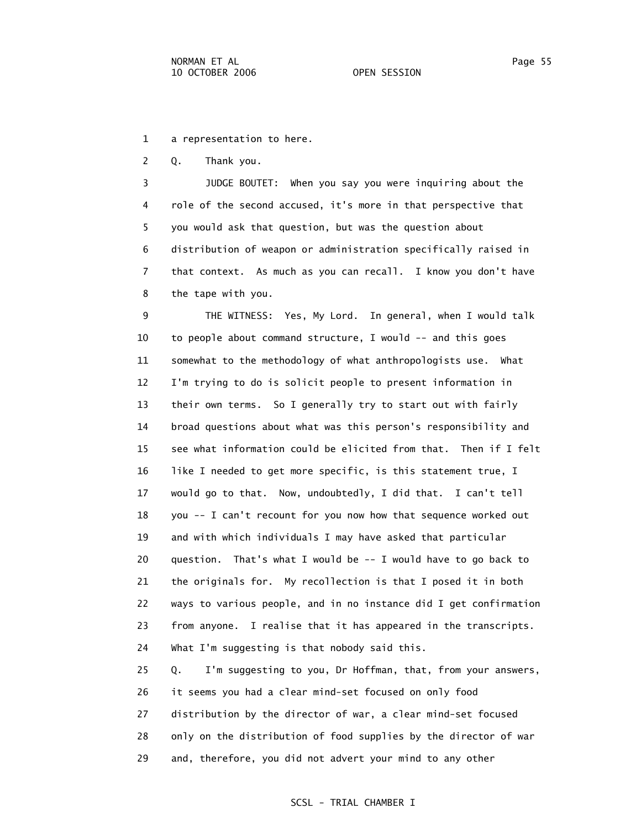1 a representation to here.

2 Q. Thank you.

 3 JUDGE BOUTET: When you say you were inquiring about the 4 role of the second accused, it's more in that perspective that 5 you would ask that question, but was the question about 6 distribution of weapon or administration specifically raised in 7 that context. As much as you can recall. I know you don't have 8 the tape with you.

 9 THE WITNESS: Yes, My Lord. In general, when I would talk 10 to people about command structure, I would -- and this goes 11 somewhat to the methodology of what anthropologists use. What 12 I'm trying to do is solicit people to present information in 13 their own terms. So I generally try to start out with fairly 14 broad questions about what was this person's responsibility and 15 see what information could be elicited from that. Then if I felt 16 like I needed to get more specific, is this statement true, I 17 would go to that. Now, undoubtedly, I did that. I can't tell 18 you -- I can't recount for you now how that sequence worked out 19 and with which individuals I may have asked that particular 20 question. That's what I would be  $-$ - I would have to go back to 21 the originals for. My recollection is that I posed it in both 22 ways to various people, and in no instance did I get confirmation 23 from anyone. I realise that it has appeared in the transcripts. 24 What I'm suggesting is that nobody said this. 25 Q. I'm suggesting to you, Dr Hoffman, that, from your answers, 26 it seems you had a clear mind-set focused on only food 27 distribution by the director of war, a clear mind-set focused

28 only on the distribution of food supplies by the director of war

29 and, therefore, you did not advert your mind to any other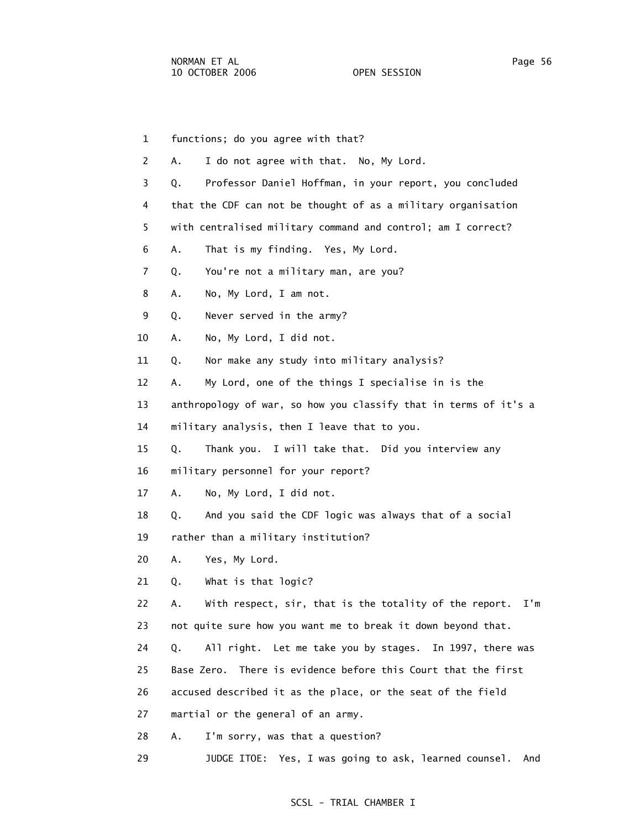| 1              | functions; do you agree with that?                               |
|----------------|------------------------------------------------------------------|
| 2              | I do not agree with that. No, My Lord.<br>А.                     |
| 3              | Professor Daniel Hoffman, in your report, you concluded<br>Q.    |
| 4              | that the CDF can not be thought of as a military organisation    |
| 5              | with centralised military command and control; am I correct?     |
| 6              | That is my finding. Yes, My Lord.<br>Α.                          |
| $\overline{7}$ | You're not a military man, are you?<br>Q.                        |
| 8              | No, My Lord, I am not.<br>Α.                                     |
| 9              | Never served in the army?<br>Q.                                  |
| 10             | No, My Lord, I did not.<br>А.                                    |
| 11             | Nor make any study into military analysis?<br>Q.                 |
| 12             | My Lord, one of the things I specialise in is the<br>Α.          |
| 13             | anthropology of war, so how you classify that in terms of it's a |
| 14             | military analysis, then I leave that to you.                     |
| 15             | Thank you. I will take that. Did you interview any<br>Q.         |
| 16             | military personnel for your report?                              |
| 17             | No, My Lord, I did not.<br>Α.                                    |
| 18             | And you said the CDF logic was always that of a social<br>Q.     |
| 19             | rather than a military institution?                              |
| 20             | Yes, My Lord.<br>Α.                                              |
| 21             | What is that logic?<br>Q.                                        |
| 22             | With respect, sir, that is the totality of the report. I'm<br>А. |
| 23             | not quite sure how you want me to break it down beyond that.     |
| 24             | All right. Let me take you by stages. In 1997, there was<br>Q.   |
| 25             | Base Zero. There is evidence before this Court that the first    |
| 26             | accused described it as the place, or the seat of the field      |
| 27             | martial or the general of an army.                               |
| 28             | I'm sorry, was that a question?<br>Α.                            |
| 29             | JUDGE ITOE: Yes, I was going to ask, learned counsel.<br>And     |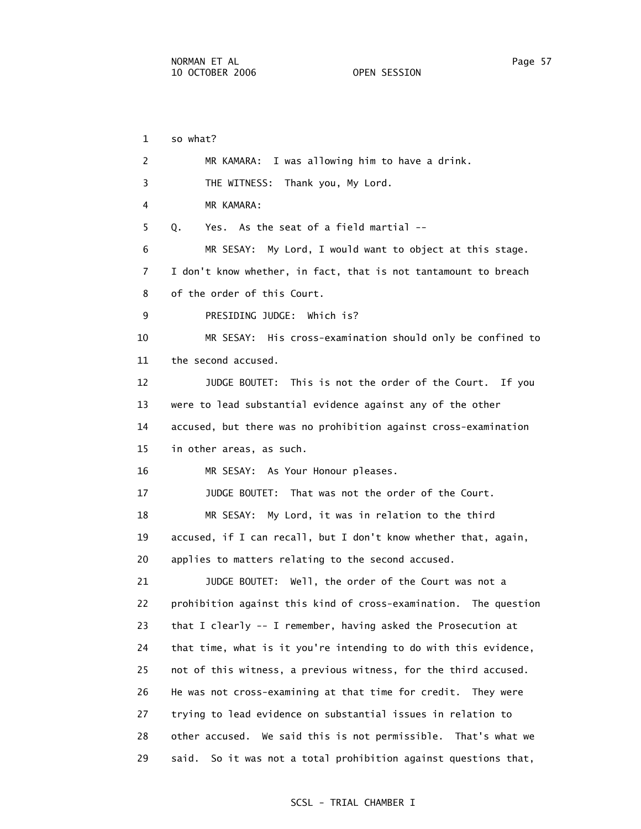1 so what? 2 MR KAMARA: I was allowing him to have a drink. 3 THE WITNESS: Thank you, My Lord. 4 MR KAMARA: 5 Q. Yes. As the seat of a field martial -- 6 MR SESAY: My Lord, I would want to object at this stage. 7 I don't know whether, in fact, that is not tantamount to breach 8 of the order of this Court. 9 PRESIDING JUDGE: Which is? 10 MR SESAY: His cross-examination should only be confined to 11 the second accused. 12 JUDGE BOUTET: This is not the order of the Court. If you 13 were to lead substantial evidence against any of the other 14 accused, but there was no prohibition against cross-examination 15 in other areas, as such. 16 MR SESAY: As Your Honour pleases. 17 JUDGE BOUTET: That was not the order of the Court. 18 MR SESAY: My Lord, it was in relation to the third 19 accused, if I can recall, but I don't know whether that, again, 20 applies to matters relating to the second accused. 21 JUDGE BOUTET: Well, the order of the Court was not a 22 prohibition against this kind of cross-examination. The question 23 that I clearly -- I remember, having asked the Prosecution at 24 that time, what is it you're intending to do with this evidence, 25 not of this witness, a previous witness, for the third accused. 26 He was not cross-examining at that time for credit. They were 27 trying to lead evidence on substantial issues in relation to 28 other accused. We said this is not permissible. That's what we 29 said. So it was not a total prohibition against questions that,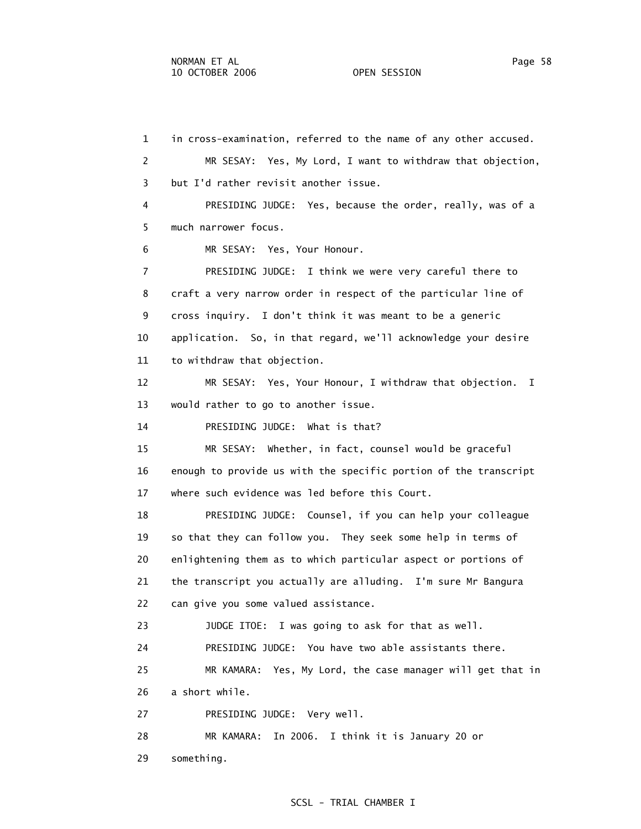1 in cross-examination, referred to the name of any other accused. 2 MR SESAY: Yes, My Lord, I want to withdraw that objection, 3 but I'd rather revisit another issue. 4 PRESIDING JUDGE: Yes, because the order, really, was of a 5 much narrower focus. 6 MR SESAY: Yes, Your Honour. 7 PRESIDING JUDGE: I think we were very careful there to 8 craft a very narrow order in respect of the particular line of 9 cross inquiry. I don't think it was meant to be a generic 10 application. So, in that regard, we'll acknowledge your desire 11 to withdraw that objection. 12 MR SESAY: Yes, Your Honour, I withdraw that objection. I 13 would rather to go to another issue. 14 PRESIDING JUDGE: What is that? 15 MR SESAY: Whether, in fact, counsel would be graceful 16 enough to provide us with the specific portion of the transcript 17 where such evidence was led before this Court. 18 PRESIDING JUDGE: Counsel, if you can help your colleague 19 so that they can follow you. They seek some help in terms of 20 enlightening them as to which particular aspect or portions of 21 the transcript you actually are alluding. I'm sure Mr Bangura 22 can give you some valued assistance. 23 JUDGE ITOE: I was going to ask for that as well. 24 PRESIDING JUDGE: You have two able assistants there. 25 MR KAMARA: Yes, My Lord, the case manager will get that in 26 a short while. 27 PRESIDING JUDGE: Very well. 28 MR KAMARA: In 2006. I think it is January 20 or 29 something.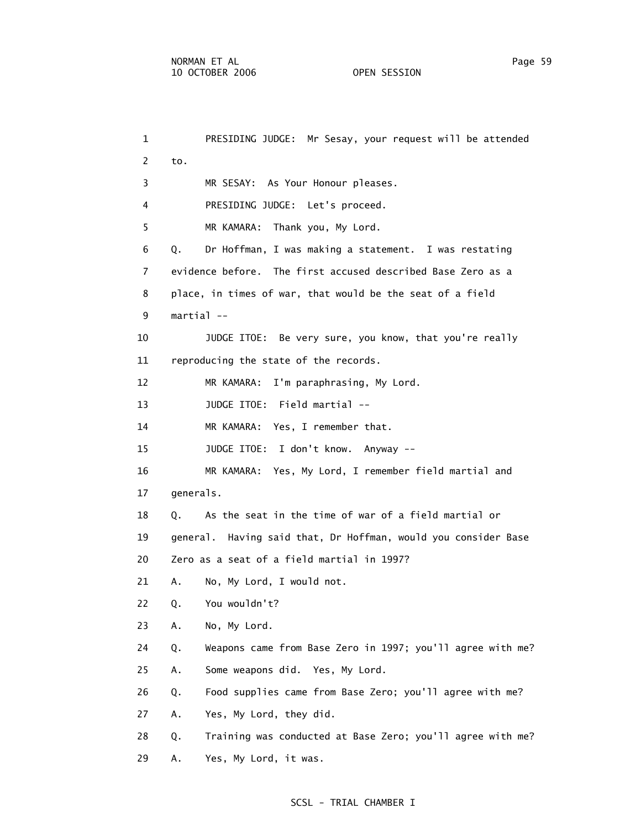1 PRESIDING JUDGE: Mr Sesay, your request will be attended 2 to. 3 MR SESAY: As Your Honour pleases. 4 PRESIDING JUDGE: Let's proceed. 5 MR KAMARA: Thank you, My Lord. 6 Q. Dr Hoffman, I was making a statement. I was restating 7 evidence before. The first accused described Base Zero as a 8 place, in times of war, that would be the seat of a field 9 martial -- 10 JUDGE ITOE: Be very sure, you know, that you're really 11 reproducing the state of the records. 12 MR KAMARA: I'm paraphrasing, My Lord. 13 JUDGE ITOE: Field martial -- 14 MR KAMARA: Yes, I remember that. 15 JUDGE ITOE: I don't know. Anyway -- 16 MR KAMARA: Yes, My Lord, I remember field martial and 17 generals. 18 Q. As the seat in the time of war of a field martial or 19 general. Having said that, Dr Hoffman, would you consider Base 20 Zero as a seat of a field martial in 1997? 21 A. No, My Lord, I would not. 22 Q. You wouldn't? 23 A. No, My Lord. 24 Q. Weapons came from Base Zero in 1997; you'll agree with me? 25 A. Some weapons did. Yes, My Lord. 26 Q. Food supplies came from Base Zero; you'll agree with me? 27 A. Yes, My Lord, they did. 28 Q. Training was conducted at Base Zero; you'll agree with me? 29 A. Yes, My Lord, it was.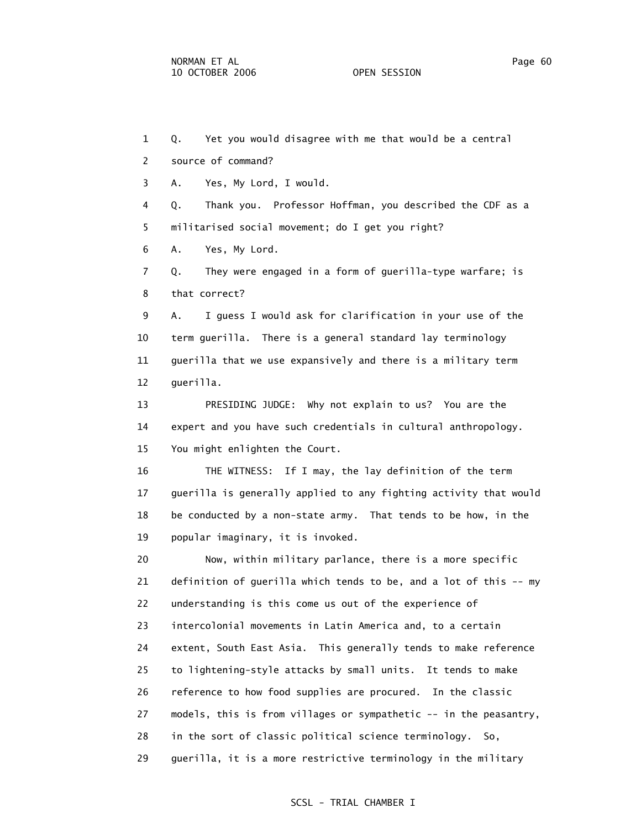1 Q. Yet you would disagree with me that would be a central 2 source of command? 3 A. Yes, My Lord, I would. 4 Q. Thank you. Professor Hoffman, you described the CDF as a 5 militarised social movement; do I get you right? 6 A. Yes, My Lord. 7 Q. They were engaged in a form of guerilla-type warfare; is 8 that correct? 9 A. I guess I would ask for clarification in your use of the 10 term guerilla. There is a general standard lay terminology 11 guerilla that we use expansively and there is a military term 12 guerilla. 13 PRESIDING JUDGE: Why not explain to us? You are the 14 expert and you have such credentials in cultural anthropology. 15 You might enlighten the Court. 16 THE WITNESS: If I may, the lay definition of the term 17 guerilla is generally applied to any fighting activity that would 18 be conducted by a non-state army. That tends to be how, in the 19 popular imaginary, it is invoked. 20 Now, within military parlance, there is a more specific 21 definition of guerilla which tends to be, and a lot of this -- my 22 understanding is this come us out of the experience of 23 intercolonial movements in Latin America and, to a certain 24 extent, South East Asia. This generally tends to make reference 25 to lightening-style attacks by small units. It tends to make 26 reference to how food supplies are procured. In the classic 27 models, this is from villages or sympathetic -- in the peasantry, 28 in the sort of classic political science terminology. So, 29 guerilla, it is a more restrictive terminology in the military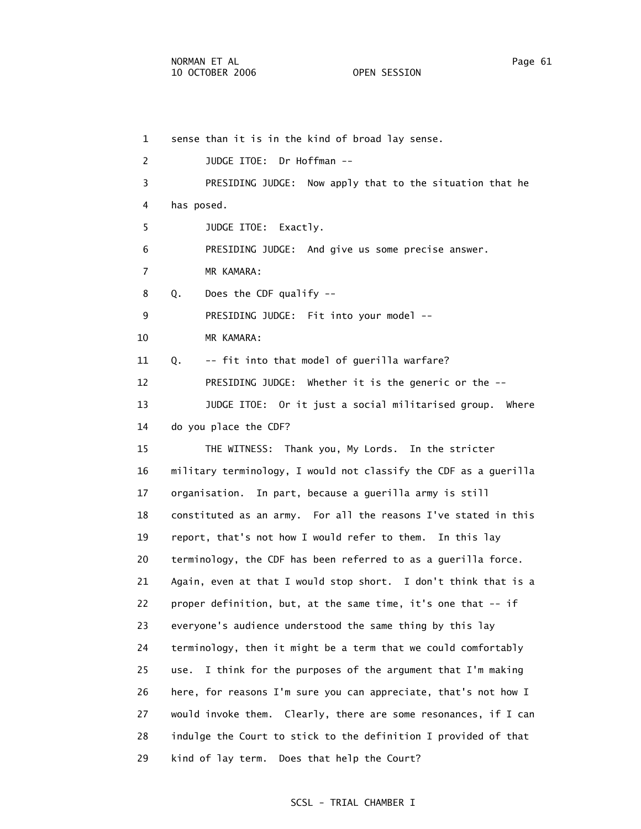1 sense than it is in the kind of broad lay sense. 2 JUDGE ITOE: Dr Hoffman -- 3 PRESIDING JUDGE: Now apply that to the situation that he 4 has posed. 5 JUDGE ITOE: Exactly. 6 PRESIDING JUDGE: And give us some precise answer. 7 MR KAMARA: 8 Q. Does the CDF qualify -- 9 PRESIDING JUDGE: Fit into your model -- 10 MR KAMARA: 11 Q. -- fit into that model of guerilla warfare? 12 PRESIDING JUDGE: Whether it is the generic or the -- 13 JUDGE ITOE: Or it just a social militarised group. Where 14 do you place the CDF? 15 THE WITNESS: Thank you, My Lords. In the stricter 16 military terminology, I would not classify the CDF as a guerilla 17 organisation. In part, because a guerilla army is still 18 constituted as an army. For all the reasons I've stated in this 19 report, that's not how I would refer to them. In this lay 20 terminology, the CDF has been referred to as a guerilla force. 21 Again, even at that I would stop short. I don't think that is a 22 proper definition, but, at the same time, it's one that -- if 23 everyone's audience understood the same thing by this lay 24 terminology, then it might be a term that we could comfortably 25 use. I think for the purposes of the argument that I'm making 26 here, for reasons I'm sure you can appreciate, that's not how I 27 would invoke them. Clearly, there are some resonances, if I can 28 indulge the Court to stick to the definition I provided of that 29 kind of lay term. Does that help the Court?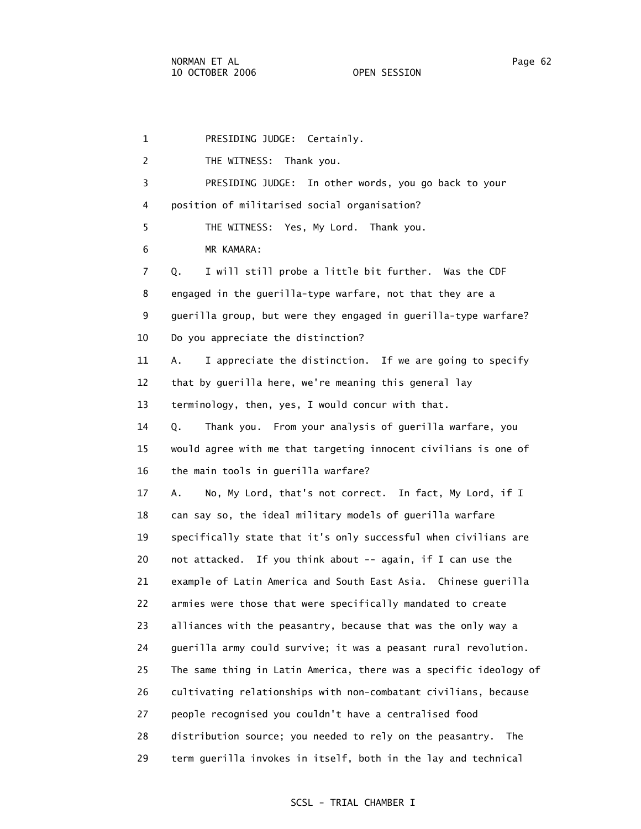1 PRESIDING JUDGE: Certainly. 2 THE WITNESS: Thank you. 3 PRESIDING JUDGE: In other words, you go back to your 4 position of militarised social organisation? 5 THE WITNESS: Yes, My Lord. Thank you. 6 MR KAMARA: 7 Q. I will still probe a little bit further. Was the CDF 8 engaged in the guerilla-type warfare, not that they are a 9 guerilla group, but were they engaged in guerilla-type warfare? 10 Do you appreciate the distinction? 11 A. I appreciate the distinction. If we are going to specify 12 that by guerilla here, we're meaning this general lay 13 terminology, then, yes, I would concur with that. 14 Q. Thank you. From your analysis of guerilla warfare, you 15 would agree with me that targeting innocent civilians is one of 16 the main tools in guerilla warfare? 17 A. No, My Lord, that's not correct. In fact, My Lord, if I 18 can say so, the ideal military models of guerilla warfare 19 specifically state that it's only successful when civilians are 20 not attacked. If you think about -- again, if I can use the 21 example of Latin America and South East Asia. Chinese guerilla 22 armies were those that were specifically mandated to create 23 alliances with the peasantry, because that was the only way a 24 guerilla army could survive; it was a peasant rural revolution. 25 The same thing in Latin America, there was a specific ideology of 26 cultivating relationships with non-combatant civilians, because 27 people recognised you couldn't have a centralised food 28 distribution source; you needed to rely on the peasantry. The 29 term guerilla invokes in itself, both in the lay and technical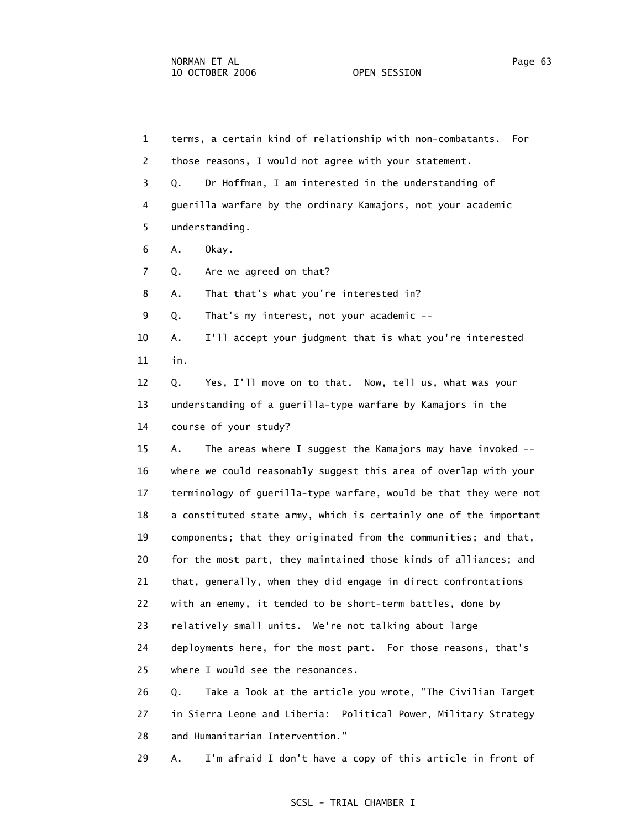1 terms, a certain kind of relationship with non-combatants. For 2 those reasons, I would not agree with your statement. 3 Q. Dr Hoffman, I am interested in the understanding of 4 guerilla warfare by the ordinary Kamajors, not your academic 5 understanding. 6 A. Okay. 7 Q. Are we agreed on that? 8 A. That that's what you're interested in? 9 Q. That's my interest, not your academic -- 10 A. I'll accept your judgment that is what you're interested 11 in. 12 Q. Yes, I'll move on to that. Now, tell us, what was your 13 understanding of a guerilla-type warfare by Kamajors in the 14 course of your study? 15 A. The areas where I suggest the Kamajors may have invoked -- 16 where we could reasonably suggest this area of overlap with your 17 terminology of guerilla-type warfare, would be that they were not 18 a constituted state army, which is certainly one of the important 19 components; that they originated from the communities; and that, 20 for the most part, they maintained those kinds of alliances; and 21 that, generally, when they did engage in direct confrontations 22 with an enemy, it tended to be short-term battles, done by 23 relatively small units. We're not talking about large 24 deployments here, for the most part. For those reasons, that's 25 where I would see the resonances. 26 Q. Take a look at the article you wrote, "The Civilian Target 27 in Sierra Leone and Liberia: Political Power, Military Strategy 28 and Humanitarian Intervention." 29 A. I'm afraid I don't have a copy of this article in front of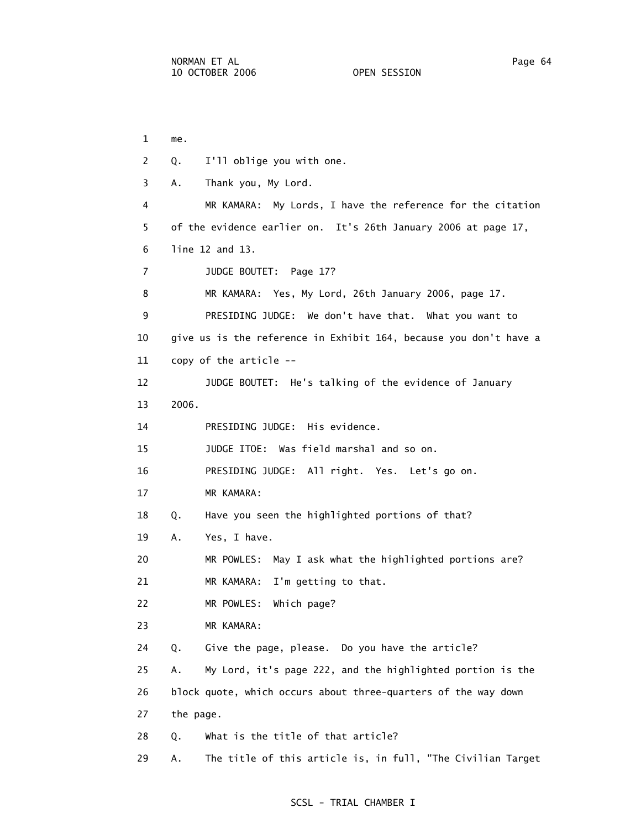1 me.

 2 Q. I'll oblige you with one. 3 A. Thank you, My Lord. 4 MR KAMARA: My Lords, I have the reference for the citation 5 of the evidence earlier on. It's 26th January 2006 at page 17, 6 line 12 and 13. 7 JUDGE BOUTET: Page 17? 8 MR KAMARA: Yes, My Lord, 26th January 2006, page 17. 9 PRESIDING JUDGE: We don't have that. What you want to 10 give us is the reference in Exhibit 164, because you don't have a 11 copy of the article -- 12 JUDGE BOUTET: He's talking of the evidence of January 13 2006. 14 PRESIDING JUDGE: His evidence. 15 JUDGE ITOE: Was field marshal and so on. 16 PRESIDING JUDGE: All right. Yes. Let's go on. 17 MR KAMARA: 18 Q. Have you seen the highlighted portions of that? 19 A. Yes, I have. 20 MR POWLES: May I ask what the highlighted portions are? 21 MR KAMARA: I'm getting to that. 22 MR POWLES: Which page? 23 MR KAMARA: 24 Q. Give the page, please. Do you have the article? 25 A. My Lord, it's page 222, and the highlighted portion is the 26 block quote, which occurs about three-quarters of the way down 27 the page. 28 Q. What is the title of that article? 29 A. The title of this article is, in full, "The Civilian Target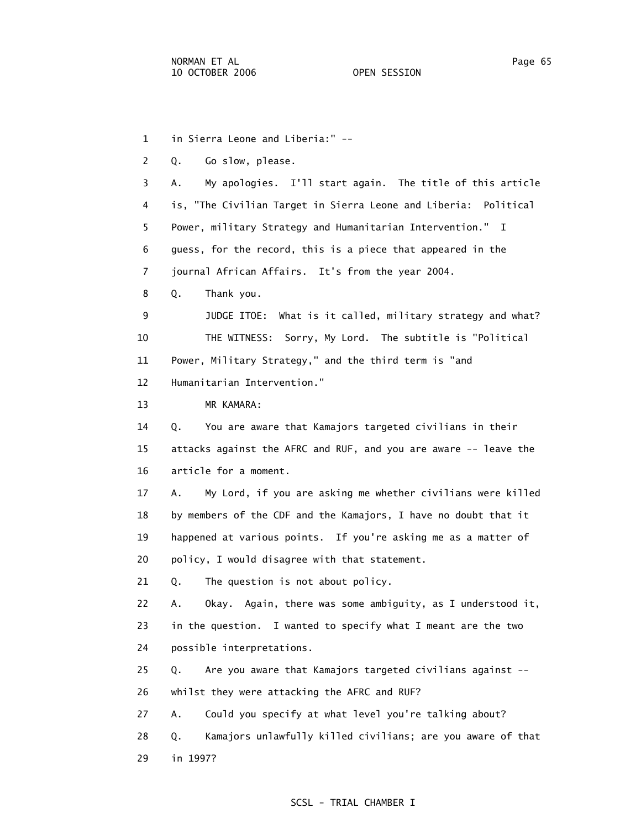1 in Sierra Leone and Liberia:" --

2 Q. Go slow, please.

 3 A. My apologies. I'll start again. The title of this article 4 is, "The Civilian Target in Sierra Leone and Liberia: Political 5 Power, military Strategy and Humanitarian Intervention." I 6 guess, for the record, this is a piece that appeared in the 7 journal African Affairs. It's from the year 2004.

8 Q. Thank you.

 9 JUDGE ITOE: What is it called, military strategy and what? 10 THE WITNESS: Sorry, My Lord. The subtitle is "Political 11 Power, Military Strategy," and the third term is "and 12 Humanitarian Intervention."

13 MR KAMARA:

 14 Q. You are aware that Kamajors targeted civilians in their 15 attacks against the AFRC and RUF, and you are aware -- leave the 16 article for a moment.

 17 A. My Lord, if you are asking me whether civilians were killed 18 by members of the CDF and the Kamajors, I have no doubt that it 19 happened at various points. If you're asking me as a matter of 20 policy, I would disagree with that statement.

21 Q. The question is not about policy.

 22 A. Okay. Again, there was some ambiguity, as I understood it, 23 in the question. I wanted to specify what I meant are the two 24 possible interpretations.

25 Q. Are you aware that Kamajors targeted civilians against --

26 whilst they were attacking the AFRC and RUF?

27 A. Could you specify at what level you're talking about?

 28 Q. Kamajors unlawfully killed civilians; are you aware of that 29 in 1997?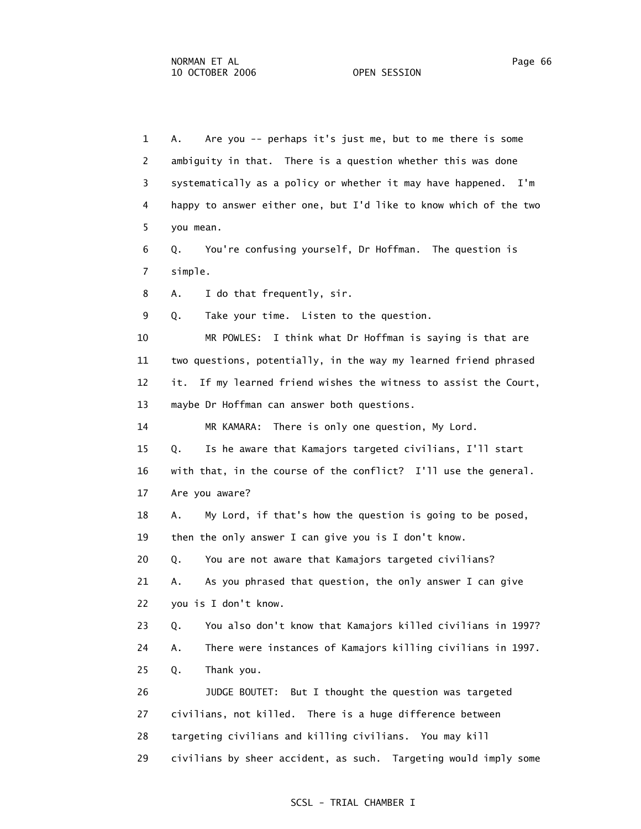1 A. Are you -- perhaps it's just me, but to me there is some 2 ambiguity in that. There is a question whether this was done 3 systematically as a policy or whether it may have happened. I'm 4 happy to answer either one, but I'd like to know which of the two 5 you mean. 6 Q. You're confusing yourself, Dr Hoffman. The question is 7 simple. 8 A. I do that frequently, sir. 9 Q. Take your time. Listen to the question. 10 MR POWLES: I think what Dr Hoffman is saying is that are 11 two questions, potentially, in the way my learned friend phrased 12 it. If my learned friend wishes the witness to assist the Court, 13 maybe Dr Hoffman can answer both questions. 14 MR KAMARA: There is only one question, My Lord. 15 Q. Is he aware that Kamajors targeted civilians, I'll start 16 with that, in the course of the conflict? I'll use the general. 17 Are you aware? 18 A. My Lord, if that's how the question is going to be posed, 19 then the only answer I can give you is I don't know. 20 Q. You are not aware that Kamajors targeted civilians? 21 A. As you phrased that question, the only answer I can give 22 you is I don't know. 23 Q. You also don't know that Kamajors killed civilians in 1997? 24 A. There were instances of Kamajors killing civilians in 1997. 25 Q. Thank you. 26 JUDGE BOUTET: But I thought the question was targeted 27 civilians, not killed. There is a huge difference between 28 targeting civilians and killing civilians. You may kill 29 civilians by sheer accident, as such. Targeting would imply some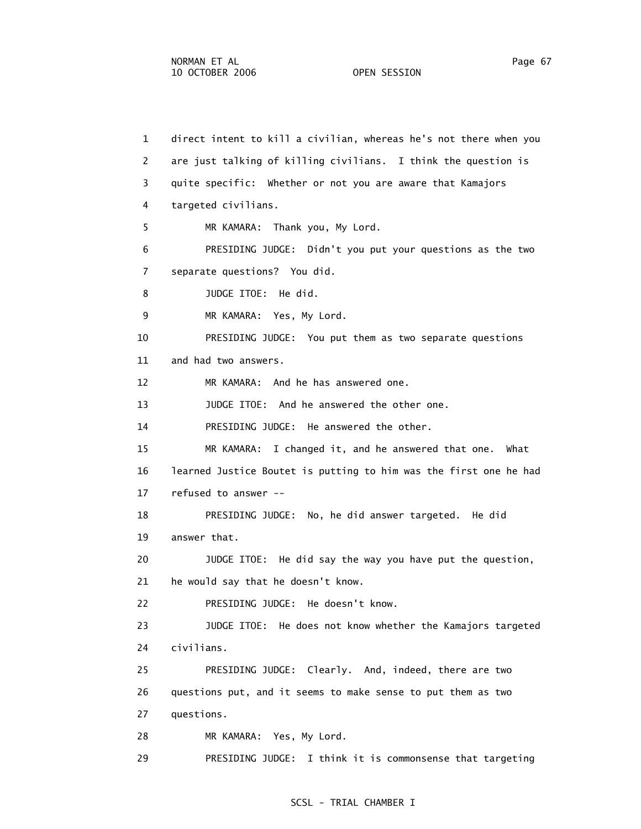1 direct intent to kill a civilian, whereas he's not there when you 2 are just talking of killing civilians. I think the question is 3 quite specific: Whether or not you are aware that Kamajors 4 targeted civilians. 5 MR KAMARA: Thank you, My Lord. 6 PRESIDING JUDGE: Didn't you put your questions as the two 7 separate questions? You did. 8 JUDGE ITOE: He did. 9 MR KAMARA: Yes, My Lord. 10 PRESIDING JUDGE: You put them as two separate questions 11 and had two answers. 12 MR KAMARA: And he has answered one. 13 JUDGE ITOE: And he answered the other one. 14 PRESIDING JUDGE: He answered the other. 15 MR KAMARA: I changed it, and he answered that one. What 16 learned Justice Boutet is putting to him was the first one he had 17 refused to answer -- 18 PRESIDING JUDGE: No, he did answer targeted. He did 19 answer that. 20 JUDGE ITOE: He did say the way you have put the question, 21 he would say that he doesn't know. 22 PRESIDING JUDGE: He doesn't know. 23 JUDGE ITOE: He does not know whether the Kamajors targeted 24 civilians. 25 PRESIDING JUDGE: Clearly. And, indeed, there are two 26 questions put, and it seems to make sense to put them as two 27 questions. 28 MR KAMARA: Yes, My Lord. 29 PRESIDING JUDGE: I think it is commonsense that targeting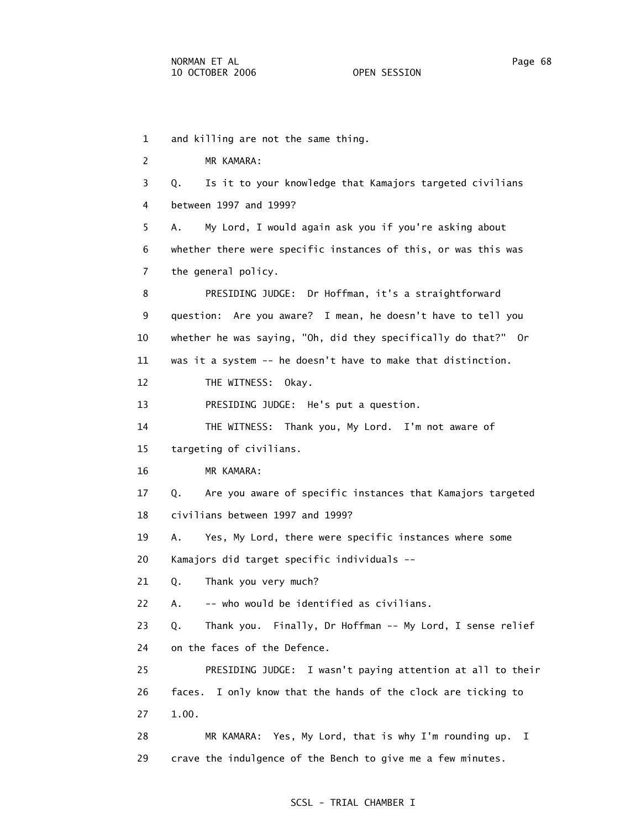1 and killing are not the same thing. 2 MR KAMARA: 3 Q. Is it to your knowledge that Kamajors targeted civilians 4 between 1997 and 1999? 5 A. My Lord, I would again ask you if you're asking about 6 whether there were specific instances of this, or was this was 7 the general policy. 8 PRESIDING JUDGE: Dr Hoffman, it's a straightforward 9 question: Are you aware? I mean, he doesn't have to tell you 10 whether he was saying, "Oh, did they specifically do that?" Or 11 was it a system -- he doesn't have to make that distinction. 12 THE WITNESS: Okay. 13 PRESIDING JUDGE: He's put a question. 14 THE WITNESS: Thank you, My Lord. I'm not aware of 15 targeting of civilians. 16 MR KAMARA: 17 Q. Are you aware of specific instances that Kamajors targeted 18 civilians between 1997 and 1999? 19 A. Yes, My Lord, there were specific instances where some 20 Kamajors did target specific individuals -- 21 Q. Thank you very much? 22 A. -- who would be identified as civilians. 23 Q. Thank you. Finally, Dr Hoffman -- My Lord, I sense relief 24 on the faces of the Defence. 25 PRESIDING JUDGE: I wasn't paying attention at all to their 26 faces. I only know that the hands of the clock are ticking to 27 1.00. 28 MR KAMARA: Yes, My Lord, that is why I'm rounding up. I 29 crave the indulgence of the Bench to give me a few minutes.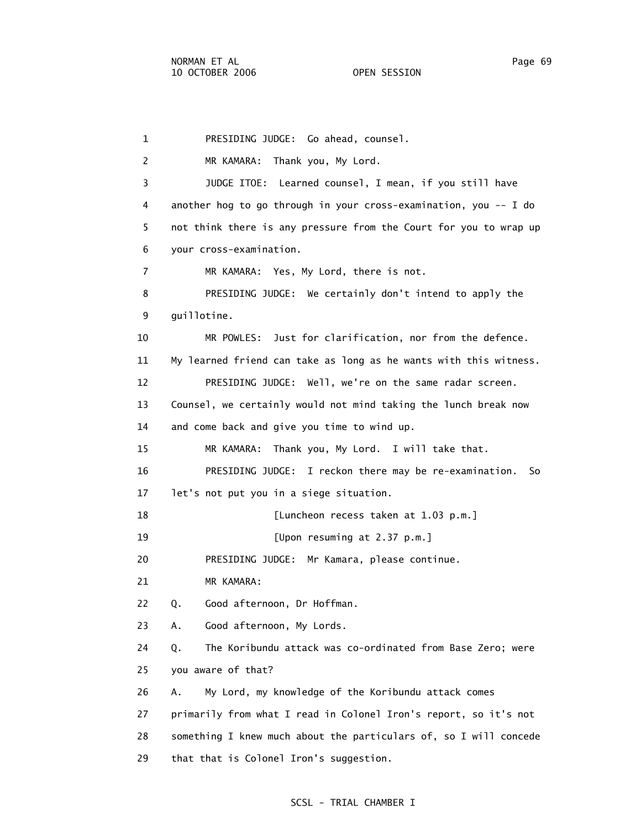1 PRESIDING JUDGE: Go ahead, counsel. 2 MR KAMARA: Thank you, My Lord. 3 JUDGE ITOE: Learned counsel, I mean, if you still have 4 another hog to go through in your cross-examination, you -- I do 5 not think there is any pressure from the Court for you to wrap up 6 your cross-examination. 7 MR KAMARA: Yes, My Lord, there is not. 8 PRESIDING JUDGE: We certainly don't intend to apply the 9 guillotine. 10 MR POWLES: Just for clarification, nor from the defence. 11 My learned friend can take as long as he wants with this witness. 12 PRESIDING JUDGE: Well, we're on the same radar screen. 13 Counsel, we certainly would not mind taking the lunch break now 14 and come back and give you time to wind up. 15 MR KAMARA: Thank you, My Lord. I will take that. 16 PRESIDING JUDGE: I reckon there may be re-examination. So 17 let's not put you in a siege situation. 18 **[Luncheon recess taken at 1.03 p.m.]**  19 [Upon resuming at 2.37 p.m.] 20 PRESIDING JUDGE: Mr Kamara, please continue. 21 MR KAMARA: 22 Q. Good afternoon, Dr Hoffman. 23 A. Good afternoon, My Lords. 24 Q. The Koribundu attack was co-ordinated from Base Zero; were 25 you aware of that? 26 A. My Lord, my knowledge of the Koribundu attack comes 27 primarily from what I read in Colonel Iron's report, so it's not 28 something I knew much about the particulars of, so I will concede 29 that that is Colonel Iron's suggestion.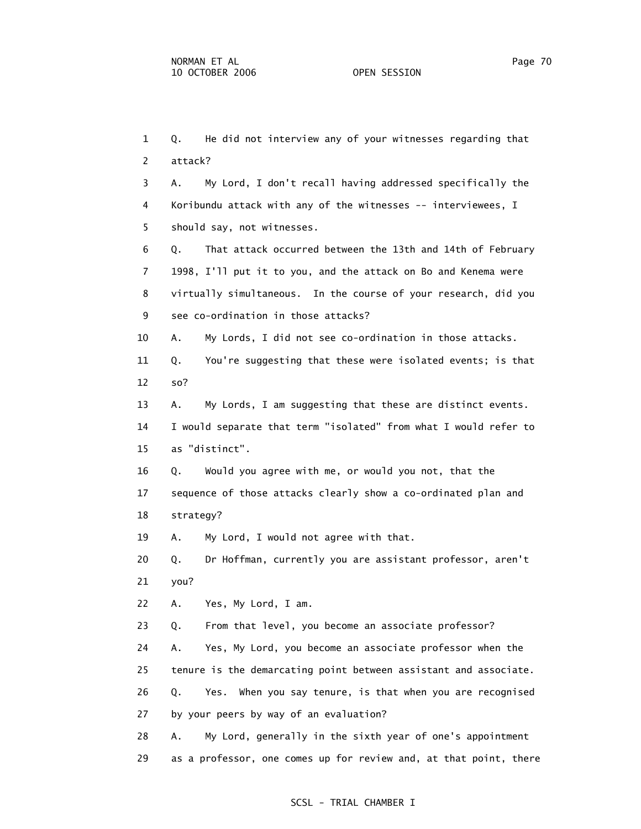1 Q. He did not interview any of your witnesses regarding that 2 attack? 3 A. My Lord, I don't recall having addressed specifically the 4 Koribundu attack with any of the witnesses -- interviewees, I 5 should say, not witnesses. 6 Q. That attack occurred between the 13th and 14th of February 7 1998, I'll put it to you, and the attack on Bo and Kenema were 8 virtually simultaneous. In the course of your research, did you 9 see co-ordination in those attacks? 10 A. My Lords, I did not see co-ordination in those attacks. 11 Q. You're suggesting that these were isolated events; is that 12 so? 13 A. My Lords, I am suggesting that these are distinct events. 14 I would separate that term "isolated" from what I would refer to 15 as "distinct". 16 Q. Would you agree with me, or would you not, that the 17 sequence of those attacks clearly show a co-ordinated plan and 18 strategy? 19 A. My Lord, I would not agree with that. 20 Q. Dr Hoffman, currently you are assistant professor, aren't 21 you? 22 A. Yes, My Lord, I am. 23 Q. From that level, you become an associate professor? 24 A. Yes, My Lord, you become an associate professor when the 25 tenure is the demarcating point between assistant and associate. 26 Q. Yes. When you say tenure, is that when you are recognised 27 by your peers by way of an evaluation? 28 A. My Lord, generally in the sixth year of one's appointment 29 as a professor, one comes up for review and, at that point, there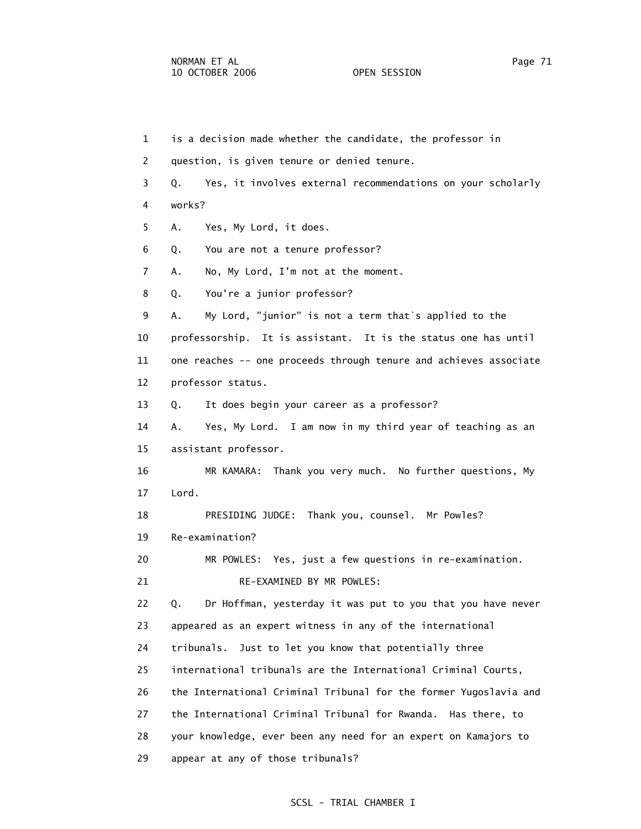| $\mathbf 1$ | is a decision made whether the candidate, the professor in        |
|-------------|-------------------------------------------------------------------|
| 2           | question, is given tenure or denied tenure.                       |
| 3           | Yes, it involves external recommendations on your scholarly<br>Q. |
| 4           | works?                                                            |
| 5           | Yes, My Lord, it does.<br>Α.                                      |
| 6           | You are not a tenure professor?<br>Q.                             |
| 7           | No, My Lord, I'm not at the moment.<br>А.                         |
| 8           | You're a junior professor?<br>Q.                                  |
| 9           | My Lord, "junior" is not a term that's applied to the<br>А.       |
| 10          | professorship. It is assistant. It is the status one has until    |
| 11          | one reaches -- one proceeds through tenure and achieves associate |
| 12          | professor status.                                                 |
| 13          | It does begin your career as a professor?<br>$Q_{\star}$          |
| 14          | Yes, My Lord. I am now in my third year of teaching as an<br>А.   |
| 15          | assistant professor.                                              |
| 16          | MR KAMARA: Thank you very much. No further questions, My          |
| 17          | Lord.                                                             |
| 18          | PRESIDING JUDGE: Thank you, counsel. Mr Powles?                   |
| 19          | Re-examination?                                                   |
| 20          | MR POWLES: Yes, just a few questions in re-examination.           |
| 21          | RE-EXAMINED BY MR POWLES:                                         |
| 22          | Dr Hoffman, yesterday it was put to you that you have never<br>Q. |
| 23          | appeared as an expert witness in any of the international         |
| 24          | Just to let you know that potentially three<br>tribunals.         |
| 25          | international tribunals are the International Criminal Courts,    |
| 26          | the International Criminal Tribunal for the former Yugoslavia and |
| 27          | the International Criminal Tribunal for Rwanda. Has there, to     |
| 28          | your knowledge, ever been any need for an expert on Kamajors to   |
| 29          | appear at any of those tribunals?                                 |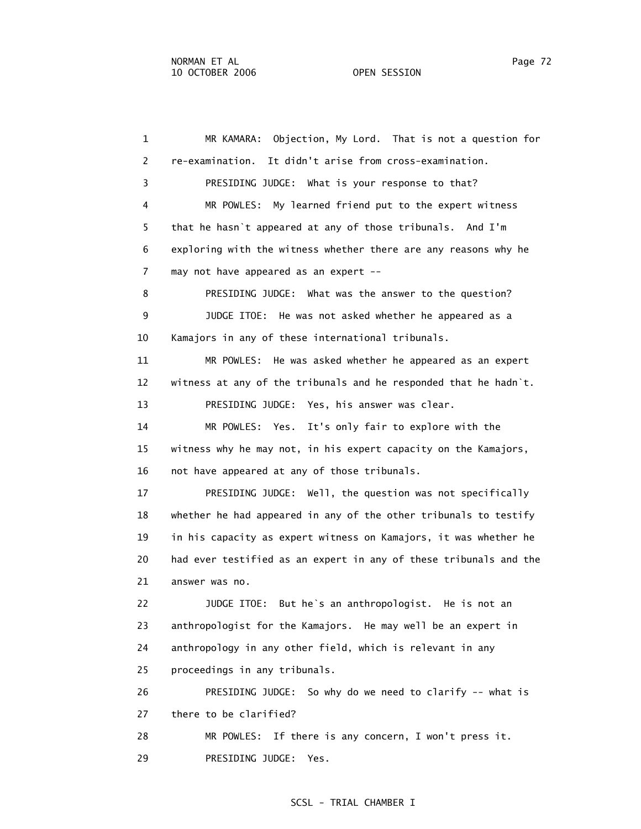1 MR KAMARA: Objection, My Lord. That is not a question for 2 re-examination. It didn't arise from cross-examination. 3 PRESIDING JUDGE: What is your response to that? 4 MR POWLES: My learned friend put to the expert witness 5 that he hasn`t appeared at any of those tribunals. And I'm 6 exploring with the witness whether there are any reasons why he 7 may not have appeared as an expert -- 8 PRESIDING JUDGE: What was the answer to the question? 9 JUDGE ITOE: He was not asked whether he appeared as a 10 Kamajors in any of these international tribunals. 11 MR POWLES: He was asked whether he appeared as an expert 12 witness at any of the tribunals and he responded that he hadn`t. 13 PRESIDING JUDGE: Yes, his answer was clear. 14 MR POWLES: Yes. It's only fair to explore with the 15 witness why he may not, in his expert capacity on the Kamajors, 16 not have appeared at any of those tribunals. 17 PRESIDING JUDGE: Well, the question was not specifically 18 whether he had appeared in any of the other tribunals to testify 19 in his capacity as expert witness on Kamajors, it was whether he 20 had ever testified as an expert in any of these tribunals and the 21 answer was no. 22 JUDGE ITOE: But he`s an anthropologist. He is not an 23 anthropologist for the Kamajors. He may well be an expert in 24 anthropology in any other field, which is relevant in any 25 proceedings in any tribunals. 26 PRESIDING JUDGE: So why do we need to clarify -- what is 27 there to be clarified? 28 MR POWLES: If there is any concern, I won't press it. 29 PRESIDING JUDGE: Yes.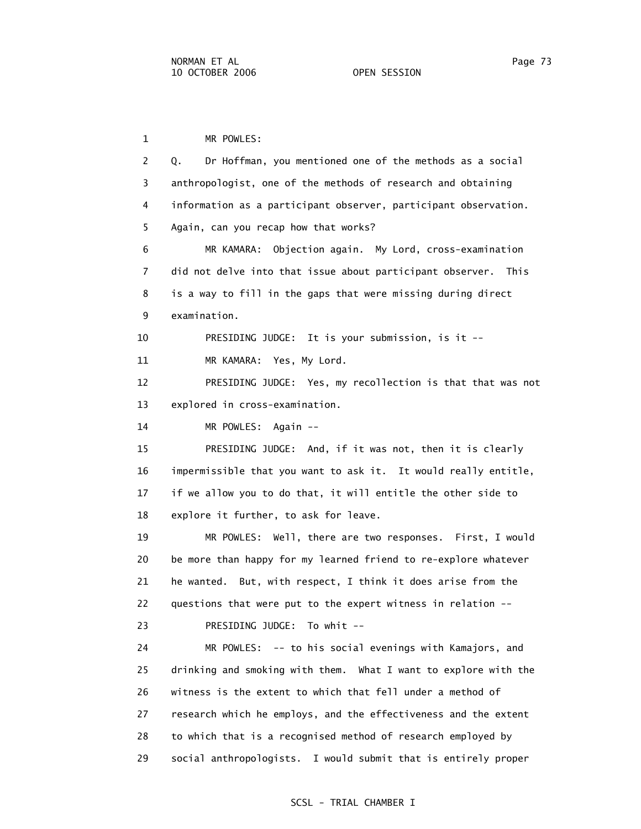2 Q. Dr Hoffman, you mentioned one of the methods as a social 3 anthropologist, one of the methods of research and obtaining 4 information as a participant observer, participant observation. 5 Again, can you recap how that works? 6 MR KAMARA: Objection again. My Lord, cross-examination 7 did not delve into that issue about participant observer. This 8 is a way to fill in the gaps that were missing during direct 9 examination. 10 PRESIDING JUDGE: It is your submission, is it -- 11 MR KAMARA: Yes, My Lord. 12 PRESIDING JUDGE: Yes, my recollection is that that was not 13 explored in cross-examination. 14 MR POWLES: Again -- 15 PRESIDING JUDGE: And, if it was not, then it is clearly 16 impermissible that you want to ask it. It would really entitle, 17 if we allow you to do that, it will entitle the other side to 18 explore it further, to ask for leave. 19 MR POWLES: Well, there are two responses. First, I would 20 be more than happy for my learned friend to re-explore whatever 21 he wanted. But, with respect, I think it does arise from the 22 questions that were put to the expert witness in relation -- 23 PRESIDING JUDGE: To whit -- 24 MR POWLES: -- to his social evenings with Kamajors, and

 25 drinking and smoking with them. What I want to explore with the 26 witness is the extent to which that fell under a method of 27 research which he employs, and the effectiveness and the extent 28 to which that is a recognised method of research employed by 29 social anthropologists. I would submit that is entirely proper

## SCSL - TRIAL CHAMBER I

1 MR POWLES: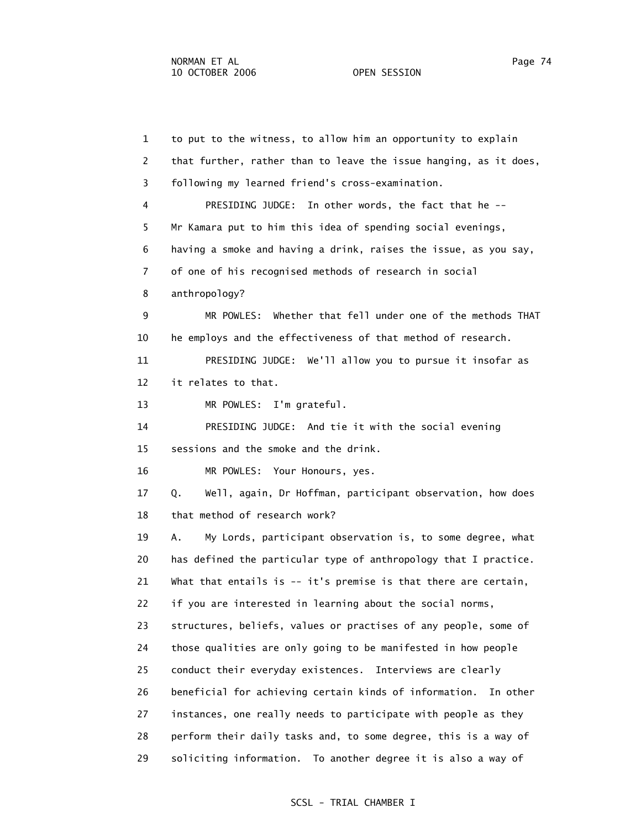1 to put to the witness, to allow him an opportunity to explain 2 that further, rather than to leave the issue hanging, as it does, 3 following my learned friend's cross-examination. 4 PRESIDING JUDGE: In other words, the fact that he -- 5 Mr Kamara put to him this idea of spending social evenings, 6 having a smoke and having a drink, raises the issue, as you say, 7 of one of his recognised methods of research in social 8 anthropology? 9 MR POWLES: Whether that fell under one of the methods THAT 10 he employs and the effectiveness of that method of research. 11 PRESIDING JUDGE: We'll allow you to pursue it insofar as 12 it relates to that. 13 MR POWLES: I'm grateful. 14 PRESIDING JUDGE: And tie it with the social evening 15 sessions and the smoke and the drink. 16 MR POWLES: Your Honours, yes. 17 Q. Well, again, Dr Hoffman, participant observation, how does 18 that method of research work? 19 A. My Lords, participant observation is, to some degree, what 20 has defined the particular type of anthropology that I practice. 21 What that entails is -- it's premise is that there are certain, 22 if you are interested in learning about the social norms, 23 structures, beliefs, values or practises of any people, some of 24 those qualities are only going to be manifested in how people 25 conduct their everyday existences. Interviews are clearly 26 beneficial for achieving certain kinds of information. In other 27 instances, one really needs to participate with people as they 28 perform their daily tasks and, to some degree, this is a way of 29 soliciting information. To another degree it is also a way of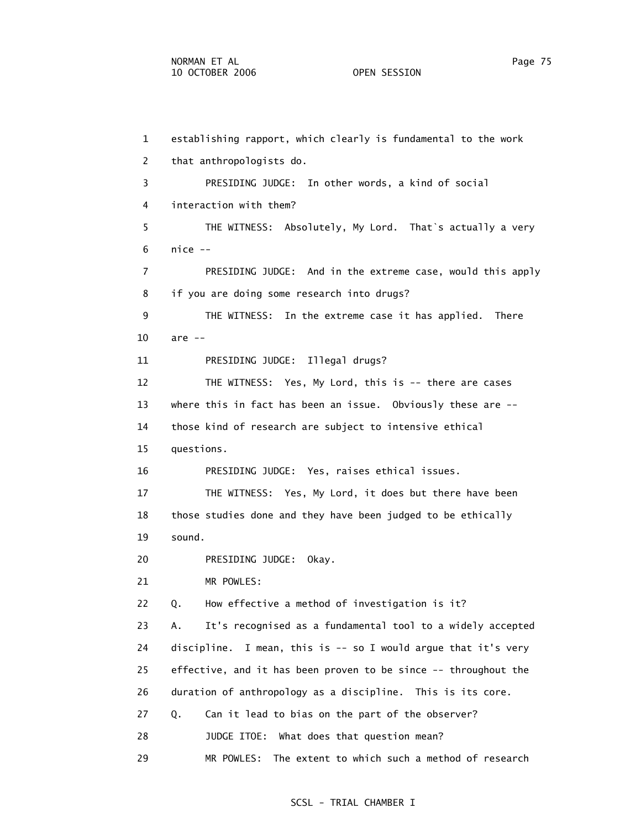1 establishing rapport, which clearly is fundamental to the work 2 that anthropologists do. 3 PRESIDING JUDGE: In other words, a kind of social 4 interaction with them? 5 THE WITNESS: Absolutely, My Lord. That`s actually a very 6 nice -- 7 PRESIDING JUDGE: And in the extreme case, would this apply 8 if you are doing some research into drugs? 9 THE WITNESS: In the extreme case it has applied. There 10 are -- 11 PRESIDING JUDGE: Illegal drugs? 12 THE WITNESS: Yes, My Lord, this is -- there are cases 13 where this in fact has been an issue. Obviously these are -- 14 those kind of research are subject to intensive ethical 15 questions. 16 PRESIDING JUDGE: Yes, raises ethical issues. 17 THE WITNESS: Yes, My Lord, it does but there have been 18 those studies done and they have been judged to be ethically 19 sound. 20 PRESIDING JUDGE: Okay. 21 MR POWLES: 22 Q. How effective a method of investigation is it? 23 A. It's recognised as a fundamental tool to a widely accepted 24 discipline. I mean, this is -- so I would argue that it's very 25 effective, and it has been proven to be since -- throughout the 26 duration of anthropology as a discipline. This is its core. 27 Q. Can it lead to bias on the part of the observer? 28 JUDGE ITOE: What does that question mean? 29 MR POWLES: The extent to which such a method of research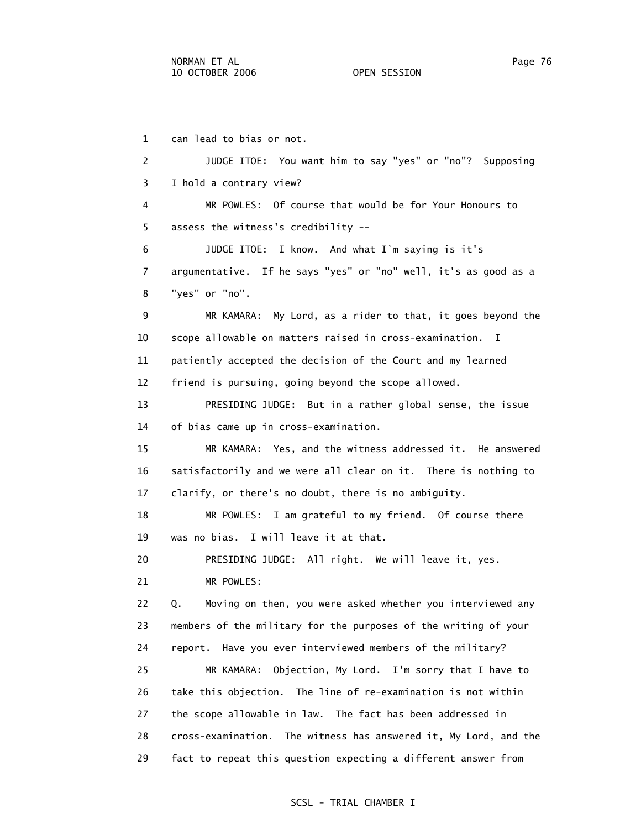1 can lead to bias or not. 2 JUDGE ITOE: You want him to say "yes" or "no"? Supposing 3 I hold a contrary view? 4 MR POWLES: Of course that would be for Your Honours to 5 assess the witness's credibility -- 6 JUDGE ITOE: I know. And what I`m saying is it's 7 argumentative. If he says "yes" or "no" well, it's as good as a 8 "yes" or "no". 9 MR KAMARA: My Lord, as a rider to that, it goes beyond the 10 scope allowable on matters raised in cross-examination. I 11 patiently accepted the decision of the Court and my learned 12 friend is pursuing, going beyond the scope allowed. 13 PRESIDING JUDGE: But in a rather global sense, the issue 14 of bias came up in cross-examination. 15 MR KAMARA: Yes, and the witness addressed it. He answered 16 satisfactorily and we were all clear on it. There is nothing to 17 clarify, or there's no doubt, there is no ambiguity. 18 MR POWLES: I am grateful to my friend. Of course there 19 was no bias. I will leave it at that. 20 PRESIDING JUDGE: All right. We will leave it, yes. 21 MR POWLES: 22 Q. Moving on then, you were asked whether you interviewed any 23 members of the military for the purposes of the writing of your 24 report. Have you ever interviewed members of the military? 25 MR KAMARA: Objection, My Lord. I'm sorry that I have to 26 take this objection. The line of re-examination is not within 27 the scope allowable in law. The fact has been addressed in 28 cross-examination. The witness has answered it, My Lord, and the 29 fact to repeat this question expecting a different answer from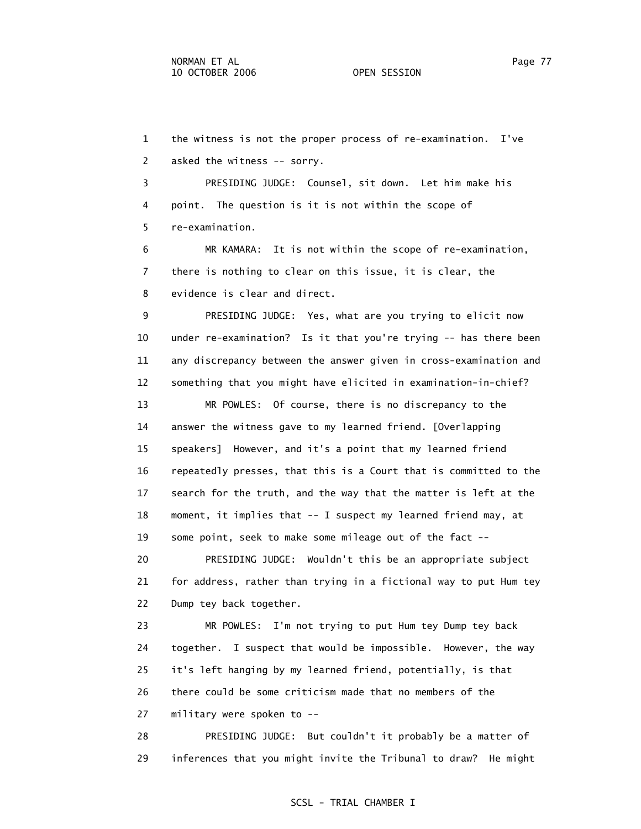1 the witness is not the proper process of re-examination. I've 2 asked the witness -- sorry. 3 PRESIDING JUDGE: Counsel, sit down. Let him make his 4 point. The question is it is not within the scope of 5 re-examination. 6 MR KAMARA: It is not within the scope of re-examination, 7 there is nothing to clear on this issue, it is clear, the 8 evidence is clear and direct. 9 PRESIDING JUDGE: Yes, what are you trying to elicit now 10 under re-examination? Is it that you're trying -- has there been 11 any discrepancy between the answer given in cross-examination and 12 something that you might have elicited in examination-in-chief? 13 MR POWLES: Of course, there is no discrepancy to the 14 answer the witness gave to my learned friend. [Overlapping 15 speakers] However, and it's a point that my learned friend 16 repeatedly presses, that this is a Court that is committed to the 17 search for the truth, and the way that the matter is left at the 18 moment, it implies that -- I suspect my learned friend may, at 19 some point, seek to make some mileage out of the fact -- 20 PRESIDING JUDGE: Wouldn't this be an appropriate subject 21 for address, rather than trying in a fictional way to put Hum tey 22 Dump tey back together. 23 MR POWLES: I'm not trying to put Hum tey Dump tey back 24 together. I suspect that would be impossible. However, the way 25 it's left hanging by my learned friend, potentially, is that 26 there could be some criticism made that no members of the 27 military were spoken to --

 28 PRESIDING JUDGE: But couldn't it probably be a matter of 29 inferences that you might invite the Tribunal to draw? He might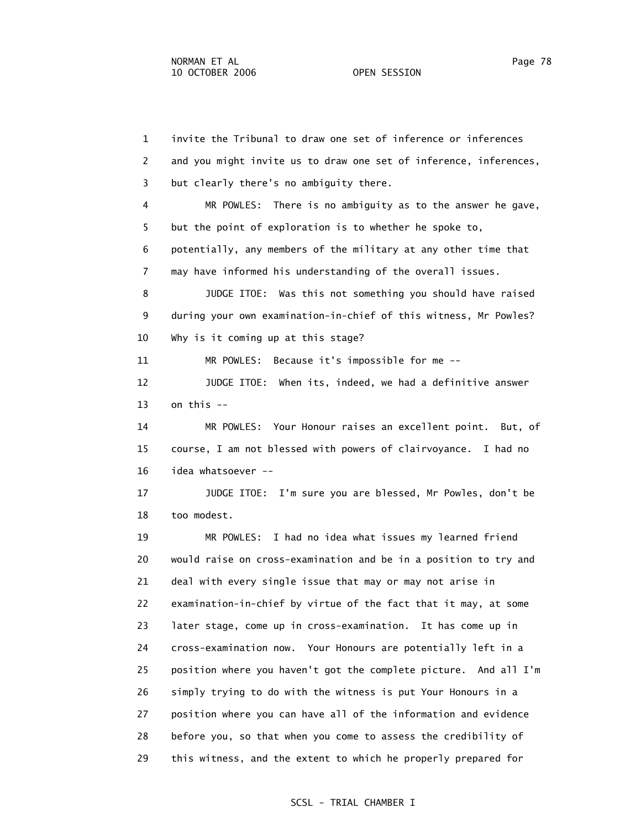1 invite the Tribunal to draw one set of inference or inferences 2 and you might invite us to draw one set of inference, inferences, 3 but clearly there's no ambiguity there. 4 MR POWLES: There is no ambiguity as to the answer he gave, 5 but the point of exploration is to whether he spoke to, 6 potentially, any members of the military at any other time that 7 may have informed his understanding of the overall issues. 8 JUDGE ITOE: Was this not something you should have raised 9 during your own examination-in-chief of this witness, Mr Powles? 10 Why is it coming up at this stage? 11 MR POWLES: Because it's impossible for me -- 12 JUDGE ITOE: When its, indeed, we had a definitive answer  $13$  on this  $-$  14 MR POWLES: Your Honour raises an excellent point. But, of 15 course, I am not blessed with powers of clairvoyance. I had no 16 idea whatsoever -- 17 JUDGE ITOE: I'm sure you are blessed, Mr Powles, don't be 18 too modest. 19 MR POWLES: I had no idea what issues my learned friend 20 would raise on cross-examination and be in a position to try and 21 deal with every single issue that may or may not arise in 22 examination-in-chief by virtue of the fact that it may, at some 23 later stage, come up in cross-examination. It has come up in 24 cross-examination now. Your Honours are potentially left in a 25 position where you haven't got the complete picture. And all I'm 26 simply trying to do with the witness is put Your Honours in a 27 position where you can have all of the information and evidence 28 before you, so that when you come to assess the credibility of 29 this witness, and the extent to which he properly prepared for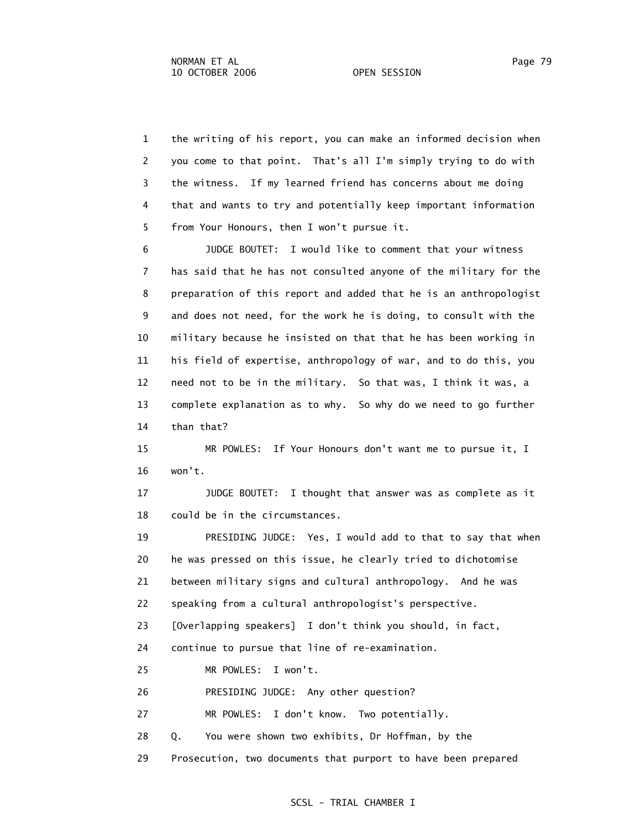1 the writing of his report, you can make an informed decision when 2 you come to that point. That's all I'm simply trying to do with 3 the witness. If my learned friend has concerns about me doing 4 that and wants to try and potentially keep important information 5 from Your Honours, then I won't pursue it.

 6 JUDGE BOUTET: I would like to comment that your witness 7 has said that he has not consulted anyone of the military for the 8 preparation of this report and added that he is an anthropologist 9 and does not need, for the work he is doing, to consult with the 10 military because he insisted on that that he has been working in 11 his field of expertise, anthropology of war, and to do this, you 12 need not to be in the military. So that was, I think it was, a 13 complete explanation as to why. So why do we need to go further 14 than that?

 15 MR POWLES: If Your Honours don't want me to pursue it, I 16 won't.

 17 JUDGE BOUTET: I thought that answer was as complete as it 18 could be in the circumstances.

 19 PRESIDING JUDGE: Yes, I would add to that to say that when 20 he was pressed on this issue, he clearly tried to dichotomise 21 between military signs and cultural anthropology. And he was 22 speaking from a cultural anthropologist's perspective.

23 [Overlapping speakers] I don't think you should, in fact,

24 continue to pursue that line of re-examination.

25 MR POWLES: I won't.

26 PRESIDING JUDGE: Any other question?

27 MR POWLES: I don't know. Two potentially.

28 Q. You were shown two exhibits, Dr Hoffman, by the

29 Prosecution, two documents that purport to have been prepared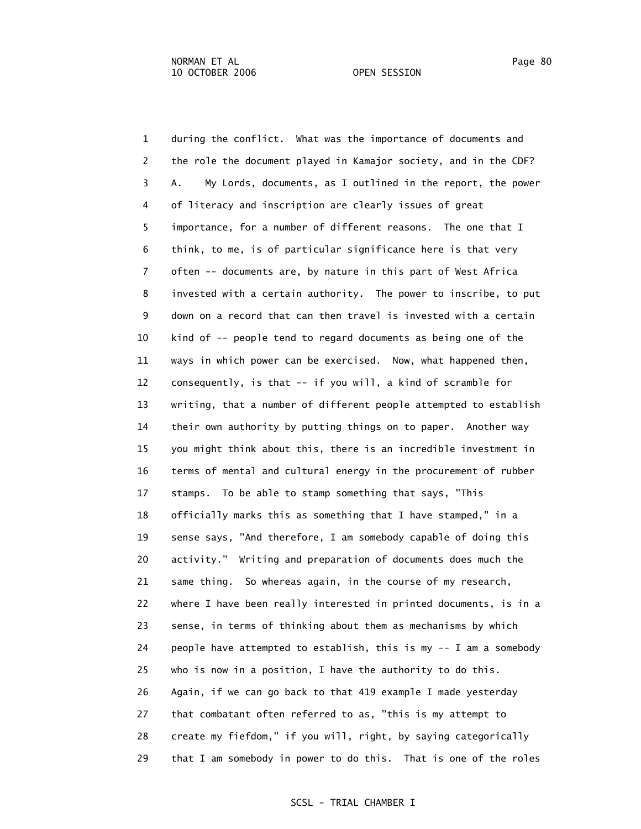1 during the conflict. What was the importance of documents and 2 the role the document played in Kamajor society, and in the CDF? 3 A. My Lords, documents, as I outlined in the report, the power 4 of literacy and inscription are clearly issues of great 5 importance, for a number of different reasons. The one that I 6 think, to me, is of particular significance here is that very 7 often -- documents are, by nature in this part of West Africa 8 invested with a certain authority. The power to inscribe, to put 9 down on a record that can then travel is invested with a certain 10 kind of -- people tend to regard documents as being one of the 11 ways in which power can be exercised. Now, what happened then, 12 consequently, is that -- if you will, a kind of scramble for 13 writing, that a number of different people attempted to establish 14 their own authority by putting things on to paper. Another way 15 you might think about this, there is an incredible investment in 16 terms of mental and cultural energy in the procurement of rubber 17 stamps. To be able to stamp something that says, "This 18 officially marks this as something that I have stamped," in a 19 sense says, "And therefore, I am somebody capable of doing this 20 activity." Writing and preparation of documents does much the 21 same thing. So whereas again, in the course of my research, 22 where I have been really interested in printed documents, is in a 23 sense, in terms of thinking about them as mechanisms by which 24 people have attempted to establish, this is my -- I am a somebody 25 who is now in a position, I have the authority to do this. 26 Again, if we can go back to that 419 example I made yesterday 27 that combatant often referred to as, "this is my attempt to 28 create my fiefdom," if you will, right, by saying categorically

SCSL - TRIAL CHAMBER I

29 that I am somebody in power to do this. That is one of the roles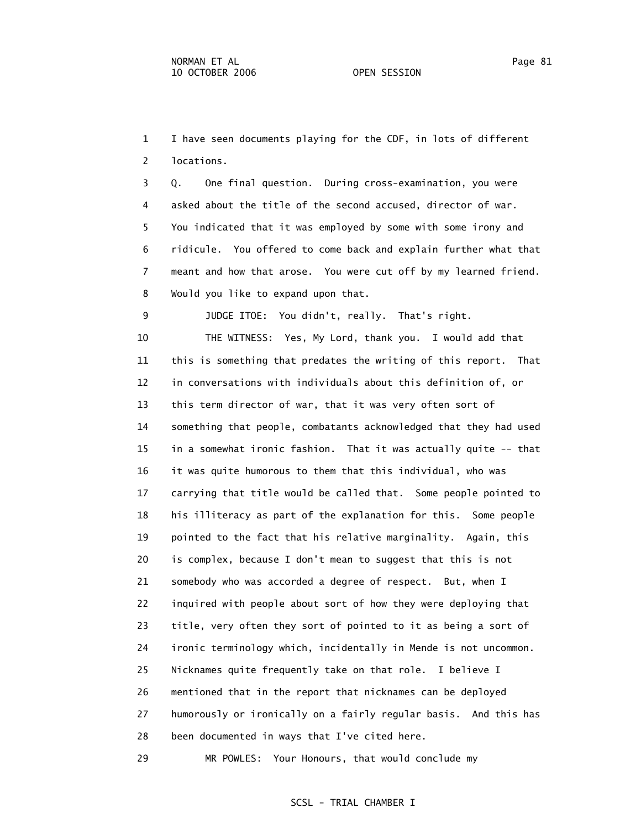1 I have seen documents playing for the CDF, in lots of different 2 locations.

 3 Q. One final question. During cross-examination, you were 4 asked about the title of the second accused, director of war. 5 You indicated that it was employed by some with some irony and 6 ridicule. You offered to come back and explain further what that 7 meant and how that arose. You were cut off by my learned friend. 8 Would you like to expand upon that.

9 JUDGE ITOE: You didn't, really. That's right.

 10 THE WITNESS: Yes, My Lord, thank you. I would add that 11 this is something that predates the writing of this report. That 12 in conversations with individuals about this definition of, or 13 this term director of war, that it was very often sort of 14 something that people, combatants acknowledged that they had used 15 in a somewhat ironic fashion. That it was actually quite -- that 16 it was quite humorous to them that this individual, who was 17 carrying that title would be called that. Some people pointed to 18 his illiteracy as part of the explanation for this. Some people 19 pointed to the fact that his relative marginality. Again, this 20 is complex, because I don't mean to suggest that this is not 21 somebody who was accorded a degree of respect. But, when I 22 inquired with people about sort of how they were deploying that 23 title, very often they sort of pointed to it as being a sort of 24 ironic terminology which, incidentally in Mende is not uncommon. 25 Nicknames quite frequently take on that role. I believe I 26 mentioned that in the report that nicknames can be deployed 27 humorously or ironically on a fairly regular basis. And this has 28 been documented in ways that I've cited here.

29 MR POWLES: Your Honours, that would conclude my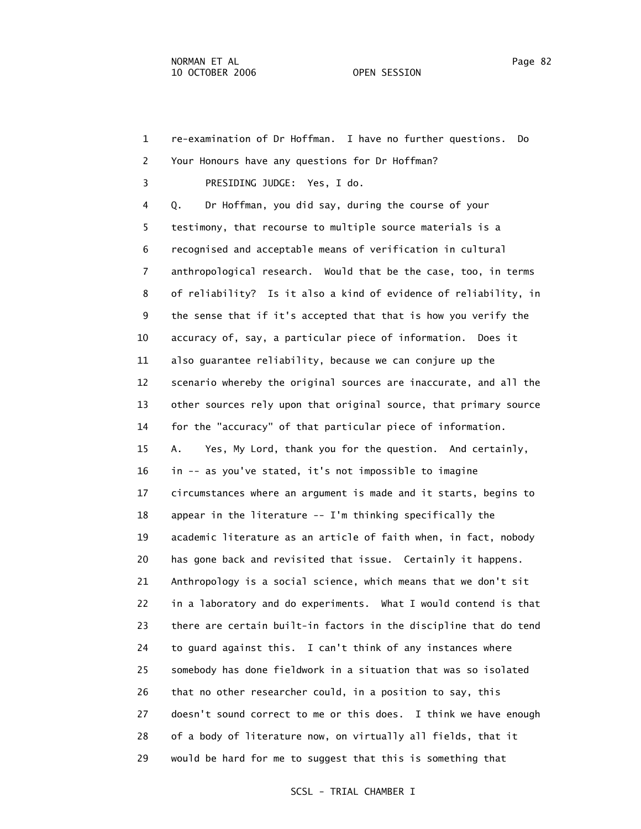1 re-examination of Dr Hoffman. I have no further questions. Do 2 Your Honours have any questions for Dr Hoffman? 3 PRESIDING JUDGE: Yes, I do. 4 Q. Dr Hoffman, you did say, during the course of your 5 testimony, that recourse to multiple source materials is a 6 recognised and acceptable means of verification in cultural 7 anthropological research. Would that be the case, too, in terms 8 of reliability? Is it also a kind of evidence of reliability, in 9 the sense that if it's accepted that that is how you verify the 10 accuracy of, say, a particular piece of information. Does it 11 also guarantee reliability, because we can conjure up the 12 scenario whereby the original sources are inaccurate, and all the 13 other sources rely upon that original source, that primary source 14 for the "accuracy" of that particular piece of information. 15 A. Yes, My Lord, thank you for the question. And certainly, 16 in -- as you've stated, it's not impossible to imagine 17 circumstances where an argument is made and it starts, begins to 18 appear in the literature -- I'm thinking specifically the 19 academic literature as an article of faith when, in fact, nobody 20 has gone back and revisited that issue. Certainly it happens. 21 Anthropology is a social science, which means that we don't sit 22 in a laboratory and do experiments. What I would contend is that 23 there are certain built-in factors in the discipline that do tend 24 to guard against this. I can't think of any instances where 25 somebody has done fieldwork in a situation that was so isolated 26 that no other researcher could, in a position to say, this 27 doesn't sound correct to me or this does. I think we have enough 28 of a body of literature now, on virtually all fields, that it 29 would be hard for me to suggest that this is something that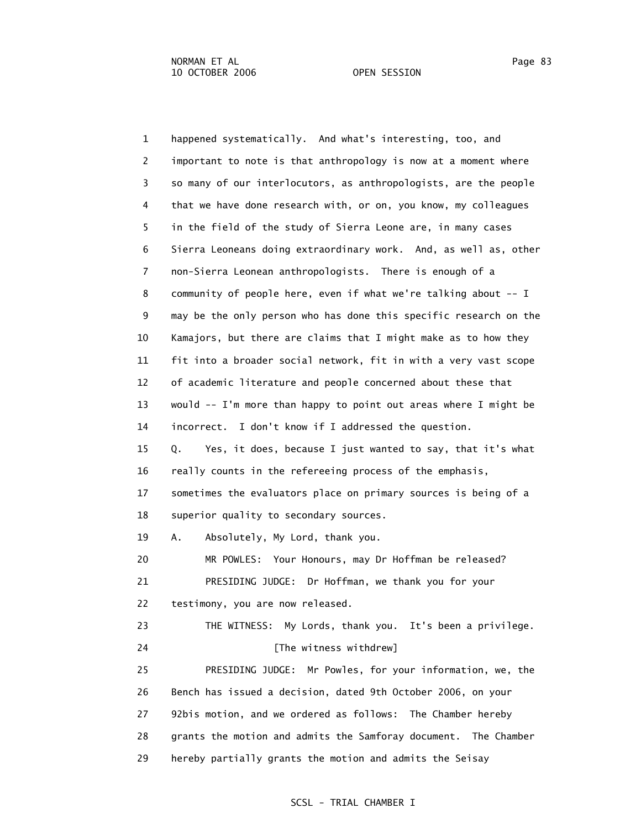1 happened systematically. And what's interesting, too, and 2 important to note is that anthropology is now at a moment where 3 so many of our interlocutors, as anthropologists, are the people 4 that we have done research with, or on, you know, my colleagues 5 in the field of the study of Sierra Leone are, in many cases 6 Sierra Leoneans doing extraordinary work. And, as well as, other 7 non-Sierra Leonean anthropologists. There is enough of a 8 community of people here, even if what we're talking about -- I 9 may be the only person who has done this specific research on the 10 Kamajors, but there are claims that I might make as to how they 11 fit into a broader social network, fit in with a very vast scope 12 of academic literature and people concerned about these that 13 would -- I'm more than happy to point out areas where I might be 14 incorrect. I don't know if I addressed the question. 15 Q. Yes, it does, because I just wanted to say, that it's what 16 really counts in the refereeing process of the emphasis, 17 sometimes the evaluators place on primary sources is being of a 18 superior quality to secondary sources. 19 A. Absolutely, My Lord, thank you. 20 MR POWLES: Your Honours, may Dr Hoffman be released? 21 PRESIDING JUDGE: Dr Hoffman, we thank you for your 22 testimony, you are now released. 23 THE WITNESS: My Lords, thank you. It's been a privilege. 24 **Example 24** [The witness withdrew] 25 PRESIDING JUDGE: Mr Powles, for your information, we, the 26 Bench has issued a decision, dated 9th October 2006, on your 27 92bis motion, and we ordered as follows: The Chamber hereby 28 grants the motion and admits the Samforay document. The Chamber 29 hereby partially grants the motion and admits the Seisay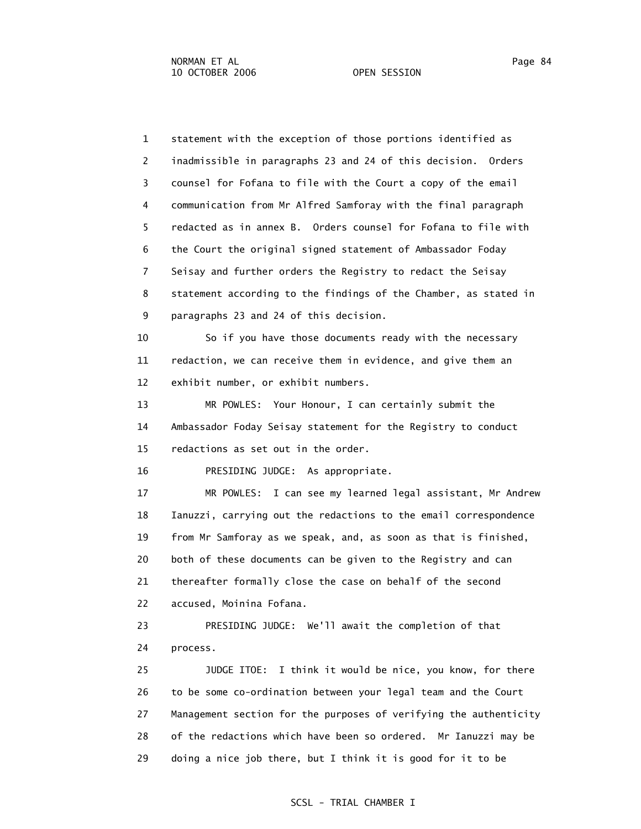1 statement with the exception of those portions identified as 2 inadmissible in paragraphs 23 and 24 of this decision. Orders 3 counsel for Fofana to file with the Court a copy of the email 4 communication from Mr Alfred Samforay with the final paragraph 5 redacted as in annex B. Orders counsel for Fofana to file with 6 the Court the original signed statement of Ambassador Foday 7 Seisay and further orders the Registry to redact the Seisay 8 statement according to the findings of the Chamber, as stated in 9 paragraphs 23 and 24 of this decision.

 10 So if you have those documents ready with the necessary 11 redaction, we can receive them in evidence, and give them an 12 exhibit number, or exhibit numbers.

 13 MR POWLES: Your Honour, I can certainly submit the 14 Ambassador Foday Seisay statement for the Registry to conduct 15 redactions as set out in the order.

16 PRESIDING JUDGE: As appropriate.

 17 MR POWLES: I can see my learned legal assistant, Mr Andrew 18 Ianuzzi, carrying out the redactions to the email correspondence 19 from Mr Samforay as we speak, and, as soon as that is finished, 20 both of these documents can be given to the Registry and can 21 thereafter formally close the case on behalf of the second 22 accused, Moinina Fofana.

 23 PRESIDING JUDGE: We'll await the completion of that 24 process.

 25 JUDGE ITOE: I think it would be nice, you know, for there 26 to be some co-ordination between your legal team and the Court 27 Management section for the purposes of verifying the authenticity 28 of the redactions which have been so ordered. Mr Ianuzzi may be 29 doing a nice job there, but I think it is good for it to be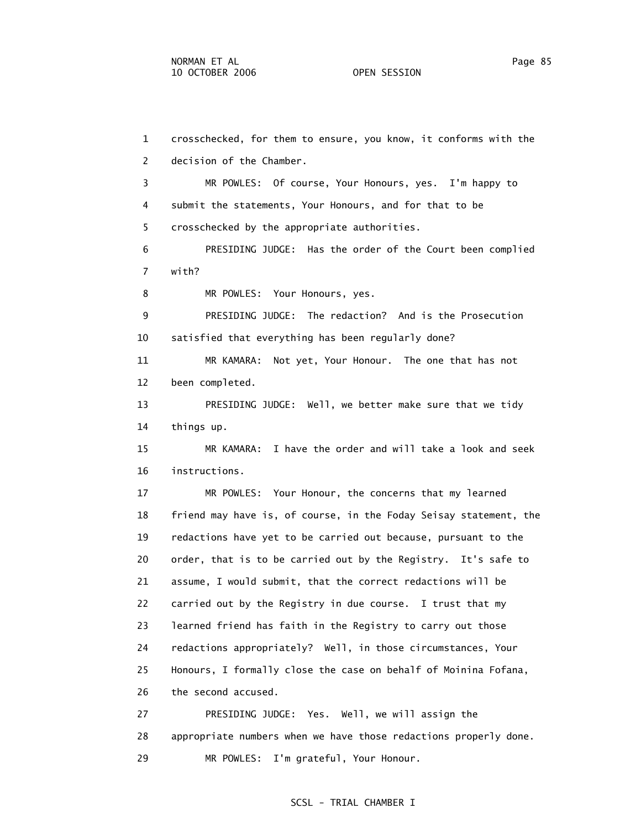1 crosschecked, for them to ensure, you know, it conforms with the 2 decision of the Chamber. 3 MR POWLES: Of course, Your Honours, yes. I'm happy to 4 submit the statements, Your Honours, and for that to be 5 crosschecked by the appropriate authorities. 6 PRESIDING JUDGE: Has the order of the Court been complied 7 with? 8 MR POWLES: Your Honours, yes. 9 PRESIDING JUDGE: The redaction? And is the Prosecution 10 satisfied that everything has been regularly done? 11 MR KAMARA: Not yet, Your Honour. The one that has not 12 been completed. 13 PRESIDING JUDGE: Well, we better make sure that we tidy 14 things up. 15 MR KAMARA: I have the order and will take a look and seek 16 instructions. 17 MR POWLES: Your Honour, the concerns that my learned 18 friend may have is, of course, in the Foday Seisay statement, the 19 redactions have yet to be carried out because, pursuant to the 20 order, that is to be carried out by the Registry. It's safe to 21 assume, I would submit, that the correct redactions will be 22 carried out by the Registry in due course. I trust that my 23 learned friend has faith in the Registry to carry out those 24 redactions appropriately? Well, in those circumstances, Your 25 Honours, I formally close the case on behalf of Moinina Fofana, 26 the second accused. 27 PRESIDING JUDGE: Yes. Well, we will assign the 28 appropriate numbers when we have those redactions properly done. 29 MR POWLES: I'm grateful, Your Honour.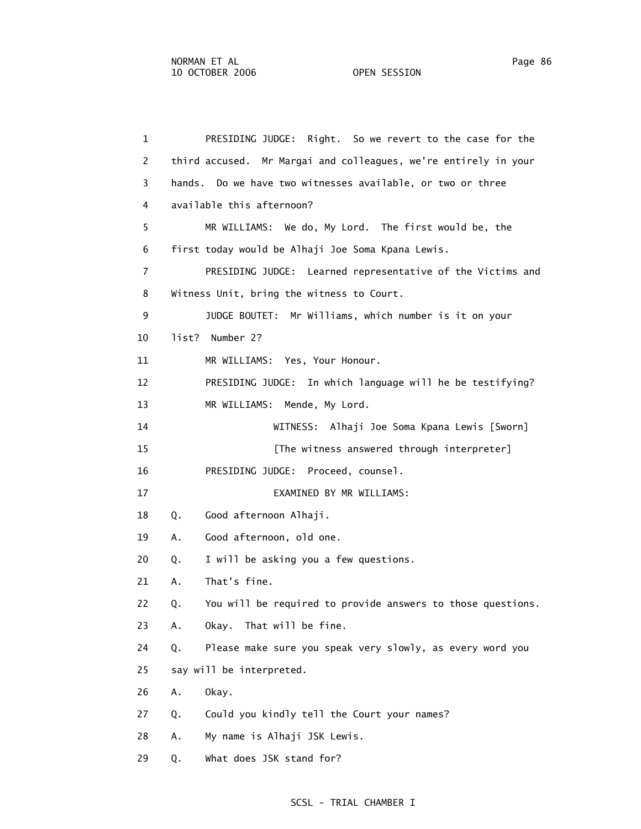| $\mathbf{1}$   | PRESIDING JUDGE: Right. So we revert to the case for the          |
|----------------|-------------------------------------------------------------------|
| 2              | third accused. Mr Margai and colleagues, we're entirely in your   |
| 3              | hands. Do we have two witnesses available, or two or three        |
| 4              | available this afternoon?                                         |
| 5              | MR WILLIAMS: We do, My Lord. The first would be, the              |
| 6              | first today would be Alhaji Joe Soma Kpana Lewis.                 |
| $\overline{7}$ | PRESIDING JUDGE: Learned representative of the Victims and        |
| 8              | Witness Unit, bring the witness to Court.                         |
| 9              | JUDGE BOUTET: Mr Williams, which number is it on your             |
| 10             | list? Number 2?                                                   |
| 11             | MR WILLIAMS: Yes, Your Honour.                                    |
| 12             | PRESIDING JUDGE: In which language will he be testifying?         |
| 13             | MR WILLIAMS: Mende, My Lord.                                      |
| 14             | WITNESS: Alhaji Joe Soma Kpana Lewis [Sworn]                      |
| 15             | [The witness answered through interpreter]                        |
| 16             | PRESIDING JUDGE: Proceed, counsel.                                |
| 17             | EXAMINED BY MR WILLIAMS:                                          |
| 18             | Good afternoon Alhaji.<br>Q.                                      |
| 19             | Good afternoon, old one.<br>Α.                                    |
| 20             | I will be asking you a few questions.<br>Q.                       |
| 21             | That's fine.<br>А.                                                |
| 22             | You will be required to provide answers to those questions.<br>Q. |
| 23             | Okay. That will be fine.<br>Α.                                    |
| 24             | Please make sure you speak very slowly, as every word you<br>Q.   |
| 25             | say will be interpreted.                                          |
| 26             | Okay.<br>Α.                                                       |
| 27             | Could you kindly tell the Court your names?<br>Q.                 |
| 28             | My name is Alhaji JSK Lewis.<br>Α.                                |
| 29             | What does JSK stand for?<br>Q.                                    |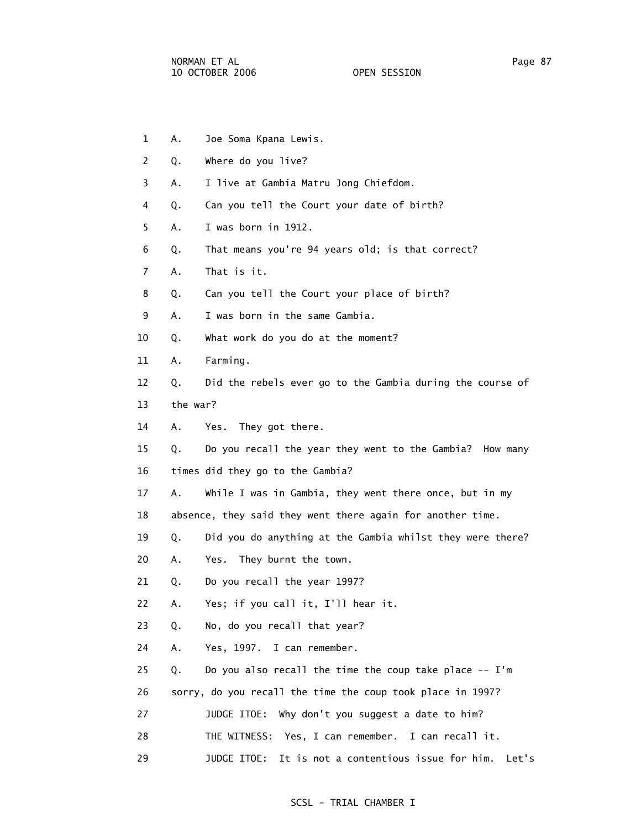- 1 A. Joe Soma Kpana Lewis.
- 2 Q. Where do you live?
- 3 A. I live at Gambia Matru Jong Chiefdom.
- 4 Q. Can you tell the Court your date of birth?
- 5 A. I was born in 1912.
- 6 Q. That means you're 94 years old; is that correct?
- 7 A. That is it.
- 8 Q. Can you tell the Court your place of birth?
- 9 A. I was born in the same Gambia.
- 10 Q. What work do you do at the moment?
- 11 A. Farming.
- 12 Q. Did the rebels ever go to the Gambia during the course of
- 13 the war?
- 14 A. Yes. They got there.
- 15 Q. Do you recall the year they went to the Gambia? How many
- 16 times did they go to the Gambia?
- 17 A. While I was in Gambia, they went there once, but in my
- 18 absence, they said they went there again for another time.
- 19 Q. Did you do anything at the Gambia whilst they were there?
- 20 A. Yes. They burnt the town.
- 21 Q. Do you recall the year 1997?
- 22 A. Yes; if you call it, I'll hear it.
- 23 Q. No, do you recall that year?
- 24 A. Yes, 1997. I can remember.
- 25 Q. Do you also recall the time the coup take place -- I'm
- 26 sorry, do you recall the time the coup took place in 1997?
- 27 JUDGE ITOE: Why don't you suggest a date to him?
- 28 THE WITNESS: Yes, I can remember. I can recall it.
- 29 JUDGE ITOE: It is not a contentious issue for him. Let's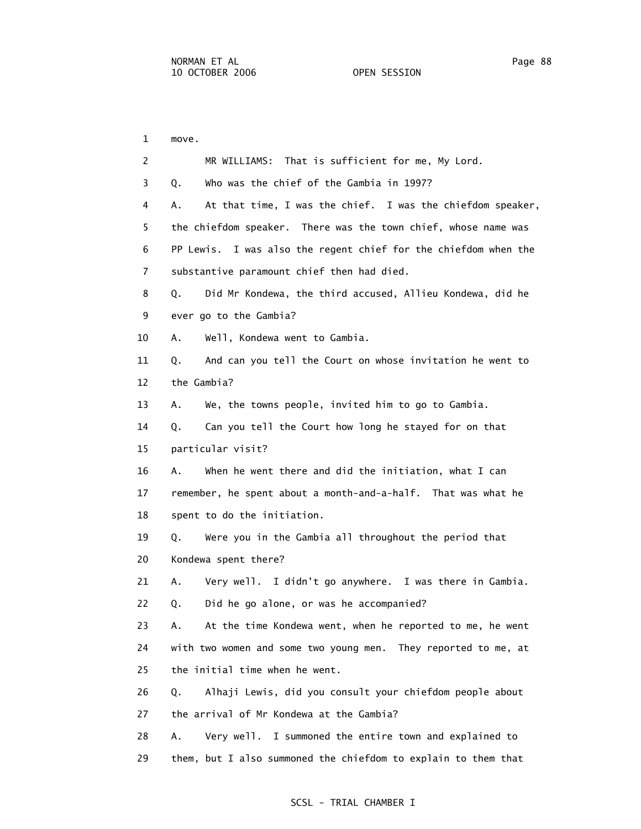1 move. 2 MR WILLIAMS: That is sufficient for me, My Lord. 3 Q. Who was the chief of the Gambia in 1997? 4 A. At that time, I was the chief. I was the chiefdom speaker, 5 the chiefdom speaker. There was the town chief, whose name was 6 PP Lewis. I was also the regent chief for the chiefdom when the 7 substantive paramount chief then had died. 8 Q. Did Mr Kondewa, the third accused, Allieu Kondewa, did he 9 ever go to the Gambia? 10 A. Well, Kondewa went to Gambia. 11 Q. And can you tell the Court on whose invitation he went to 12 the Gambia? 13 A. We, the towns people, invited him to go to Gambia. 14 Q. Can you tell the Court how long he stayed for on that 15 particular visit? 16 A. When he went there and did the initiation, what I can 17 remember, he spent about a month-and-a-half. That was what he 18 spent to do the initiation. 19 Q. Were you in the Gambia all throughout the period that 20 Kondewa spent there? 21 A. Very well. I didn't go anywhere. I was there in Gambia. 22 Q. Did he go alone, or was he accompanied? 23 A. At the time Kondewa went, when he reported to me, he went 24 with two women and some two young men. They reported to me, at 25 the initial time when he went. 26 Q. Alhaji Lewis, did you consult your chiefdom people about 27 the arrival of Mr Kondewa at the Gambia? 28 A. Very well. I summoned the entire town and explained to 29 them, but I also summoned the chiefdom to explain to them that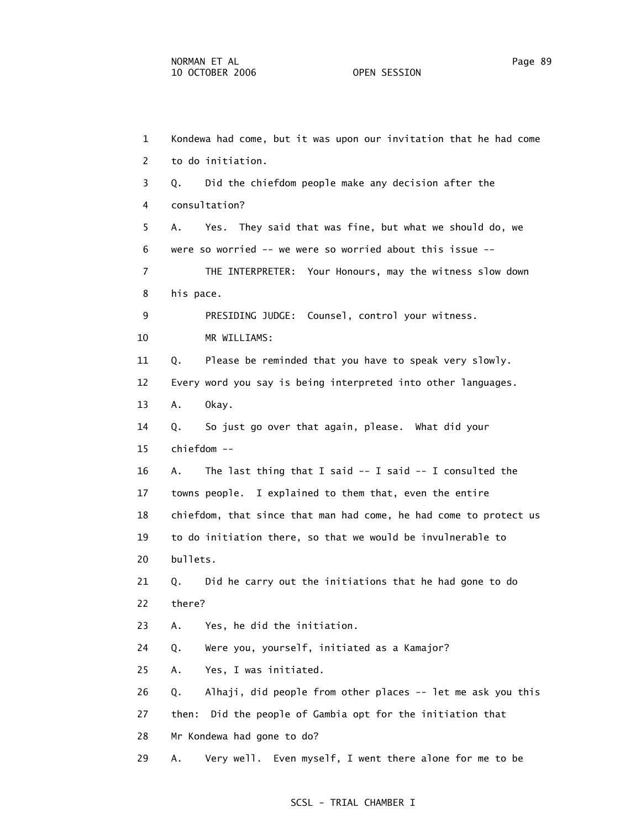1 Kondewa had come, but it was upon our invitation that he had come 2 to do initiation. 3 Q. Did the chiefdom people make any decision after the 4 consultation? 5 A. Yes. They said that was fine, but what we should do, we 6 were so worried -- we were so worried about this issue -- 7 THE INTERPRETER: Your Honours, may the witness slow down 8 his pace. 9 PRESIDING JUDGE: Counsel, control your witness. 10 MR WILLIAMS: 11 Q. Please be reminded that you have to speak very slowly. 12 Every word you say is being interpreted into other languages. 13 A. Okay. 14 Q. So just go over that again, please. What did your 15 chiefdom -- 16 A. The last thing that I said -- I said -- I consulted the 17 towns people. I explained to them that, even the entire 18 chiefdom, that since that man had come, he had come to protect us 19 to do initiation there, so that we would be invulnerable to 20 bullets. 21 Q. Did he carry out the initiations that he had gone to do 22 there? 23 A. Yes, he did the initiation. 24 Q. Were you, yourself, initiated as a Kamajor? 25 A. Yes, I was initiated. 26 Q. Alhaji, did people from other places -- let me ask you this 27 then: Did the people of Gambia opt for the initiation that 28 Mr Kondewa had gone to do? 29 A. Very well. Even myself, I went there alone for me to be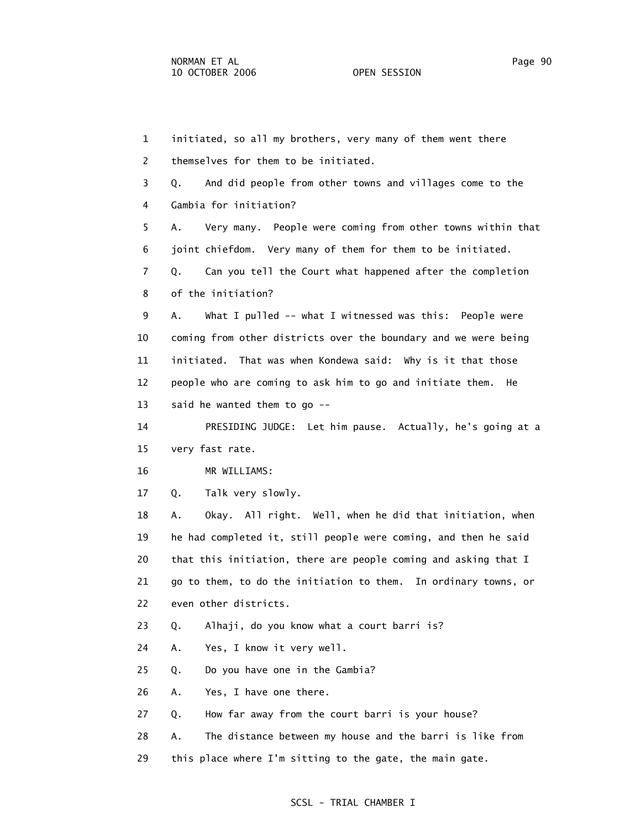1 initiated, so all my brothers, very many of them went there 2 themselves for them to be initiated. 3 Q. And did people from other towns and villages come to the 4 Gambia for initiation? 5 A. Very many. People were coming from other towns within that 6 joint chiefdom. Very many of them for them to be initiated. 7 Q. Can you tell the Court what happened after the completion 8 of the initiation? 9 A. What I pulled -- what I witnessed was this: People were 10 coming from other districts over the boundary and we were being 11 initiated. That was when Kondewa said: Why is it that those 12 people who are coming to ask him to go and initiate them. He 13 said he wanted them to go -- 14 PRESIDING JUDGE: Let him pause. Actually, he's going at a 15 very fast rate. 16 MR WILLIAMS: 17 Q. Talk very slowly. 18 A. Okay. All right. Well, when he did that initiation, when 19 he had completed it, still people were coming, and then he said 20 that this initiation, there are people coming and asking that I 21 go to them, to do the initiation to them. In ordinary towns, or 22 even other districts. 23 Q. Alhaji, do you know what a court barri is? 24 A. Yes, I know it very well. 25 Q. Do you have one in the Gambia? 26 A. Yes, I have one there. 27 Q. How far away from the court barri is your house? 28 A. The distance between my house and the barri is like from 29 this place where I'm sitting to the gate, the main gate.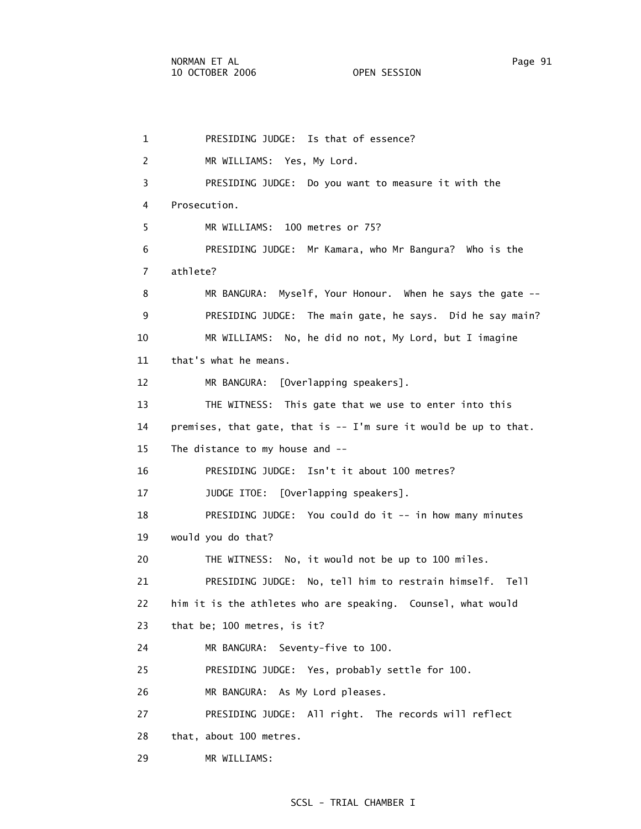1 PRESIDING JUDGE: Is that of essence? 2 MR WILLIAMS: Yes, My Lord. 3 PRESIDING JUDGE: Do you want to measure it with the 4 Prosecution. 5 MR WILLIAMS: 100 metres or 75? 6 PRESIDING JUDGE: Mr Kamara, who Mr Bangura? Who is the 7 athlete? 8 MR BANGURA: Myself, Your Honour. When he says the gate -- 9 PRESIDING JUDGE: The main gate, he says. Did he say main? 10 MR WILLIAMS: No, he did no not, My Lord, but I imagine 11 that's what he means. 12 MR BANGURA: [Overlapping speakers]. 13 THE WITNESS: This gate that we use to enter into this 14 premises, that gate, that is -- I'm sure it would be up to that. 15 The distance to my house and -- 16 PRESIDING JUDGE: Isn't it about 100 metres? 17 JUDGE ITOE: [Overlapping speakers]. 18 PRESIDING JUDGE: You could do it -- in how many minutes 19 would you do that? 20 THE WITNESS: No, it would not be up to 100 miles. 21 PRESIDING JUDGE: No, tell him to restrain himself. Tell 22 him it is the athletes who are speaking. Counsel, what would 23 that be; 100 metres, is it? 24 MR BANGURA: Seventy-five to 100. 25 PRESIDING JUDGE: Yes, probably settle for 100. 26 MR BANGURA: As My Lord pleases. 27 PRESIDING JUDGE: All right. The records will reflect 28 that, about 100 metres. 29 MR WILLIAMS: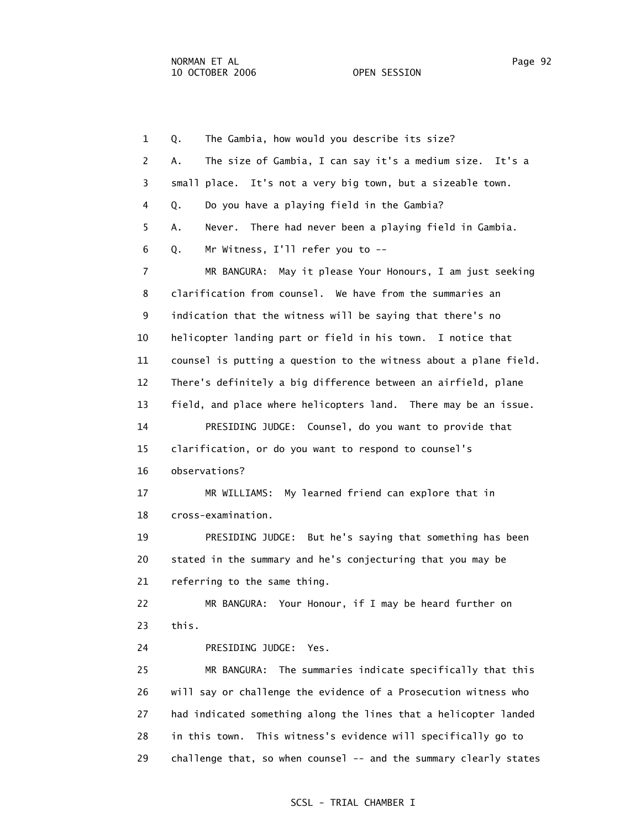1 Q. The Gambia, how would you describe its size? 2 A. The size of Gambia, I can say it's a medium size. It's a 3 small place. It's not a very big town, but a sizeable town. 4 Q. Do you have a playing field in the Gambia? 5 A. Never. There had never been a playing field in Gambia. 6 Q. Mr Witness, I'll refer you to -- 7 MR BANGURA: May it please Your Honours, I am just seeking 8 clarification from counsel. We have from the summaries an 9 indication that the witness will be saying that there's no 10 helicopter landing part or field in his town. I notice that 11 counsel is putting a question to the witness about a plane field. 12 There's definitely a big difference between an airfield, plane 13 field, and place where helicopters land. There may be an issue. 14 PRESIDING JUDGE: Counsel, do you want to provide that 15 clarification, or do you want to respond to counsel's 16 observations? 17 MR WILLIAMS: My learned friend can explore that in 18 cross-examination. 19 PRESIDING JUDGE: But he's saying that something has been 20 stated in the summary and he's conjecturing that you may be 21 referring to the same thing. 22 MR BANGURA: Your Honour, if I may be heard further on 23 this. 24 PRESIDING JUDGE: Yes. 25 MR BANGURA: The summaries indicate specifically that this 26 will say or challenge the evidence of a Prosecution witness who 27 had indicated something along the lines that a helicopter landed 28 in this town. This witness's evidence will specifically go to 29 challenge that, so when counsel -- and the summary clearly states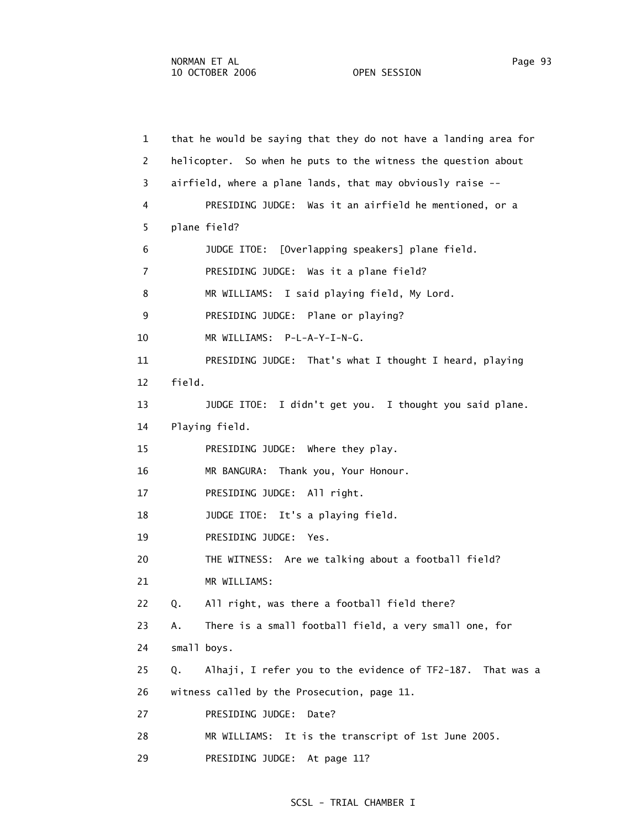| $\mathbf{1}$   | that he would be saying that they do not have a landing area for |
|----------------|------------------------------------------------------------------|
| $\overline{2}$ | helicopter. So when he puts to the witness the question about    |
| 3              | airfield, where a plane lands, that may obviously raise --       |
| 4              | PRESIDING JUDGE: Was it an airfield he mentioned, or a           |
| 5              | plane field?                                                     |
| 6              | [Overlapping speakers] plane field.<br>JUDGE ITOE:               |
| $\overline{7}$ | PRESIDING JUDGE: Was it a plane field?                           |
| 8              | MR WILLIAMS: I said playing field, My Lord.                      |
| 9              | PRESIDING JUDGE: Plane or playing?                               |
| 10             | MR WILLIAMS: P-L-A-Y-I-N-G.                                      |
| 11             | PRESIDING JUDGE: That's what I thought I heard, playing          |
| 12             | field.                                                           |
| 13             | JUDGE ITOE: I didn't get you. I thought you said plane.          |
| 14             | Playing field.                                                   |
| 15             | PRESIDING JUDGE: Where they play.                                |
| 16             | MR BANGURA: Thank you, Your Honour.                              |
| 17             | PRESIDING JUDGE: All right.                                      |
| 18             | JUDGE ITOE: It's a playing field.                                |
| 19             | PRESIDING JUDGE:<br>Yes.                                         |
| 20             | THE WITNESS: Are we talking about a football field?              |
| 21             | MR WILLIAMS:                                                     |
| 22             | All right, was there a football field there?<br>Q.               |
| 23             | There is a small football field, a very small one, for<br>Α.     |
| 24             | small boys.                                                      |
| 25             | Alhaji, I refer you to the evidence of TF2-187. That was a<br>Q. |
| 26             | witness called by the Prosecution, page 11.                      |
| 27             | PRESIDING JUDGE:<br>Date?                                        |
| 28             | MR WILLIAMS: It is the transcript of 1st June 2005.              |
| 29             | PRESIDING JUDGE:<br>At page 11?                                  |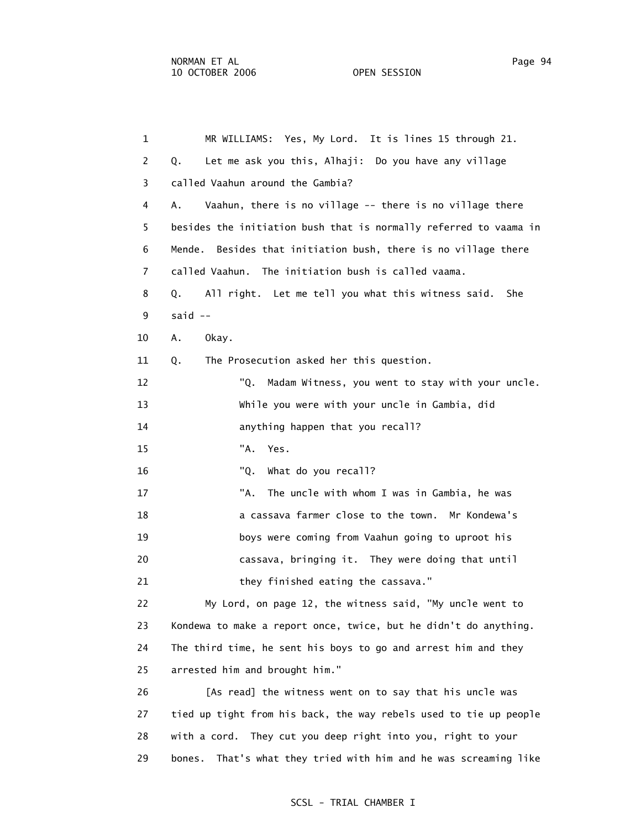1 MR WILLIAMS: Yes, My Lord. It is lines 15 through 21. 2 Q. Let me ask you this, Alhaji: Do you have any village 3 called Vaahun around the Gambia? 4 A. Vaahun, there is no village -- there is no village there 5 besides the initiation bush that is normally referred to vaama in 6 Mende. Besides that initiation bush, there is no village there 7 called Vaahun. The initiation bush is called vaama. 8 Q. All right. Let me tell you what this witness said. She 9 said -- 10 A. Okay. 11 Q. The Prosecution asked her this question. 12 "Q. Madam Witness, you went to stay with your uncle. 13 While you were with your uncle in Gambia, did 14 anything happen that you recall? 15 "A. Yes. 16 "Q. What do you recall? 17 The uncle with whom I was in Gambia, he was 18 a cassava farmer close to the town. Mr Kondewa's 19 boys were coming from Vaahun going to uproot his 20 cassava, bringing it. They were doing that until 21 they finished eating the cassava." 22 My Lord, on page 12, the witness said, "My uncle went to 23 Kondewa to make a report once, twice, but he didn't do anything. 24 The third time, he sent his boys to go and arrest him and they 25 arrested him and brought him."

 26 [As read] the witness went on to say that his uncle was 27 tied up tight from his back, the way rebels used to tie up people 28 with a cord. They cut you deep right into you, right to your 29 bones. That's what they tried with him and he was screaming like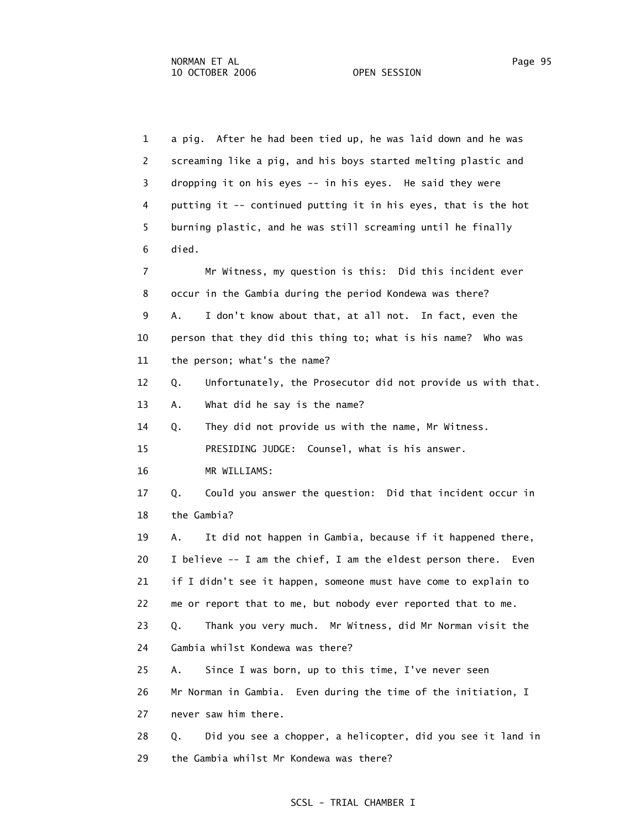1 a pig. After he had been tied up, he was laid down and he was 2 screaming like a pig, and his boys started melting plastic and 3 dropping it on his eyes -- in his eyes. He said they were 4 putting it -- continued putting it in his eyes, that is the hot 5 burning plastic, and he was still screaming until he finally 6 died. 7 Mr Witness, my question is this: Did this incident ever 8 occur in the Gambia during the period Kondewa was there? 9 A. I don't know about that, at all not. In fact, even the 10 person that they did this thing to; what is his name? Who was 11 the person; what's the name? 12 Q. Unfortunately, the Prosecutor did not provide us with that. 13 A. What did he say is the name? 14 Q. They did not provide us with the name, Mr Witness. 15 PRESIDING JUDGE: Counsel, what is his answer. 16 MR WILLIAMS: 17 Q. Could you answer the question: Did that incident occur in 18 the Gambia? 19 A. It did not happen in Gambia, because if it happened there, 20 I believe -- I am the chief, I am the eldest person there. Even 21 if I didn't see it happen, someone must have come to explain to 22 me or report that to me, but nobody ever reported that to me. 23 Q. Thank you very much. Mr Witness, did Mr Norman visit the 24 Gambia whilst Kondewa was there? 25 A. Since I was born, up to this time, I've never seen 26 Mr Norman in Gambia. Even during the time of the initiation, I 27 never saw him there. 28 Q. Did you see a chopper, a helicopter, did you see it land in 29 the Gambia whilst Mr Kondewa was there?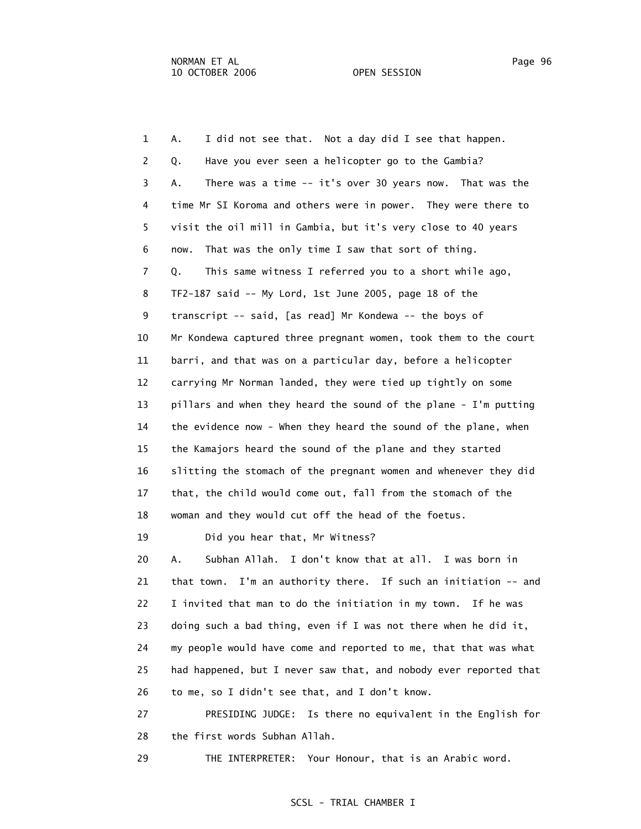1 A. I did not see that. Not a day did I see that happen. 2 Q. Have you ever seen a helicopter go to the Gambia? 3 A. There was a time -- it's over 30 years now. That was the 4 time Mr SI Koroma and others were in power. They were there to 5 visit the oil mill in Gambia, but it's very close to 40 years 6 now. That was the only time I saw that sort of thing. 7 Q. This same witness I referred you to a short while ago, 8 TF2-187 said -- My Lord, 1st June 2005, page 18 of the 9 transcript -- said, [as read] Mr Kondewa -- the boys of 10 Mr Kondewa captured three pregnant women, took them to the court 11 barri, and that was on a particular day, before a helicopter 12 carrying Mr Norman landed, they were tied up tightly on some 13 pillars and when they heard the sound of the plane - I'm putting 14 the evidence now - When they heard the sound of the plane, when 15 the Kamajors heard the sound of the plane and they started 16 slitting the stomach of the pregnant women and whenever they did 17 that, the child would come out, fall from the stomach of the 18 woman and they would cut off the head of the foetus. 19 Did you hear that, Mr Witness? 20 A. Subhan Allah. I don't know that at all. I was born in 21 that town. I'm an authority there. If such an initiation -- and 22 I invited that man to do the initiation in my town. If he was 23 doing such a bad thing, even if I was not there when he did it, 24 my people would have come and reported to me, that that was what 25 had happened, but I never saw that, and nobody ever reported that 26 to me, so I didn't see that, and I don't know. 27 PRESIDING JUDGE: Is there no equivalent in the English for

28 the first words Subhan Allah.

29 THE INTERPRETER: Your Honour, that is an Arabic word.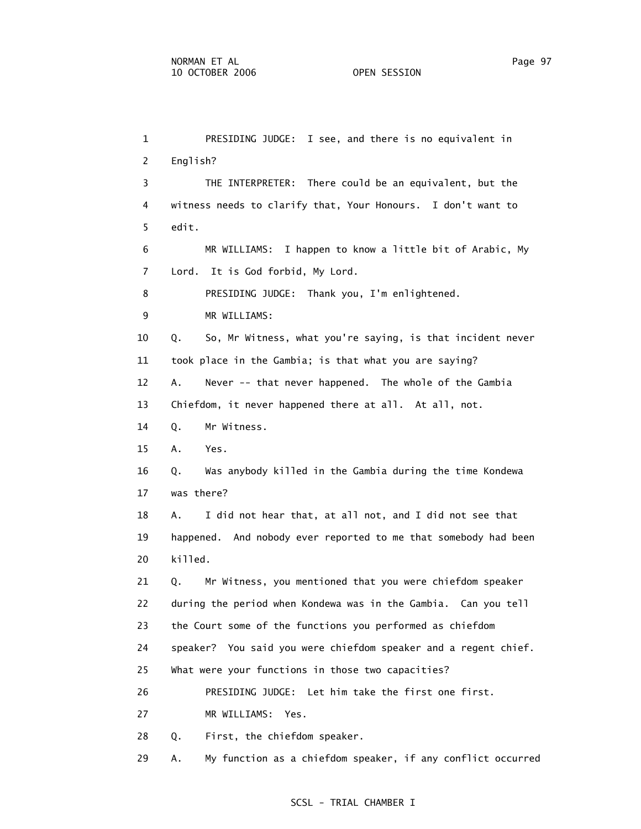1 PRESIDING JUDGE: I see, and there is no equivalent in 2 English? 3 THE INTERPRETER: There could be an equivalent, but the 4 witness needs to clarify that, Your Honours. I don't want to 5 edit. 6 MR WILLIAMS: I happen to know a little bit of Arabic, My 7 Lord. It is God forbid, My Lord. 8 PRESIDING JUDGE: Thank you, I'm enlightened. 9 MR WILLIAMS: 10 Q. So, Mr Witness, what you're saying, is that incident never 11 took place in the Gambia; is that what you are saying? 12 A. Never -- that never happened. The whole of the Gambia 13 Chiefdom, it never happened there at all. At all, not. 14 Q. Mr Witness. 15 A. Yes. 16 Q. Was anybody killed in the Gambia during the time Kondewa 17 was there? 18 A. I did not hear that, at all not, and I did not see that 19 happened. And nobody ever reported to me that somebody had been 20 killed. 21 Q. Mr Witness, you mentioned that you were chiefdom speaker 22 during the period when Kondewa was in the Gambia. Can you tell 23 the Court some of the functions you performed as chiefdom 24 speaker? You said you were chiefdom speaker and a regent chief. 25 What were your functions in those two capacities? 26 PRESIDING JUDGE: Let him take the first one first. 27 MR WILLIAMS: Yes. 28 Q. First, the chiefdom speaker. 29 A. My function as a chiefdom speaker, if any conflict occurred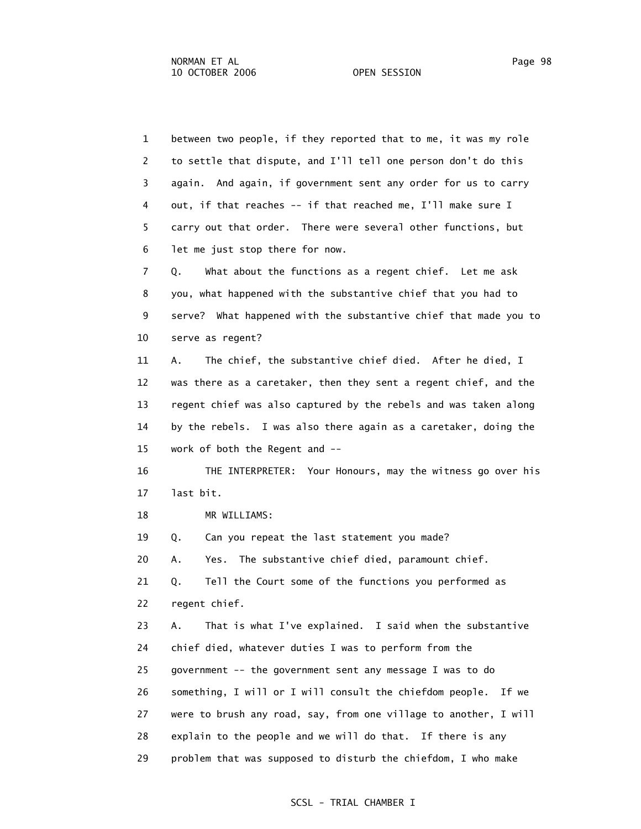1 between two people, if they reported that to me, it was my role 2 to settle that dispute, and I'll tell one person don't do this 3 again. And again, if government sent any order for us to carry 4 out, if that reaches -- if that reached me, I'll make sure I 5 carry out that order. There were several other functions, but 6 let me just stop there for now. 7 Q. What about the functions as a regent chief. Let me ask 8 you, what happened with the substantive chief that you had to 9 serve? What happened with the substantive chief that made you to 10 serve as regent? 11 A. The chief, the substantive chief died. After he died, I 12 was there as a caretaker, then they sent a regent chief, and the 13 regent chief was also captured by the rebels and was taken along 14 by the rebels. I was also there again as a caretaker, doing the 15 work of both the Regent and -- 16 THE INTERPRETER: Your Honours, may the witness go over his 17 last bit. 18 MR WILLIAMS: 19 Q. Can you repeat the last statement you made? 20 A. Yes. The substantive chief died, paramount chief. 21 Q. Tell the Court some of the functions you performed as 22 regent chief. 23 A. That is what I've explained. I said when the substantive 24 chief died, whatever duties I was to perform from the 25 government -- the government sent any message I was to do 26 something, I will or I will consult the chiefdom people. If we 27 were to brush any road, say, from one village to another, I will 28 explain to the people and we will do that. If there is any 29 problem that was supposed to disturb the chiefdom, I who make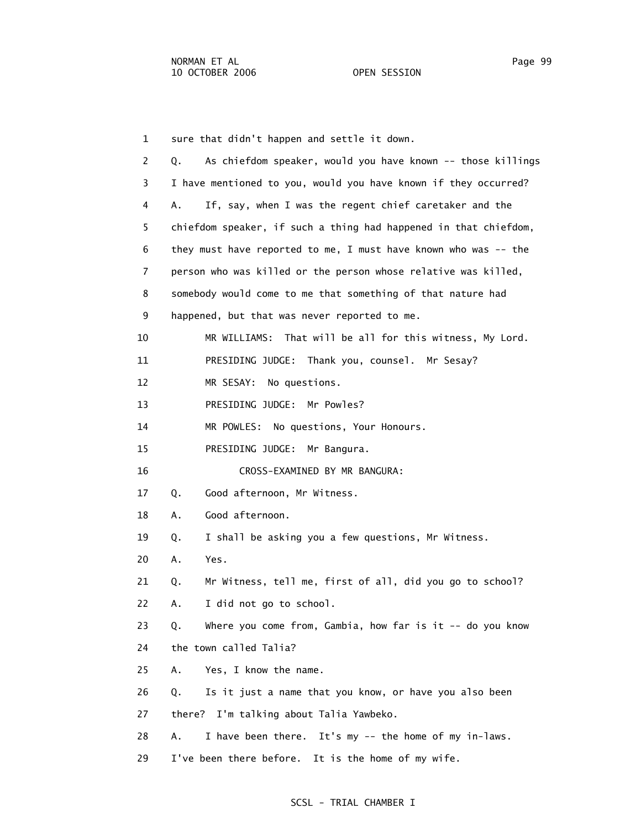| $\mathbf{1}$   | sure that didn't happen and settle it down.                       |
|----------------|-------------------------------------------------------------------|
| $\overline{2}$ | As chiefdom speaker, would you have known -- those killings<br>Q. |
| 3              | I have mentioned to you, would you have known if they occurred?   |
| 4              | A.<br>If, say, when I was the regent chief caretaker and the      |
| 5              | chiefdom speaker, if such a thing had happened in that chiefdom,  |
| 6              | they must have reported to me, I must have known who was -- the   |
| 7              | person who was killed or the person whose relative was killed,    |
| 8              | somebody would come to me that something of that nature had       |
| 9              | happened, but that was never reported to me.                      |
| 10             | MR WILLIAMS: That will be all for this witness, My Lord.          |
| 11             | PRESIDING JUDGE: Thank you, counsel. Mr Sesay?                    |
| 12             | MR SESAY: No questions.                                           |
| 13             | PRESIDING JUDGE: Mr Powles?                                       |
| 14             | MR POWLES: No questions, Your Honours.                            |
| 15             | PRESIDING JUDGE: Mr Bangura.                                      |
| 16             | CROSS-EXAMINED BY MR BANGURA:                                     |
| 17             | Good afternoon, Mr Witness.<br>Q.                                 |
| 18             | Good afternoon.<br>Α.                                             |
| 19             | I shall be asking you a few questions, Mr Witness.<br>Q.          |
| 20             | Α.<br>Yes.                                                        |
| 21             | Mr Witness, tell me, first of all, did you go to school?<br>Q.    |
| 22             | I did not go to school.<br>Α.                                     |
| 23             | Where you come from, Gambia, how far is it $-$ do you know<br>Q.  |
| 24             | the town called Talia?                                            |
| 25             | Yes, I know the name.<br>Α.                                       |
| 26             | Is it just a name that you know, or have you also been<br>Q.      |
| 27             | there? I'm talking about Talia Yawbeko.                           |
| 28             | I have been there. It's my -- the home of my in-laws.<br>Α.       |
| 29             | I've been there before.<br>It is the home of my wife.             |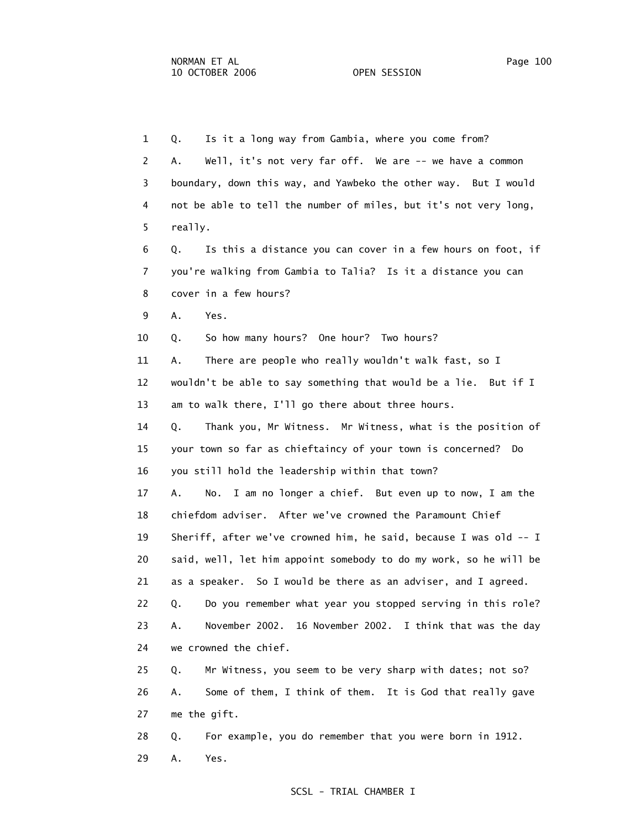1 Q. Is it a long way from Gambia, where you come from? 2 A. Well, it's not very far off. We are -- we have a common 3 boundary, down this way, and Yawbeko the other way. But I would 4 not be able to tell the number of miles, but it's not very long, 5 really. 6 Q. Is this a distance you can cover in a few hours on foot, if 7 you're walking from Gambia to Talia? Is it a distance you can 8 cover in a few hours? 9 A. Yes. 10 Q. So how many hours? One hour? Two hours? 11 A. There are people who really wouldn't walk fast, so I 12 wouldn't be able to say something that would be a lie. But if I 13 am to walk there, I'll go there about three hours. 14 Q. Thank you, Mr Witness. Mr Witness, what is the position of 15 your town so far as chieftaincy of your town is concerned? Do 16 you still hold the leadership within that town? 17 A. No. I am no longer a chief. But even up to now, I am the 18 chiefdom adviser. After we've crowned the Paramount Chief 19 Sheriff, after we've crowned him, he said, because I was old -- I 20 said, well, let him appoint somebody to do my work, so he will be 21 as a speaker. So I would be there as an adviser, and I agreed. 22 Q. Do you remember what year you stopped serving in this role? 23 A. November 2002. 16 November 2002. I think that was the day 24 we crowned the chief. 25 Q. Mr Witness, you seem to be very sharp with dates; not so? 26 A. Some of them, I think of them. It is God that really gave 27 me the gift. 28 Q. For example, you do remember that you were born in 1912. 29 A. Yes.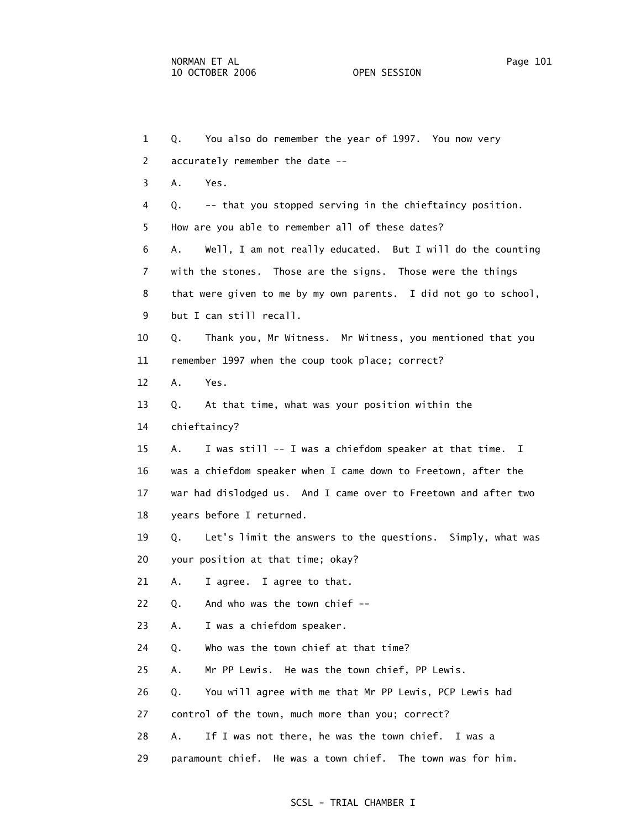1 Q. You also do remember the year of 1997. You now very 2 accurately remember the date -- 3 A. Yes. 4 Q. -- that you stopped serving in the chieftaincy position. 5 How are you able to remember all of these dates? 6 A. Well, I am not really educated. But I will do the counting 7 with the stones. Those are the signs. Those were the things 8 that were given to me by my own parents. I did not go to school, 9 but I can still recall. 10 Q. Thank you, Mr Witness. Mr Witness, you mentioned that you 11 remember 1997 when the coup took place; correct? 12 A. Yes. 13 Q. At that time, what was your position within the 14 chieftaincy? 15 A. I was still -- I was a chiefdom speaker at that time. I 16 was a chiefdom speaker when I came down to Freetown, after the 17 war had dislodged us. And I came over to Freetown and after two 18 years before I returned. 19 Q. Let's limit the answers to the questions. Simply, what was 20 your position at that time; okay? 21 A. I agree. I agree to that. 22 Q. And who was the town chief -- 23 A. I was a chiefdom speaker. 24 Q. Who was the town chief at that time? 25 A. Mr PP Lewis. He was the town chief, PP Lewis. 26 Q. You will agree with me that Mr PP Lewis, PCP Lewis had 27 control of the town, much more than you; correct? 28 A. If I was not there, he was the town chief. I was a 29 paramount chief. He was a town chief. The town was for him.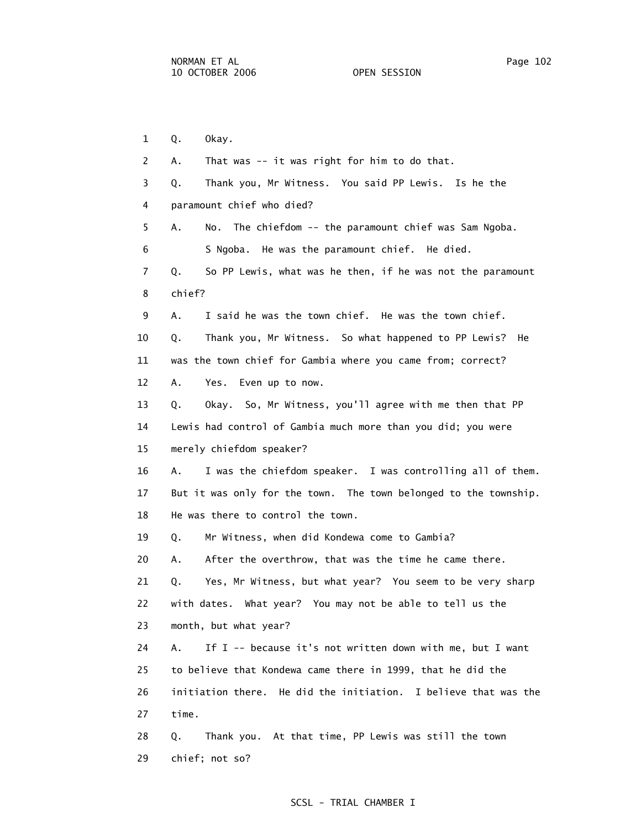1 Q. Okay. 2 A. That was -- it was right for him to do that. 3 Q. Thank you, Mr Witness. You said PP Lewis. Is he the 4 paramount chief who died? 5 A. No. The chiefdom -- the paramount chief was Sam Ngoba. 6 S Ngoba. He was the paramount chief. He died. 7 Q. So PP Lewis, what was he then, if he was not the paramount 8 chief? 9 A. I said he was the town chief. He was the town chief. 10 Q. Thank you, Mr Witness. So what happened to PP Lewis? He 11 was the town chief for Gambia where you came from; correct? 12 A. Yes. Even up to now. 13 Q. Okay. So, Mr Witness, you'll agree with me then that PP 14 Lewis had control of Gambia much more than you did; you were 15 merely chiefdom speaker? 16 A. I was the chiefdom speaker. I was controlling all of them. 17 But it was only for the town. The town belonged to the township. 18 He was there to control the town. 19 Q. Mr Witness, when did Kondewa come to Gambia? 20 A. After the overthrow, that was the time he came there. 21 Q. Yes, Mr Witness, but what year? You seem to be very sharp 22 with dates. What year? You may not be able to tell us the 23 month, but what year? 24 A. If I -- because it's not written down with me, but I want 25 to believe that Kondewa came there in 1999, that he did the 26 initiation there. He did the initiation. I believe that was the 27 time. 28 Q. Thank you. At that time, PP Lewis was still the town 29 chief; not so?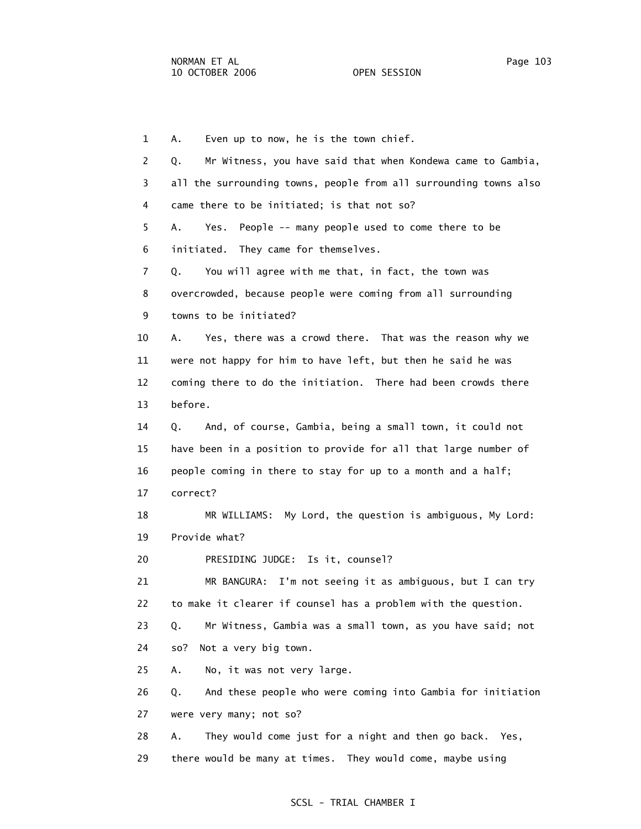1 A. Even up to now, he is the town chief. 2 Q. Mr Witness, you have said that when Kondewa came to Gambia, 3 all the surrounding towns, people from all surrounding towns also 4 came there to be initiated; is that not so? 5 A. Yes. People -- many people used to come there to be 6 initiated. They came for themselves. 7 Q. You will agree with me that, in fact, the town was 8 overcrowded, because people were coming from all surrounding 9 towns to be initiated? 10 A. Yes, there was a crowd there. That was the reason why we 11 were not happy for him to have left, but then he said he was 12 coming there to do the initiation. There had been crowds there 13 before. 14 Q. And, of course, Gambia, being a small town, it could not 15 have been in a position to provide for all that large number of 16 people coming in there to stay for up to a month and a half; 17 correct? 18 MR WILLIAMS: My Lord, the question is ambiguous, My Lord: 19 Provide what? 20 PRESIDING JUDGE: Is it, counsel? 21 MR BANGURA: I'm not seeing it as ambiguous, but I can try 22 to make it clearer if counsel has a problem with the question. 23 Q. Mr Witness, Gambia was a small town, as you have said; not 24 so? Not a very big town. 25 A. No, it was not very large. 26 Q. And these people who were coming into Gambia for initiation 27 were very many; not so? 28 A. They would come just for a night and then go back. Yes,

29 there would be many at times. They would come, maybe using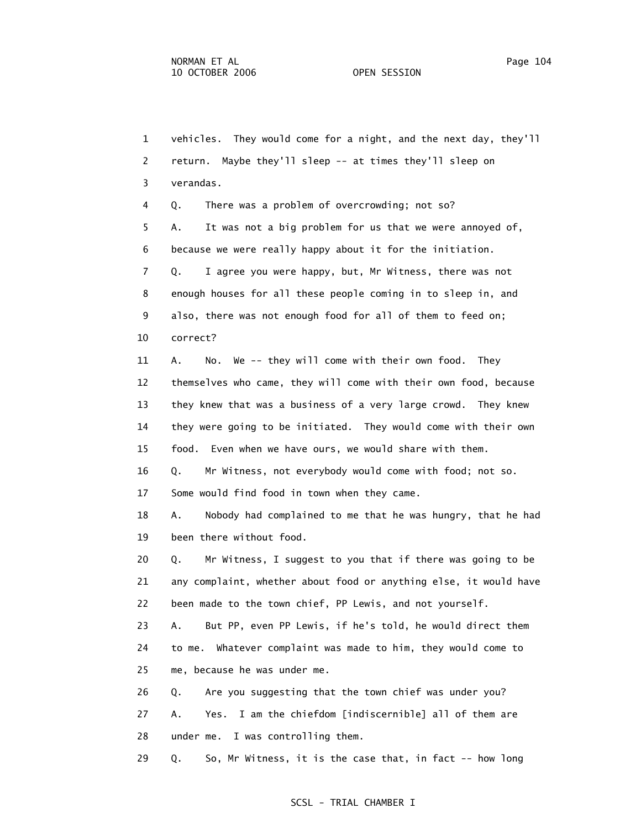1 vehicles. They would come for a night, and the next day, they'll 2 return. Maybe they'll sleep -- at times they'll sleep on 3 verandas. 4 Q. There was a problem of overcrowding; not so? 5 A. It was not a big problem for us that we were annoyed of, 6 because we were really happy about it for the initiation. 7 Q. I agree you were happy, but, Mr Witness, there was not 8 enough houses for all these people coming in to sleep in, and 9 also, there was not enough food for all of them to feed on; 10 correct? 11 A. No. We -- they will come with their own food. They 12 themselves who came, they will come with their own food, because 13 they knew that was a business of a very large crowd. They knew 14 they were going to be initiated. They would come with their own 15 food. Even when we have ours, we would share with them. 16 Q. Mr Witness, not everybody would come with food; not so. 17 Some would find food in town when they came. 18 A. Nobody had complained to me that he was hungry, that he had 19 been there without food. 20 Q. Mr Witness, I suggest to you that if there was going to be 21 any complaint, whether about food or anything else, it would have 22 been made to the town chief, PP Lewis, and not yourself. 23 A. But PP, even PP Lewis, if he's told, he would direct them 24 to me. Whatever complaint was made to him, they would come to 25 me, because he was under me. 26 Q. Are you suggesting that the town chief was under you? 27 A. Yes. I am the chiefdom [indiscernible] all of them are 28 under me. I was controlling them. 29 Q. So, Mr Witness, it is the case that, in fact -- how long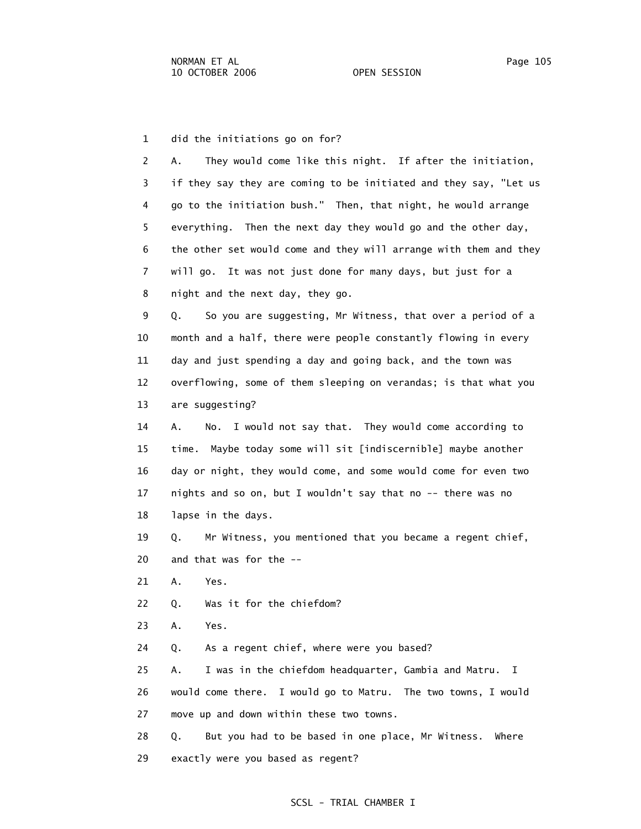1 did the initiations go on for?

 2 A. They would come like this night. If after the initiation, 3 if they say they are coming to be initiated and they say, "Let us 4 go to the initiation bush." Then, that night, he would arrange 5 everything. Then the next day they would go and the other day, 6 the other set would come and they will arrange with them and they 7 will go. It was not just done for many days, but just for a 8 night and the next day, they go. 9 Q. So you are suggesting, Mr Witness, that over a period of a

 10 month and a half, there were people constantly flowing in every 11 day and just spending a day and going back, and the town was 12 overflowing, some of them sleeping on verandas; is that what you 13 are suggesting?

 14 A. No. I would not say that. They would come according to 15 time. Maybe today some will sit [indiscernible] maybe another 16 day or night, they would come, and some would come for even two 17 nights and so on, but I wouldn't say that no -- there was no 18 lapse in the days.

 19 Q. Mr Witness, you mentioned that you became a regent chief, 20 and that was for the --

- 21 A. Yes.
- 22 Q. Was it for the chiefdom?
- 23 A. Yes.

24 Q. As a regent chief, where were you based?

 25 A. I was in the chiefdom headquarter, Gambia and Matru. I 26 would come there. I would go to Matru. The two towns, I would 27 move up and down within these two towns.

 28 Q. But you had to be based in one place, Mr Witness. Where 29 exactly were you based as regent?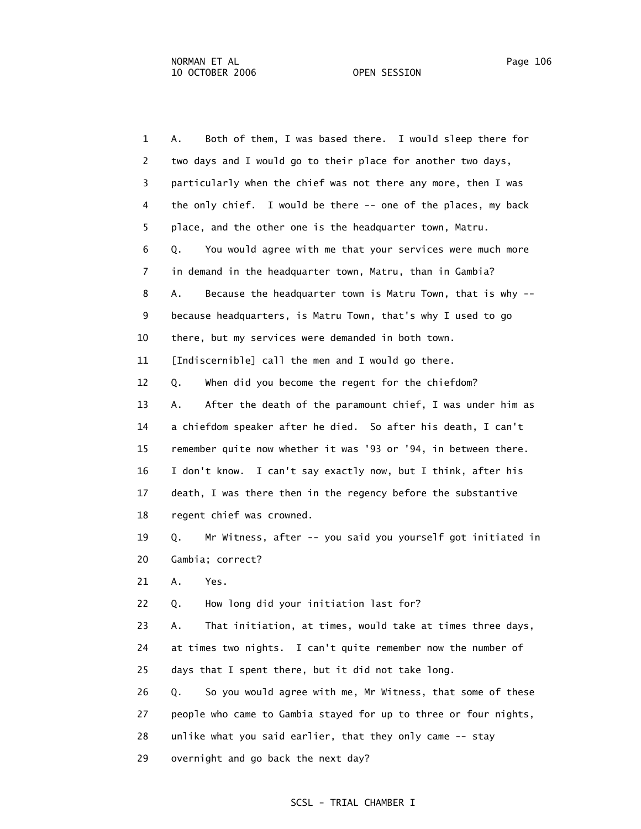1 A. Both of them, I was based there. I would sleep there for 2 two days and I would go to their place for another two days, 3 particularly when the chief was not there any more, then I was 4 the only chief. I would be there -- one of the places, my back 5 place, and the other one is the headquarter town, Matru. 6 Q. You would agree with me that your services were much more 7 in demand in the headquarter town, Matru, than in Gambia? 8 A. Because the headquarter town is Matru Town, that is why -- 9 because headquarters, is Matru Town, that's why I used to go 10 there, but my services were demanded in both town. 11 [Indiscernible] call the men and I would go there. 12 Q. When did you become the regent for the chiefdom? 13 A. After the death of the paramount chief, I was under him as 14 a chiefdom speaker after he died. So after his death, I can't 15 remember quite now whether it was '93 or '94, in between there. 16 I don't know. I can't say exactly now, but I think, after his 17 death, I was there then in the regency before the substantive 18 regent chief was crowned. 19 Q. Mr Witness, after -- you said you yourself got initiated in 20 Gambia; correct? 21 A. Yes. 22 Q. How long did your initiation last for? 23 A. That initiation, at times, would take at times three days, 24 at times two nights. I can't quite remember now the number of 25 days that I spent there, but it did not take long. 26 Q. So you would agree with me, Mr Witness, that some of these 27 people who came to Gambia stayed for up to three or four nights,

28 unlike what you said earlier, that they only came -- stay

29 overnight and go back the next day?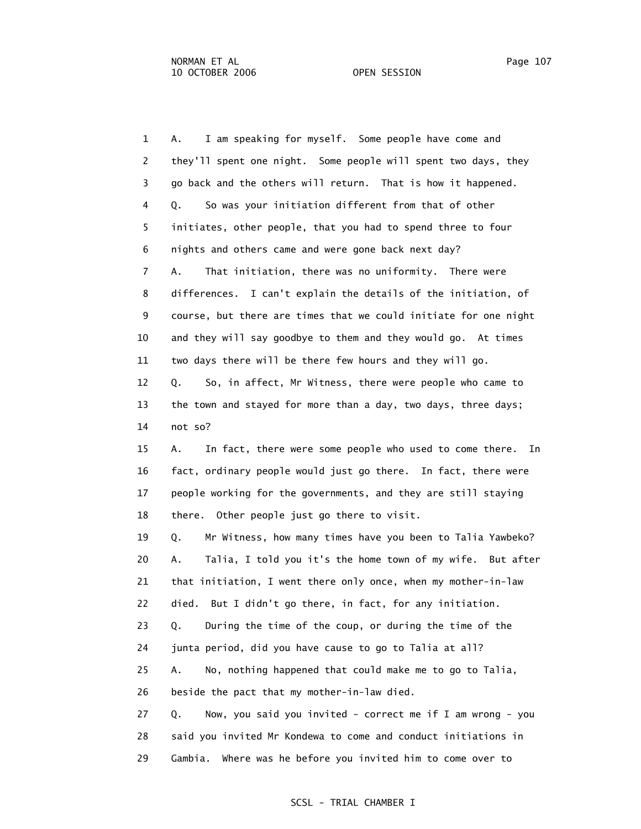1 A. I am speaking for myself. Some people have come and 2 they'll spent one night. Some people will spent two days, they 3 go back and the others will return. That is how it happened. 4 Q. So was your initiation different from that of other 5 initiates, other people, that you had to spend three to four 6 nights and others came and were gone back next day? 7 A. That initiation, there was no uniformity. There were 8 differences. I can't explain the details of the initiation, of 9 course, but there are times that we could initiate for one night 10 and they will say goodbye to them and they would go. At times 11 two days there will be there few hours and they will go. 12 Q. So, in affect, Mr Witness, there were people who came to 13 the town and stayed for more than a day, two days, three days; 14 not so? 15 A. In fact, there were some people who used to come there. In 16 fact, ordinary people would just go there. In fact, there were 17 people working for the governments, and they are still staying

18 there. Other people just go there to visit.

 19 Q. Mr Witness, how many times have you been to Talia Yawbeko? 20 A. Talia, I told you it's the home town of my wife. But after 21 that initiation, I went there only once, when my mother-in-law 22 died. But I didn't go there, in fact, for any initiation. 23 Q. During the time of the coup, or during the time of the 24 junta period, did you have cause to go to Talia at all? 25 A. No, nothing happened that could make me to go to Talia, 26 beside the pact that my mother-in-law died. 27 Q. Now, you said you invited - correct me if I am wrong - you

 28 said you invited Mr Kondewa to come and conduct initiations in 29 Gambia. Where was he before you invited him to come over to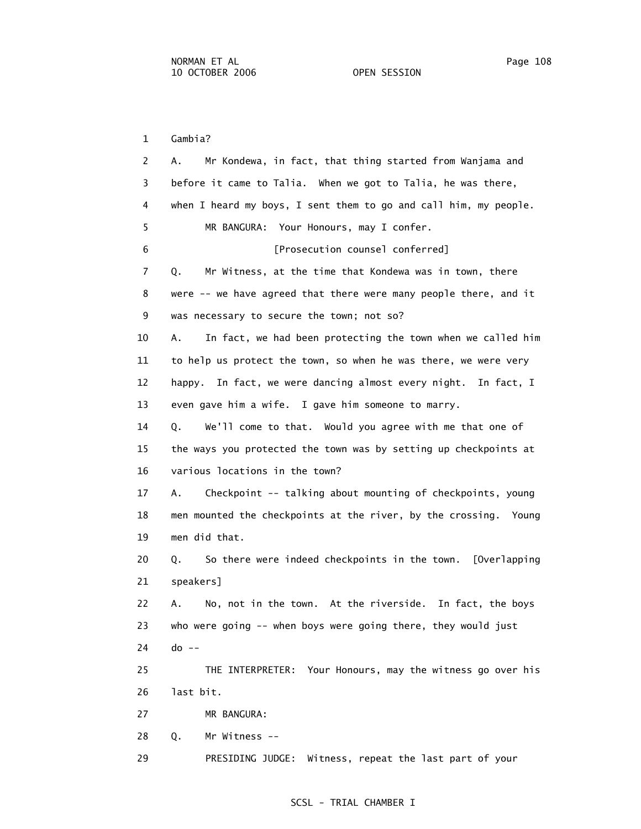1 Gambia? 2 A. Mr Kondewa, in fact, that thing started from Wanjama and 3 before it came to Talia. When we got to Talia, he was there, 4 when I heard my boys, I sent them to go and call him, my people. 5 MR BANGURA: Your Honours, may I confer. 6 [Prosecution counsel conferred] 7 Q. Mr Witness, at the time that Kondewa was in town, there 8 were -- we have agreed that there were many people there, and it 9 was necessary to secure the town; not so? 10 A. In fact, we had been protecting the town when we called him 11 to help us protect the town, so when he was there, we were very 12 happy. In fact, we were dancing almost every night. In fact, I 13 even gave him a wife. I gave him someone to marry. 14 Q. We'll come to that. Would you agree with me that one of 15 the ways you protected the town was by setting up checkpoints at 16 various locations in the town? 17 A. Checkpoint -- talking about mounting of checkpoints, young 18 men mounted the checkpoints at the river, by the crossing. Young 19 men did that. 20 Q. So there were indeed checkpoints in the town. [Overlapping 21 speakers] 22 A. No, not in the town. At the riverside. In fact, the boys 23 who were going -- when boys were going there, they would just 24 do -- 25 THE INTERPRETER: Your Honours, may the witness go over his 26 last bit. 27 MR BANGURA: 28 Q. Mr Witness -- 29 PRESIDING JUDGE: Witness, repeat the last part of your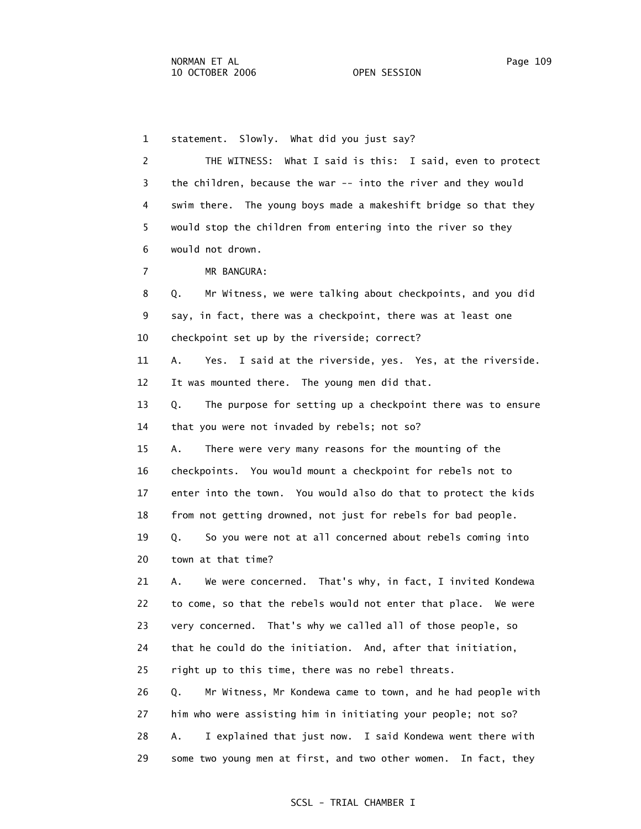1 statement. Slowly. What did you just say?

 2 THE WITNESS: What I said is this: I said, even to protect 3 the children, because the war -- into the river and they would 4 swim there. The young boys made a makeshift bridge so that they 5 would stop the children from entering into the river so they 6 would not drown.

7 MR BANGURA:

 8 Q. Mr Witness, we were talking about checkpoints, and you did 9 say, in fact, there was a checkpoint, there was at least one 10 checkpoint set up by the riverside; correct?

 11 A. Yes. I said at the riverside, yes. Yes, at the riverside. 12 It was mounted there. The young men did that.

 13 Q. The purpose for setting up a checkpoint there was to ensure 14 that you were not invaded by rebels; not so?

 15 A. There were very many reasons for the mounting of the 16 checkpoints. You would mount a checkpoint for rebels not to 17 enter into the town. You would also do that to protect the kids 18 from not getting drowned, not just for rebels for bad people. 19 Q. So you were not at all concerned about rebels coming into

20 town at that time?

 21 A. We were concerned. That's why, in fact, I invited Kondewa 22 to come, so that the rebels would not enter that place. We were 23 very concerned. That's why we called all of those people, so 24 that he could do the initiation. And, after that initiation, 25 right up to this time, there was no rebel threats. 26 Q. Mr Witness, Mr Kondewa came to town, and he had people with

 27 him who were assisting him in initiating your people; not so? 28 A. I explained that just now. I said Kondewa went there with 29 some two young men at first, and two other women. In fact, they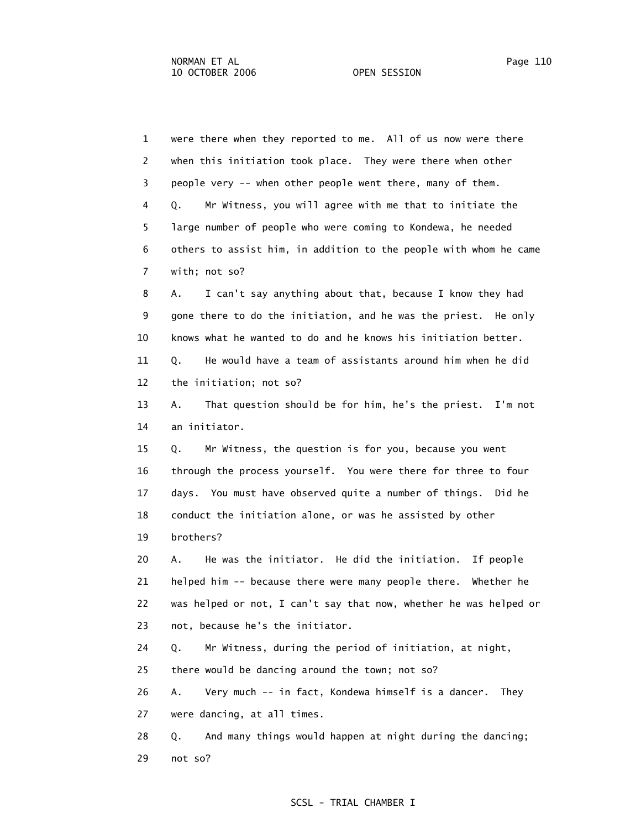1 were there when they reported to me. All of us now were there 2 when this initiation took place. They were there when other 3 people very -- when other people went there, many of them. 4 Q. Mr Witness, you will agree with me that to initiate the 5 large number of people who were coming to Kondewa, he needed 6 others to assist him, in addition to the people with whom he came 7 with; not so? 8 A. I can't say anything about that, because I know they had 9 gone there to do the initiation, and he was the priest. He only 10 knows what he wanted to do and he knows his initiation better. 11 Q. He would have a team of assistants around him when he did 12 the initiation; not so? 13 A. That question should be for him, he's the priest. I'm not 14 an initiator. 15 Q. Mr Witness, the question is for you, because you went 16 through the process yourself. You were there for three to four 17 days. You must have observed quite a number of things. Did he 18 conduct the initiation alone, or was he assisted by other 19 brothers? 20 A. He was the initiator. He did the initiation. If people 21 helped him -- because there were many people there. Whether he 22 was helped or not, I can't say that now, whether he was helped or 23 not, because he's the initiator. 24 Q. Mr Witness, during the period of initiation, at night, 25 there would be dancing around the town; not so? 26 A. Very much -- in fact, Kondewa himself is a dancer. They 27 were dancing, at all times. 28 Q. And many things would happen at night during the dancing; 29 not so?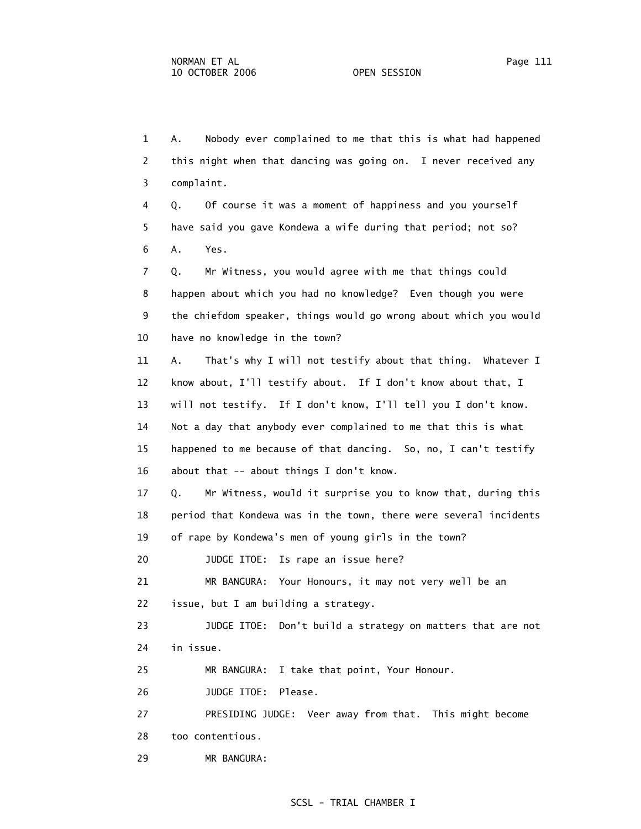1 A. Nobody ever complained to me that this is what had happened 2 this night when that dancing was going on. I never received any 3 complaint. 4 Q. Of course it was a moment of happiness and you yourself 6 A. Yes. 10 have no knowledge in the town? 11 A. That's why I will not testify about that thing. Whatever I 16 about that -- about things I don't know. 17 Q. Mr Witness, would it surprise you to know that, during this 19 of rape by Kondewa's men of young girls in the town? 20 JUDGE ITOE: Is rape an issue here? 21 MR BANGURA: Your Honours, it may not very well be an 22 issue, but I am building a strategy. 23 JUDGE ITOE: Don't build a strategy on matters that are not

24 in issue.

25 MR BANGURA: I take that point, Your Honour.

26 JUDGE ITOE: Please.

 27 PRESIDING JUDGE: Veer away from that. This might become 28 too contentious.

29 MR BANGURA:

## SCSL - TRIAL CHAMBER I

5 have said you gave Kondewa a wife during that period; not so?

 7 Q. Mr Witness, you would agree with me that things could 8 happen about which you had no knowledge? Even though you were 9 the chiefdom speaker, things would go wrong about which you would

 12 know about, I'll testify about. If I don't know about that, I 13 will not testify. If I don't know, I'll tell you I don't know. 14 Not a day that anybody ever complained to me that this is what 15 happened to me because of that dancing. So, no, I can't testify

18 period that Kondewa was in the town, there were several incidents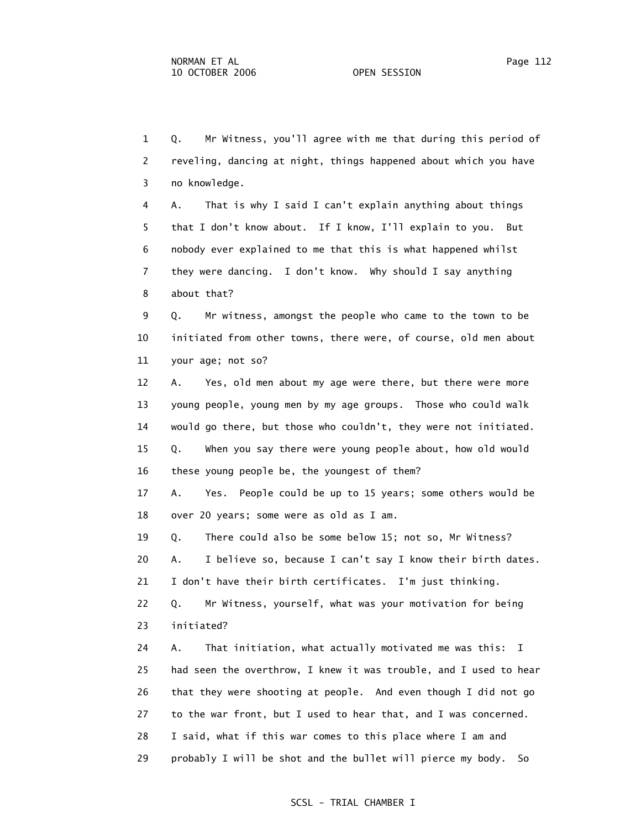1 Q. Mr Witness, you'll agree with me that during this period of 2 reveling, dancing at night, things happened about which you have 3 no knowledge.

 4 A. That is why I said I can't explain anything about things 5 that I don't know about. If I know, I'll explain to you. But 6 nobody ever explained to me that this is what happened whilst 7 they were dancing. I don't know. Why should I say anything 8 about that?

 9 Q. Mr witness, amongst the people who came to the town to be 10 initiated from other towns, there were, of course, old men about 11 your age; not so?

 12 A. Yes, old men about my age were there, but there were more 13 young people, young men by my age groups. Those who could walk 14 would go there, but those who couldn't, they were not initiated. 15 Q. When you say there were young people about, how old would 16 these young people be, the youngest of them?

 17 A. Yes. People could be up to 15 years; some others would be 18 over 20 years; some were as old as I am.

19 Q. There could also be some below 15; not so, Mr Witness?

20 A. I believe so, because I can't say I know their birth dates.

21 I don't have their birth certificates. I'm just thinking.

 22 Q. Mr Witness, yourself, what was your motivation for being 23 initiated?

 24 A. That initiation, what actually motivated me was this: I 25 had seen the overthrow, I knew it was trouble, and I used to hear 26 that they were shooting at people. And even though I did not go 27 to the war front, but I used to hear that, and I was concerned. 28 I said, what if this war comes to this place where I am and 29 probably I will be shot and the bullet will pierce my body. So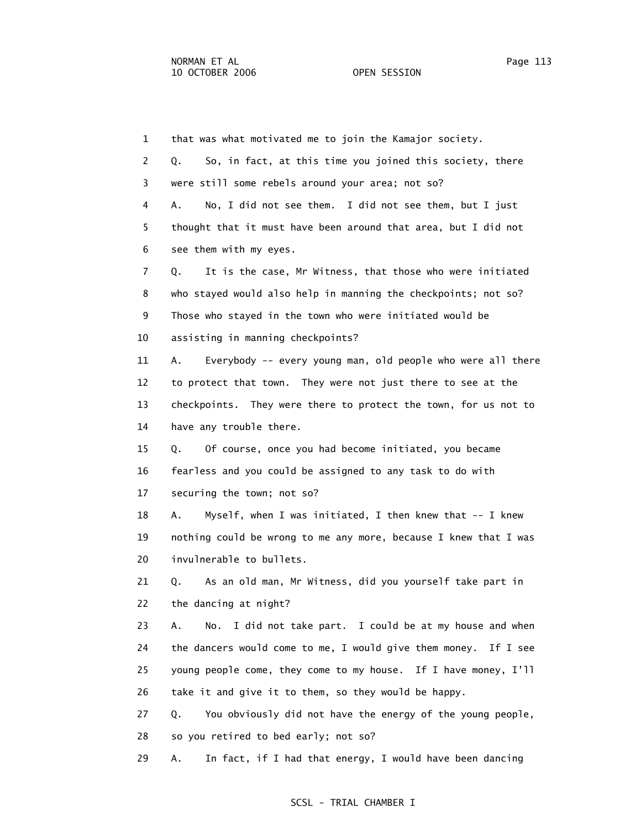1 that was what motivated me to join the Kamajor society. 2 Q. So, in fact, at this time you joined this society, there 3 were still some rebels around your area; not so? 4 A. No, I did not see them. I did not see them, but I just 5 thought that it must have been around that area, but I did not 6 see them with my eyes. 7 Q. It is the case, Mr Witness, that those who were initiated 8 who stayed would also help in manning the checkpoints; not so? 9 Those who stayed in the town who were initiated would be 10 assisting in manning checkpoints? 11 A. Everybody -- every young man, old people who were all there 12 to protect that town. They were not just there to see at the 13 checkpoints. They were there to protect the town, for us not to 14 have any trouble there. 15 Q. Of course, once you had become initiated, you became 16 fearless and you could be assigned to any task to do with 17 securing the town; not so? 18 A. Myself, when I was initiated, I then knew that -- I knew 19 nothing could be wrong to me any more, because I knew that I was 20 invulnerable to bullets. 21 Q. As an old man, Mr Witness, did you yourself take part in 22 the dancing at night? 23 A. No. I did not take part. I could be at my house and when 24 the dancers would come to me, I would give them money. If I see 25 young people come, they come to my house. If I have money, I'll 26 take it and give it to them, so they would be happy. 27 Q. You obviously did not have the energy of the young people, 28 so you retired to bed early; not so? 29 A. In fact, if I had that energy, I would have been dancing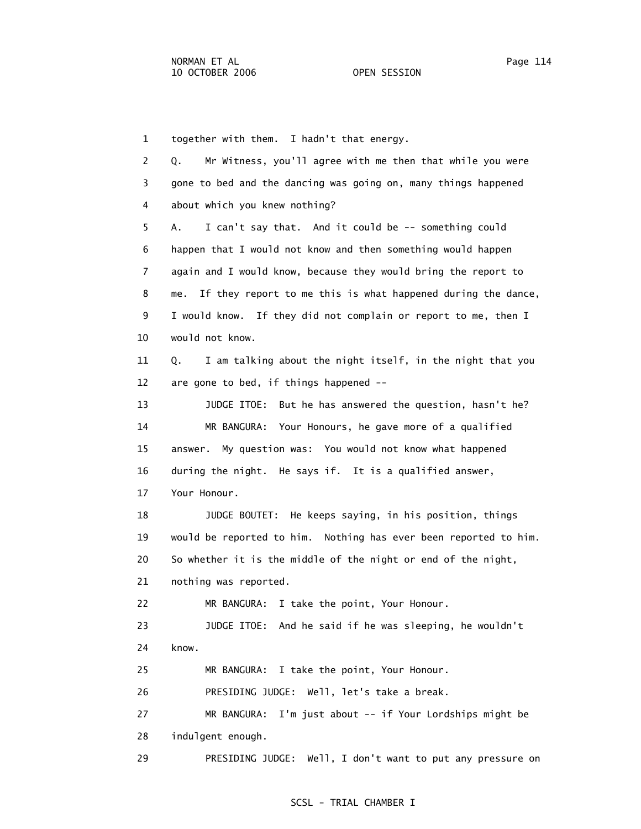1 together with them. I hadn't that energy. 2 Q. Mr Witness, you'll agree with me then that while you were 3 gone to bed and the dancing was going on, many things happened 4 about which you knew nothing? 5 A. I can't say that. And it could be -- something could 6 happen that I would not know and then something would happen 7 again and I would know, because they would bring the report to 8 me. If they report to me this is what happened during the dance, 9 I would know. If they did not complain or report to me, then I 10 would not know. 11 Q. I am talking about the night itself, in the night that you 12 are gone to bed, if things happened -- 13 JUDGE ITOE: But he has answered the question, hasn't he? 14 MR BANGURA: Your Honours, he gave more of a qualified 15 answer. My question was: You would not know what happened 16 during the night. He says if. It is a qualified answer, 17 Your Honour. 18 JUDGE BOUTET: He keeps saying, in his position, things 19 would be reported to him. Nothing has ever been reported to him. 20 So whether it is the middle of the night or end of the night, 21 nothing was reported. 22 MR BANGURA: I take the point, Your Honour. 23 JUDGE ITOE: And he said if he was sleeping, he wouldn't 24 know. 25 MR BANGURA: I take the point, Your Honour. 26 PRESIDING JUDGE: Well, let's take a break. 27 MR BANGURA: I'm just about -- if Your Lordships might be 28 indulgent enough. 29 PRESIDING JUDGE: Well, I don't want to put any pressure on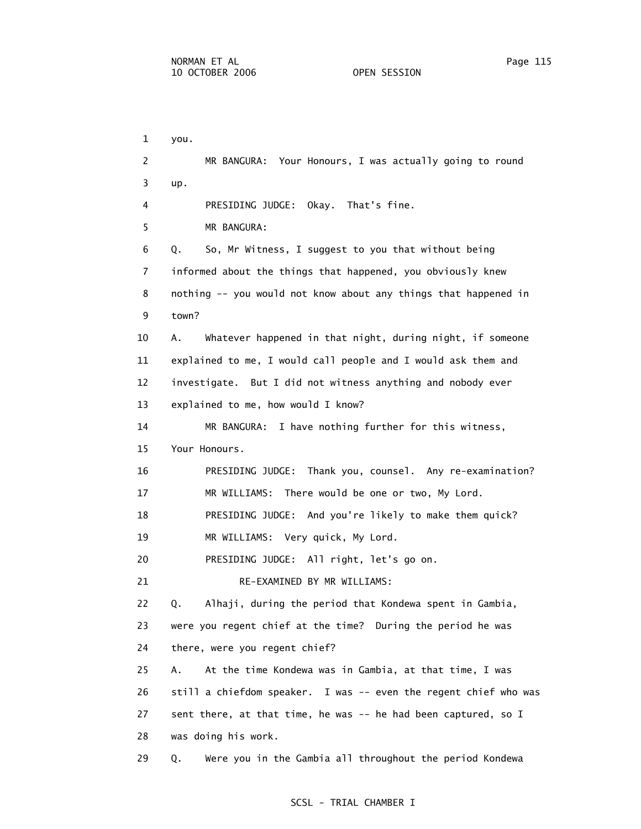1 you.

3 up.

 2 MR BANGURA: Your Honours, I was actually going to round 4 PRESIDING JUDGE: Okay. That's fine. 5 MR BANGURA: 6 Q. So, Mr Witness, I suggest to you that without being 7 informed about the things that happened, you obviously knew 8 nothing -- you would not know about any things that happened in 9 town? 10 A. Whatever happened in that night, during night, if someone 11 explained to me, I would call people and I would ask them and 12 investigate. But I did not witness anything and nobody ever 13 explained to me, how would I know? 14 MR BANGURA: I have nothing further for this witness, 15 Your Honours. 16 PRESIDING JUDGE: Thank you, counsel. Any re-examination? 17 MR WILLIAMS: There would be one or two, My Lord. 18 PRESIDING JUDGE: And you're likely to make them quick? 19 MR WILLIAMS: Very quick, My Lord. 20 PRESIDING JUDGE: All right, let's go on. 21 RE-EXAMINED BY MR WILLIAMS: 22 Q. Alhaji, during the period that Kondewa spent in Gambia, 23 were you regent chief at the time? During the period he was 24 there, were you regent chief? 25 A. At the time Kondewa was in Gambia, at that time, I was

 26 still a chiefdom speaker. I was -- even the regent chief who was 27 sent there, at that time, he was -- he had been captured, so I 28 was doing his work.

29 Q. Were you in the Gambia all throughout the period Kondewa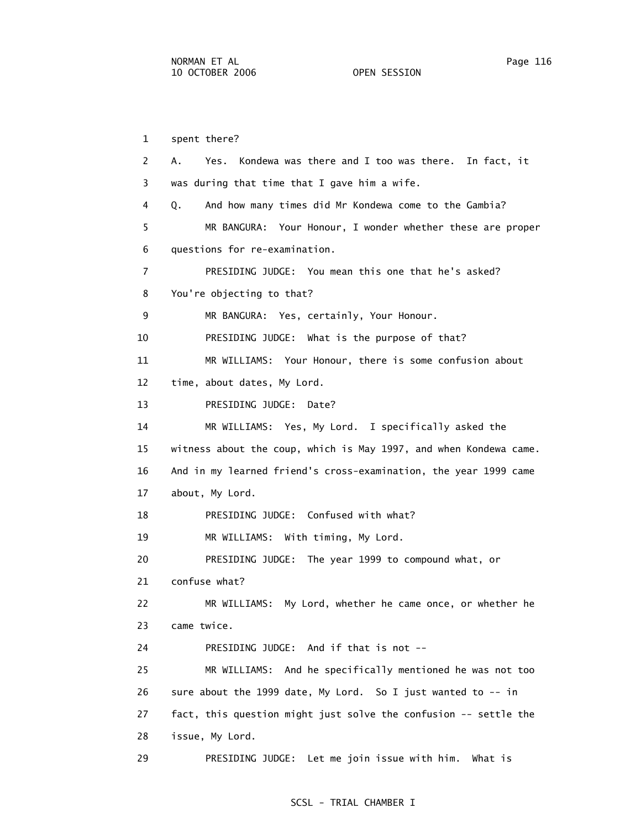1 spent there? 2 A. Yes. Kondewa was there and I too was there. In fact, it 3 was during that time that I gave him a wife. 4 Q. And how many times did Mr Kondewa come to the Gambia? 5 MR BANGURA: Your Honour, I wonder whether these are proper 6 questions for re-examination. 7 PRESIDING JUDGE: You mean this one that he's asked? 8 You're objecting to that? 9 MR BANGURA: Yes, certainly, Your Honour. 10 PRESIDING JUDGE: What is the purpose of that? 11 MR WILLIAMS: Your Honour, there is some confusion about 12 time, about dates, My Lord. 13 PRESIDING JUDGE: Date? 14 MR WILLIAMS: Yes, My Lord. I specifically asked the 15 witness about the coup, which is May 1997, and when Kondewa came. 16 And in my learned friend's cross-examination, the year 1999 came 17 about, My Lord. 18 PRESIDING JUDGE: Confused with what? 19 MR WILLIAMS: With timing, My Lord. 20 PRESIDING JUDGE: The year 1999 to compound what, or 21 confuse what? 22 MR WILLIAMS: My Lord, whether he came once, or whether he 23 came twice. 24 PRESIDING JUDGE: And if that is not -- 25 MR WILLIAMS: And he specifically mentioned he was not too 26 sure about the 1999 date, My Lord. So I just wanted to -- in 27 fact, this question might just solve the confusion -- settle the 28 issue, My Lord. 29 PRESIDING JUDGE: Let me join issue with him. What is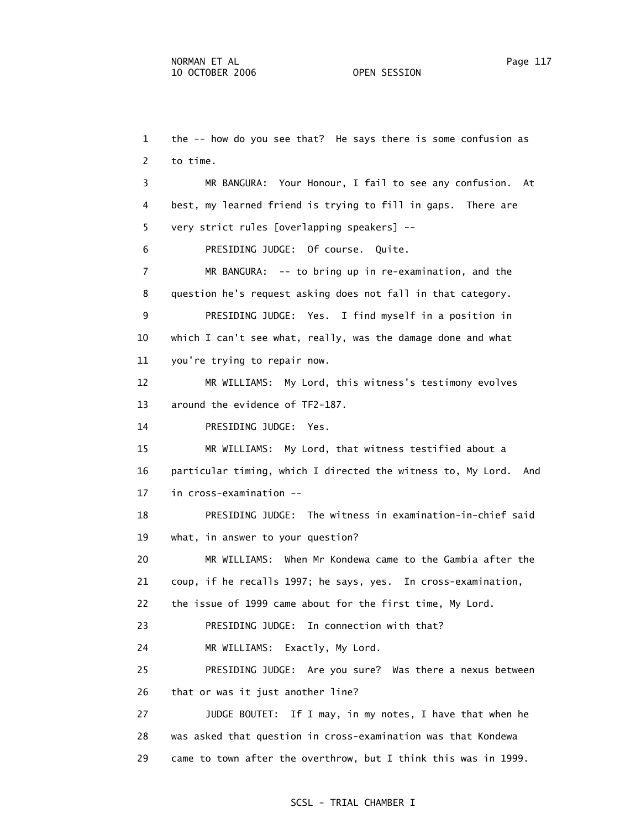1 the -- how do you see that? He says there is some confusion as

 2 to time. 3 MR BANGURA: Your Honour, I fail to see any confusion. At 4 best, my learned friend is trying to fill in gaps. There are 5 very strict rules [overlapping speakers] -- 6 PRESIDING JUDGE: Of course. Quite. 7 MR BANGURA: -- to bring up in re-examination, and the 8 question he's request asking does not fall in that category. 9 PRESIDING JUDGE: Yes. I find myself in a position in 10 which I can't see what, really, was the damage done and what 11 you're trying to repair now. 12 MR WILLIAMS: My Lord, this witness's testimony evolves 13 around the evidence of TF2-187. 14 PRESIDING JUDGE: Yes. 15 MR WILLIAMS: My Lord, that witness testified about a 16 particular timing, which I directed the witness to, My Lord. And 17 in cross-examination -- 18 PRESIDING JUDGE: The witness in examination-in-chief said 19 what, in answer to your question? 20 MR WILLIAMS: When Mr Kondewa came to the Gambia after the 21 coup, if he recalls 1997; he says, yes. In cross-examination, 22 the issue of 1999 came about for the first time, My Lord. 23 PRESIDING JUDGE: In connection with that? 24 MR WILLIAMS: Exactly, My Lord. 25 PRESIDING JUDGE: Are you sure? Was there a nexus between 26 that or was it just another line? 27 JUDGE BOUTET: If I may, in my notes, I have that when he 28 was asked that question in cross-examination was that Kondewa 29 came to town after the overthrow, but I think this was in 1999.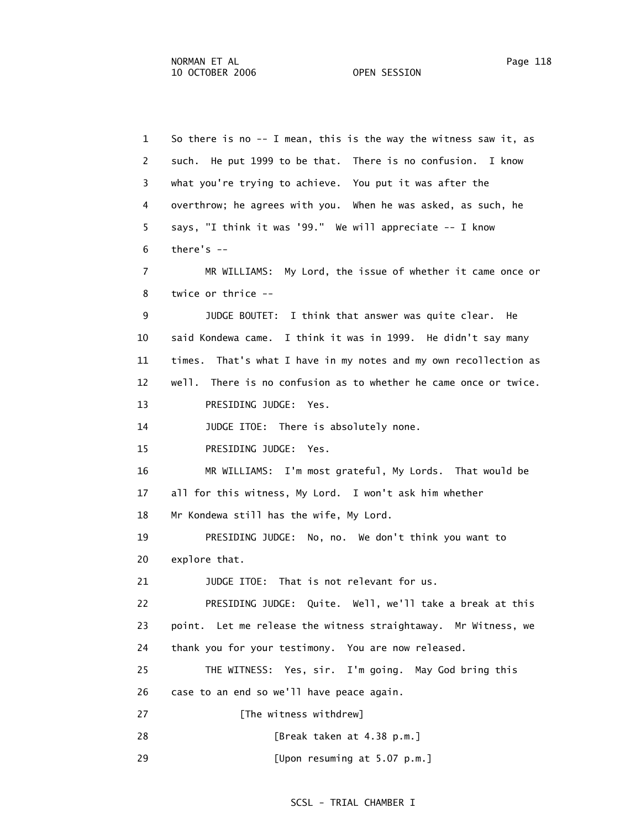1 So there is no -- I mean, this is the way the witness saw it, as 2 such. He put 1999 to be that. There is no confusion. I know 3 what you're trying to achieve. You put it was after the 4 overthrow; he agrees with you. When he was asked, as such, he 5 says, "I think it was '99." We will appreciate -- I know  $6$  there's  $-$  7 MR WILLIAMS: My Lord, the issue of whether it came once or 8 twice or thrice -- 9 JUDGE BOUTET: I think that answer was quite clear. He 10 said Kondewa came. I think it was in 1999. He didn't say many 11 times. That's what I have in my notes and my own recollection as 12 well. There is no confusion as to whether he came once or twice. 13 PRESIDING JUDGE: Yes. 14 JUDGE ITOE: There is absolutely none. 15 PRESIDING JUDGE: Yes. 16 MR WILLIAMS: I'm most grateful, My Lords. That would be 17 all for this witness, My Lord. I won't ask him whether 18 Mr Kondewa still has the wife, My Lord. 19 PRESIDING JUDGE: No, no. We don't think you want to 20 explore that. 21 JUDGE ITOE: That is not relevant for us. 22 PRESIDING JUDGE: Quite. Well, we'll take a break at this 23 point. Let me release the witness straightaway. Mr Witness, we 24 thank you for your testimony. You are now released. 25 THE WITNESS: Yes, sir. I'm going. May God bring this 26 case to an end so we'll have peace again. 27 [The witness withdrew] 28 [Break taken at 4.38 p.m.] 29 [Upon resuming at 5.07 p.m.]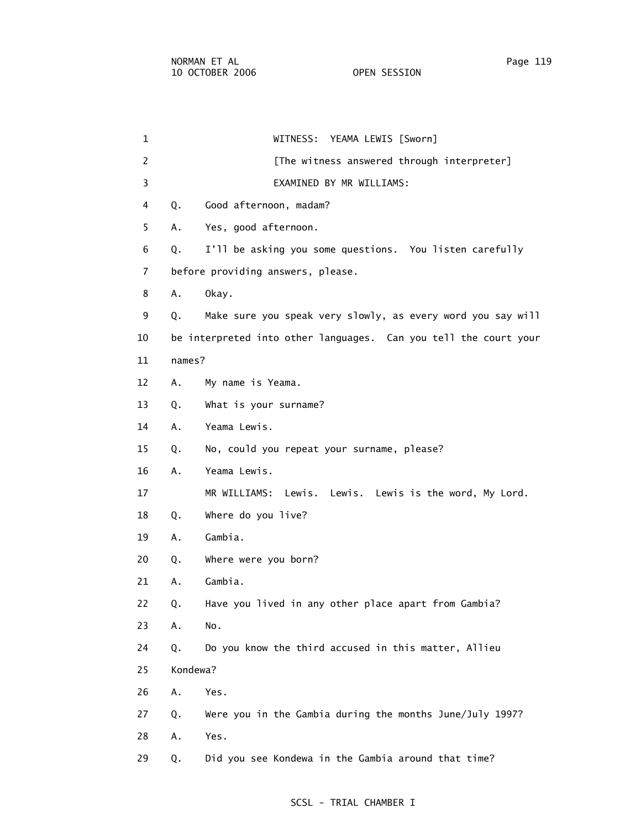1 WITNESS: YEAMA LEWIS [Sworn] 2 **Example 2** [The witness answered through interpreter] 3 EXAMINED BY MR WILLIAMS: 4 Q. Good afternoon, madam? 5 A. Yes, good afternoon. 6 Q. I'll be asking you some questions. You listen carefully 7 before providing answers, please. 8 A. Okay. 9 Q. Make sure you speak very slowly, as every word you say will 10 be interpreted into other languages. Can you tell the court your 11 names? 12 A. My name is Yeama. 13 Q. What is your surname? 14 A. Yeama Lewis. 15 Q. No, could you repeat your surname, please? 16 A. Yeama Lewis. 17 MR WILLIAMS: Lewis. Lewis. Lewis is the word, My Lord. 18 Q. Where do you live? 19 A. Gambia. 20 Q. Where were you born? 21 A. Gambia. 22 Q. Have you lived in any other place apart from Gambia? 23 A. No. 24 Q. Do you know the third accused in this matter, Allieu 25 Kondewa? 26 A. Yes. 27 Q. Were you in the Gambia during the months June/July 1997? 28 A. Yes. 29 Q. Did you see Kondewa in the Gambia around that time?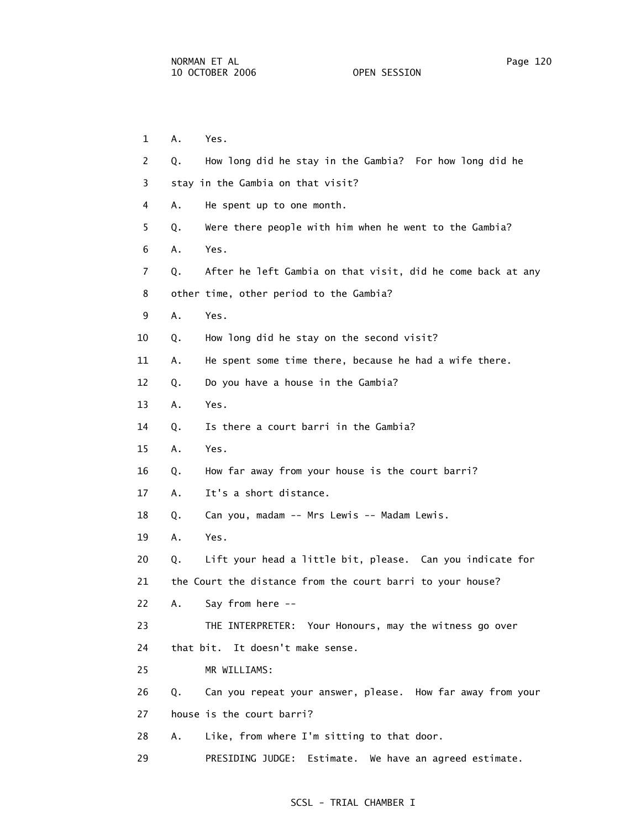1 A. Yes. 2 Q. How long did he stay in the Gambia? For how long did he 3 stay in the Gambia on that visit? 4 A. He spent up to one month. 5 Q. Were there people with him when he went to the Gambia? 6 A. Yes. 7 Q. After he left Gambia on that visit, did he come back at any 8 other time, other period to the Gambia? 9 A. Yes. 10 Q. How long did he stay on the second visit? 11 A. He spent some time there, because he had a wife there. 12 Q. Do you have a house in the Gambia? 13 A. Yes. 14 Q. Is there a court barri in the Gambia? 15 A. Yes. 16 Q. How far away from your house is the court barri? 17 A. It's a short distance. 18 Q. Can you, madam -- Mrs Lewis -- Madam Lewis. 19 A. Yes. 20 Q. Lift your head a little bit, please. Can you indicate for 21 the Court the distance from the court barri to your house? 22 A. Say from here -- 23 THE INTERPRETER: Your Honours, may the witness go over 24 that bit. It doesn't make sense. 25 MR WILLIAMS: 26 Q. Can you repeat your answer, please. How far away from your 27 house is the court barri? 28 A. Like, from where I'm sitting to that door.

29 PRESIDING JUDGE: Estimate. We have an agreed estimate.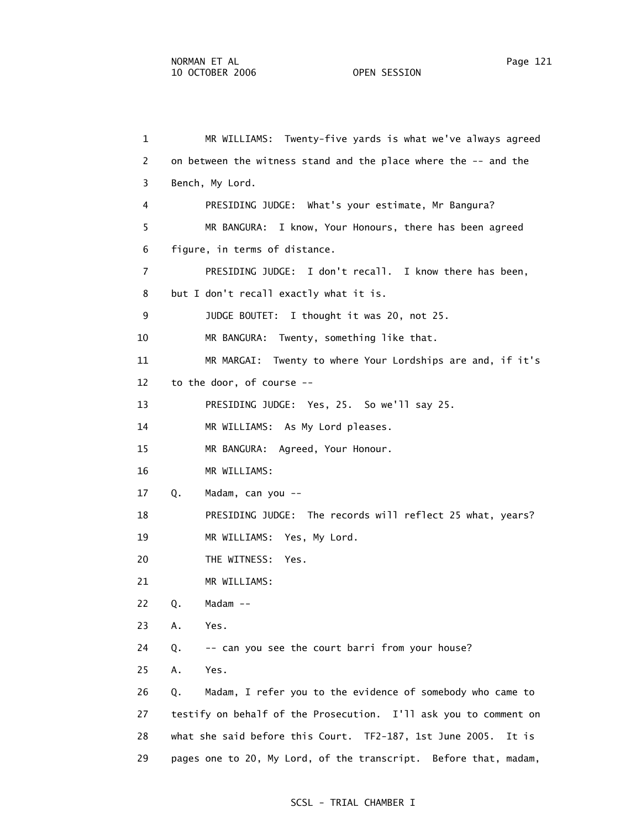1 MR WILLIAMS: Twenty-five yards is what we've always agreed 2 on between the witness stand and the place where the -- and the 3 Bench, My Lord. 4 PRESIDING JUDGE: What's your estimate, Mr Bangura? 5 MR BANGURA: I know, Your Honours, there has been agreed 6 figure, in terms of distance. 7 PRESIDING JUDGE: I don't recall. I know there has been, 8 but I don't recall exactly what it is. 9 JUDGE BOUTET: I thought it was 20, not 25. 10 MR BANGURA: Twenty, something like that. 11 MR MARGAI: Twenty to where Your Lordships are and, if it's 12 to the door, of course -- 13 PRESIDING JUDGE: Yes, 25. So we'll say 25. 14 MR WILLIAMS: As My Lord pleases. 15 MR BANGURA: Agreed, Your Honour. 16 MR WILLIAMS: 17 Q. Madam, can you -- 18 PRESIDING JUDGE: The records will reflect 25 what, years? 19 MR WILLIAMS: Yes, My Lord. 20 THE WITNESS: Yes. 21 MR WILLIAMS: 22 Q. Madam -- 23 A. Yes. 24 Q. -- can you see the court barri from your house? 25 A. Yes. 26 Q. Madam, I refer you to the evidence of somebody who came to 27 testify on behalf of the Prosecution. I'll ask you to comment on 28 what she said before this Court. TF2-187, 1st June 2005. It is 29 pages one to 20, My Lord, of the transcript. Before that, madam,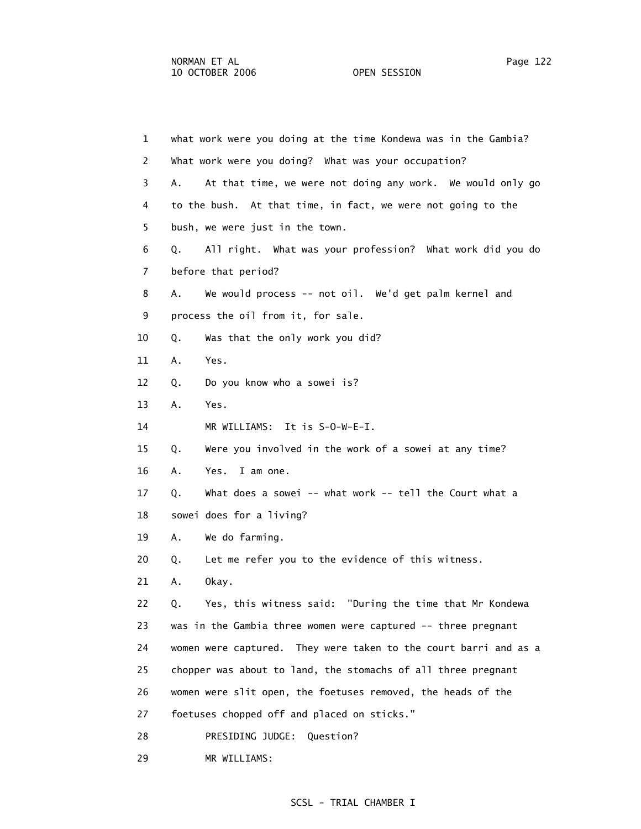| 1  | what work were you doing at the time Kondewa was in the Gambia?  |  |  |  |  |  |
|----|------------------------------------------------------------------|--|--|--|--|--|
| 2  | What work were you doing? What was your occupation?              |  |  |  |  |  |
| 3  | At that time, we were not doing any work. We would only go<br>А. |  |  |  |  |  |
| 4  | to the bush. At that time, in fact, we were not going to the     |  |  |  |  |  |
| 5  | bush, we were just in the town.                                  |  |  |  |  |  |
| 6  | All right. What was your profession? What work did you do<br>Q.  |  |  |  |  |  |
| 7  | before that period?                                              |  |  |  |  |  |
| 8  | We would process -- not oil. We'd get palm kernel and<br>А.      |  |  |  |  |  |
| 9  | process the oil from it, for sale.                               |  |  |  |  |  |
| 10 | Was that the only work you did?<br>Q.                            |  |  |  |  |  |
| 11 | Yes.<br>Α.                                                       |  |  |  |  |  |
| 12 | Do you know who a sowei is?<br>Q.                                |  |  |  |  |  |
| 13 | Yes.<br>А.                                                       |  |  |  |  |  |
| 14 | MR WILLIAMS: It is S-O-W-E-I.                                    |  |  |  |  |  |
| 15 | Were you involved in the work of a sowei at any time?<br>Q.      |  |  |  |  |  |
| 16 | Yes. I am one.<br>Α.                                             |  |  |  |  |  |
| 17 | What does a sowei -- what work -- tell the Court what a<br>Q.    |  |  |  |  |  |
| 18 | sowei does for a living?                                         |  |  |  |  |  |
| 19 | We do farming.<br>Α.                                             |  |  |  |  |  |
| 20 | Let me refer you to the evidence of this witness.<br>Q.          |  |  |  |  |  |
| 21 | Okay.<br>Α.                                                      |  |  |  |  |  |
| 22 | Yes, this witness said: "During the time that Mr Kondewa<br>Q.   |  |  |  |  |  |
| 23 | was in the Gambia three women were captured -- three pregnant    |  |  |  |  |  |
| 24 | women were captured. They were taken to the court barri and as a |  |  |  |  |  |
| 25 | chopper was about to land, the stomachs of all three pregnant    |  |  |  |  |  |
| 26 | women were slit open, the foetuses removed, the heads of the     |  |  |  |  |  |
| 27 | foetuses chopped off and placed on sticks."                      |  |  |  |  |  |
| 28 | PRESIDING JUDGE:<br>Question?                                    |  |  |  |  |  |
| 29 | MR WILLIAMS:                                                     |  |  |  |  |  |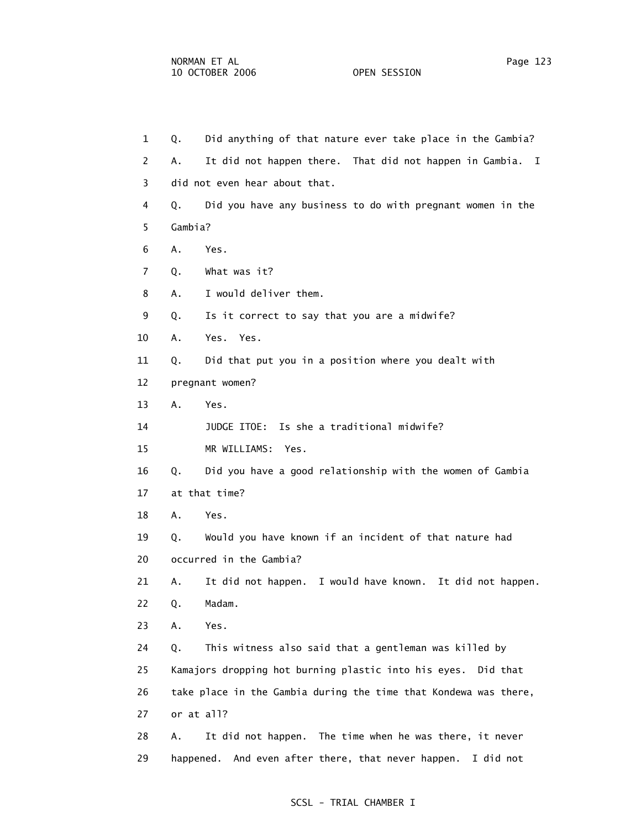| $\mathbf{1}$   | Did anything of that nature ever take place in the Gambia?<br>Q.   |  |  |  |  |
|----------------|--------------------------------------------------------------------|--|--|--|--|
| 2              | It did not happen there. That did not happen in Gambia. I<br>А.    |  |  |  |  |
| 3              | did not even hear about that.                                      |  |  |  |  |
| 4              | Did you have any business to do with pregnant women in the<br>Q.   |  |  |  |  |
| 5              | Gambia?                                                            |  |  |  |  |
| 6              | Α.<br>Yes.                                                         |  |  |  |  |
| $\overline{7}$ | What was it?<br>Q.                                                 |  |  |  |  |
| 8              | I would deliver them.<br>Α.                                        |  |  |  |  |
| 9              | Is it correct to say that you are a midwife?<br>Q.                 |  |  |  |  |
| 10             | Yes. Yes.<br>Α.                                                    |  |  |  |  |
| 11             | Did that put you in a position where you dealt with<br>Q.          |  |  |  |  |
| 12             | pregnant women?                                                    |  |  |  |  |
| 13             | Yes.<br>Α.                                                         |  |  |  |  |
| 14             | Is she a traditional midwife?<br>JUDGE ITOE:                       |  |  |  |  |
| 15             | MR WILLIAMS:<br>Yes.                                               |  |  |  |  |
| 16             | Q.<br>Did you have a good relationship with the women of Gambia    |  |  |  |  |
| 17             | at that time?                                                      |  |  |  |  |
| 18             | Yes.<br>Α.                                                         |  |  |  |  |
| 19             | Would you have known if an incident of that nature had<br>Q.       |  |  |  |  |
| 20             | occurred in the Gambia?                                            |  |  |  |  |
| 21             | It did not happen. I would have known.<br>It did not happen.<br>Α. |  |  |  |  |
| 22             | Madam.<br>Q.                                                       |  |  |  |  |
| 23             | Α.<br>Yes.                                                         |  |  |  |  |
| 24             | This witness also said that a gentleman was killed by<br>Q.        |  |  |  |  |
| 25             | Kamajors dropping hot burning plastic into his eyes.<br>Did that   |  |  |  |  |
| 26             | take place in the Gambia during the time that Kondewa was there,   |  |  |  |  |
| 27             | or at all?                                                         |  |  |  |  |
| 28             | It did not happen. The time when he was there, it never<br>Α.      |  |  |  |  |
| 29             | happened. And even after there, that never happen.<br>I did not    |  |  |  |  |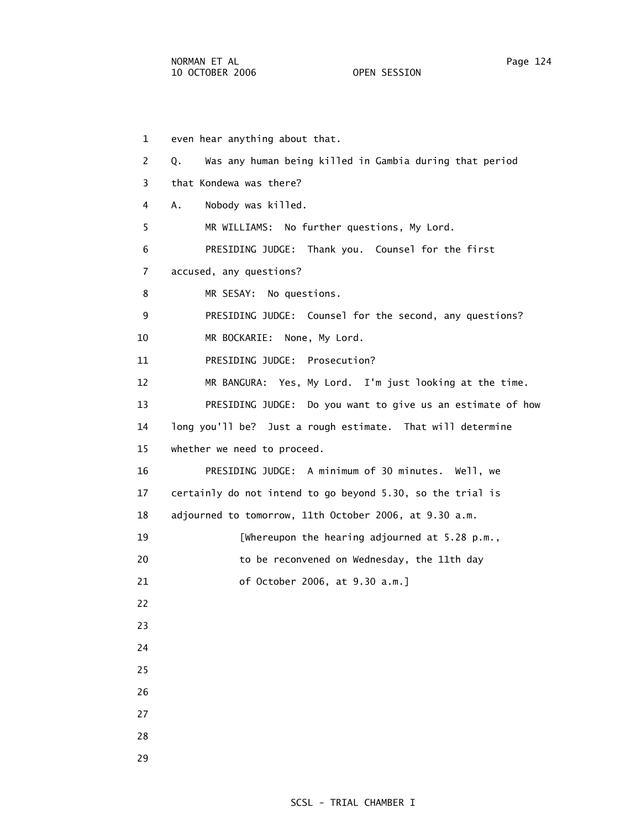1 even hear anything about that. 2 Q. Was any human being killed in Gambia during that period 3 that Kondewa was there? 4 A. Nobody was killed. 5 MR WILLIAMS: No further questions, My Lord. 6 PRESIDING JUDGE: Thank you. Counsel for the first 7 accused, any questions? 8 MR SESAY: No questions. 9 PRESIDING JUDGE: Counsel for the second, any questions? 10 MR BOCKARIE: None, My Lord. 11 PRESIDING JUDGE: Prosecution? 12 MR BANGURA: Yes, My Lord. I'm just looking at the time. 13 PRESIDING JUDGE: Do you want to give us an estimate of how 14 long you'll be? Just a rough estimate. That will determine 15 whether we need to proceed. 16 PRESIDING JUDGE: A minimum of 30 minutes. Well, we 17 certainly do not intend to go beyond 5.30, so the trial is 18 adjourned to tomorrow, 11th October 2006, at 9.30 a.m. 19 [Whereupon the hearing adjourned at 5.28 p.m., 20 to be reconvened on Wednesday, the 11th day 21 of October 2006, at 9.30 a.m.] 22 23 24 25 26 27 28 29